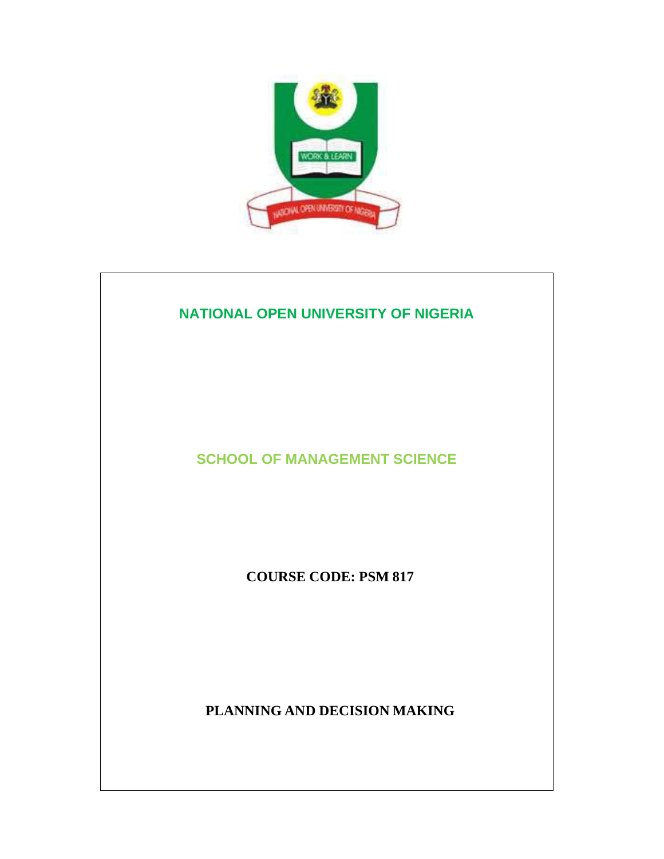

# **NATIONAL OPEN UNIVERSITY OF NIGERIA**

**SCHOOL OF MANAGEMENT SCIENCE** 

**COURSE CODE: PSM 817**

**PLANNING AND DECISION MAKING**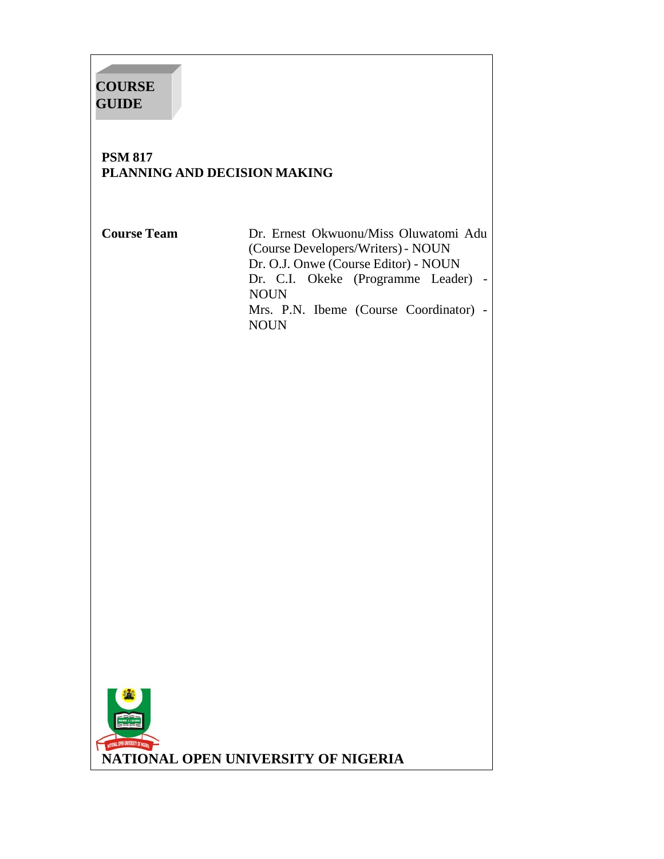# **PSM 817 PLANNING AND DECISION MAKING**

**Course Team Dr. Ernest Okwuonu/Miss Oluwatomi Adu** (Course Developers/Writers) - NOUN Dr. O.J. Onwe (Course Editor) - NOUN Dr. C.I. Okeke (Programme Leader) - NOUN Mrs. P.N. Ibeme (Course Coordinator) - NOUN

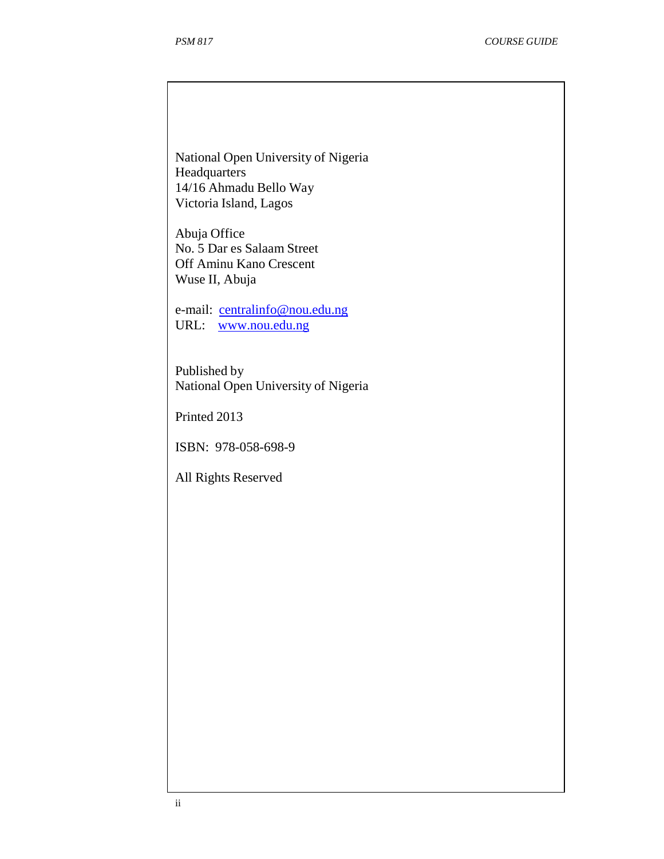National Open University of Nigeria Headquarters 14/16 Ahmadu Bello Way Victoria Island, Lagos

Abuja Office No. 5 Dar es Salaam Street Off Aminu Kano Crescent Wuse II, Abuja

e-mail: centralinfo@nou.edu.ng URL: www.nou.edu.ng

Published by National Open University of Nigeria

Printed 2013

ISBN: 978-058-698-9

All Rights Reserved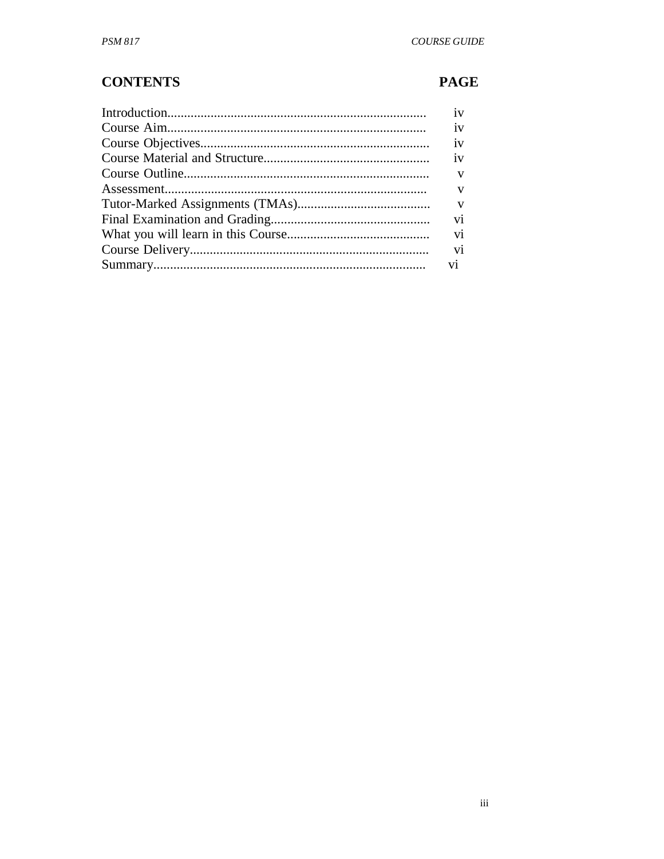# **CONTENTS**

# **PAGE**

| iv |
|----|
|    |
| 1V |
|    |
| V  |
| V  |
|    |
|    |
|    |
|    |
|    |
|    |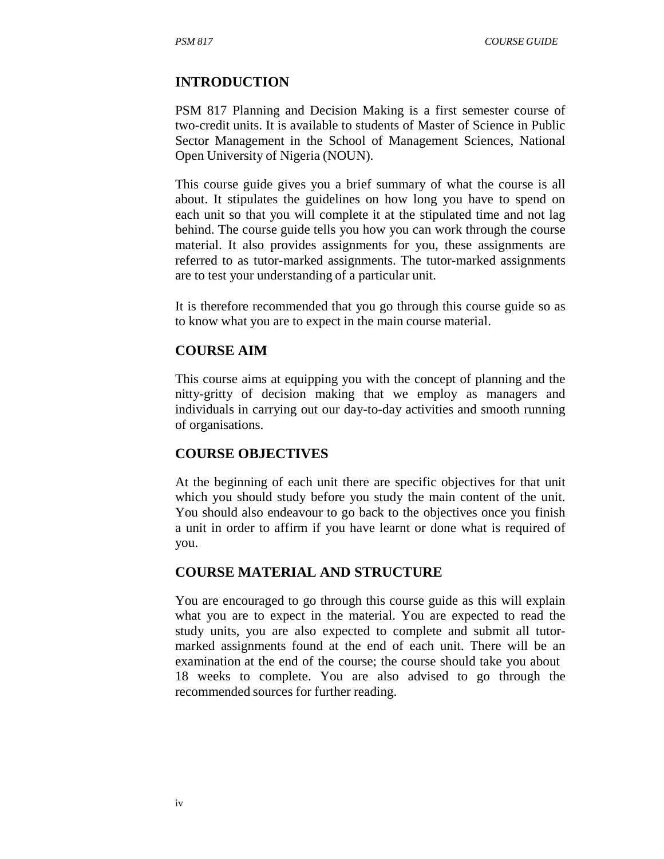## **INTRODUCTION**

PSM 817 Planning and Decision Making is a first semester course of two-credit units. It is available to students of Master of Science in Public Sector Management in the School of Management Sciences, National Open University of Nigeria (NOUN).

This course guide gives you a brief summary of what the course is all about. It stipulates the guidelines on how long you have to spend on each unit so that you will complete it at the stipulated time and not lag behind. The course guide tells you how you can work through the course material. It also provides assignments for you, these assignments are referred to as tutor-marked assignments. The tutor-marked assignments are to test your understanding of a particular unit.

It is therefore recommended that you go through this course guide so as to know what you are to expect in the main course material.

#### **COURSE AIM**

This course aims at equipping you with the concept of planning and the nitty-gritty of decision making that we employ as managers and individuals in carrying out our day-to-day activities and smooth running of organisations.

#### **COURSE OBJECTIVES**

At the beginning of each unit there are specific objectives for that unit which you should study before you study the main content of the unit. You should also endeavour to go back to the objectives once you finish a unit in order to affirm if you have learnt or done what is required of you.

#### **COURSE MATERIAL AND STRUCTURE**

You are encouraged to go through this course guide as this will explain what you are to expect in the material. You are expected to read the study units, you are also expected to complete and submit all tutormarked assignments found at the end of each unit. There will be an examination at the end of the course; the course should take you about 18 weeks to complete. You are also advised to go through the recommended sources for further reading.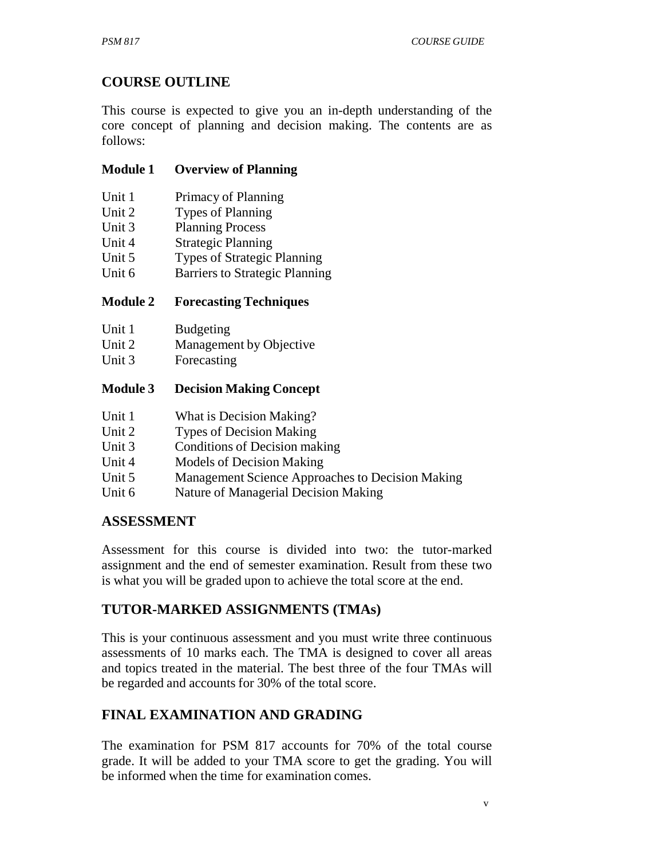# **COURSE OUTLINE**

This course is expected to give you an in-depth understanding of the core concept of planning and decision making. The contents are as follows:

## **Module 1 Overview of Planning**

- Unit 1 Primacy of Planning
- Unit 2 Types of Planning
- Unit 3 Planning Process
- Unit 4 Strategic Planning
- Unit 5 Types of Strategic Planning
- Unit 6 Barriers to Strategic Planning

# **Module 2 Forecasting Techniques**

- Unit 1 Budgeting
- Unit 2 Management by Objective
- Unit 3 Forecasting

## **Module 3 Decision Making Concept**

- Unit 1 What is Decision Making?
- Unit 2 Types of Decision Making
- Unit 3 Conditions of Decision making
- Unit 4 Models of Decision Making
- Unit 5 Management Science Approaches to Decision Making
- Unit 6 Nature of Managerial Decision Making

## **ASSESSMENT**

Assessment for this course is divided into two: the tutor-marked assignment and the end of semester examination. Result from these two is what you will be graded upon to achieve the total score at the end.

# **TUTOR-MARKED ASSIGNMENTS (TMAs)**

This is your continuous assessment and you must write three continuous assessments of 10 marks each. The TMA is designed to cover all areas and topics treated in the material. The best three of the four TMAs will be regarded and accounts for 30% of the total score.

# **FINAL EXAMINATION AND GRADING**

The examination for PSM 817 accounts for 70% of the total course grade. It will be added to your TMA score to get the grading. You will be informed when the time for examination comes.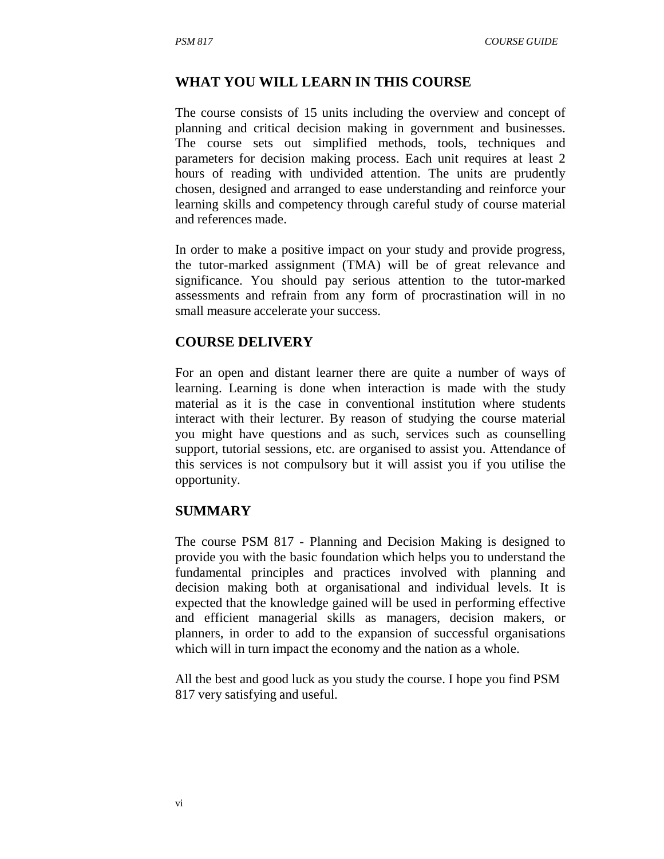#### **WHAT YOU WILL LEARN IN THIS COURSE**

The course consists of 15 units including the overview and concept of planning and critical decision making in government and businesses. The course sets out simplified methods, tools, techniques and parameters for decision making process. Each unit requires at least 2 hours of reading with undivided attention. The units are prudently chosen, designed and arranged to ease understanding and reinforce your learning skills and competency through careful study of course material and references made.

In order to make a positive impact on your study and provide progress, the tutor-marked assignment (TMA) will be of great relevance and significance. You should pay serious attention to the tutor-marked assessments and refrain from any form of procrastination will in no small measure accelerate your success.

#### **COURSE DELIVERY**

For an open and distant learner there are quite a number of ways of learning. Learning is done when interaction is made with the study material as it is the case in conventional institution where students interact with their lecturer. By reason of studying the course material you might have questions and as such, services such as counselling support, tutorial sessions, etc. are organised to assist you. Attendance of this services is not compulsory but it will assist you if you utilise the opportunity.

#### **SUMMARY**

The course PSM 817 - Planning and Decision Making is designed to provide you with the basic foundation which helps you to understand the fundamental principles and practices involved with planning and decision making both at organisational and individual levels. It is expected that the knowledge gained will be used in performing effective and efficient managerial skills as managers, decision makers, or planners, in order to add to the expansion of successful organisations which will in turn impact the economy and the nation as a whole.

All the best and good luck as you study the course. I hope you find PSM 817 very satisfying and useful.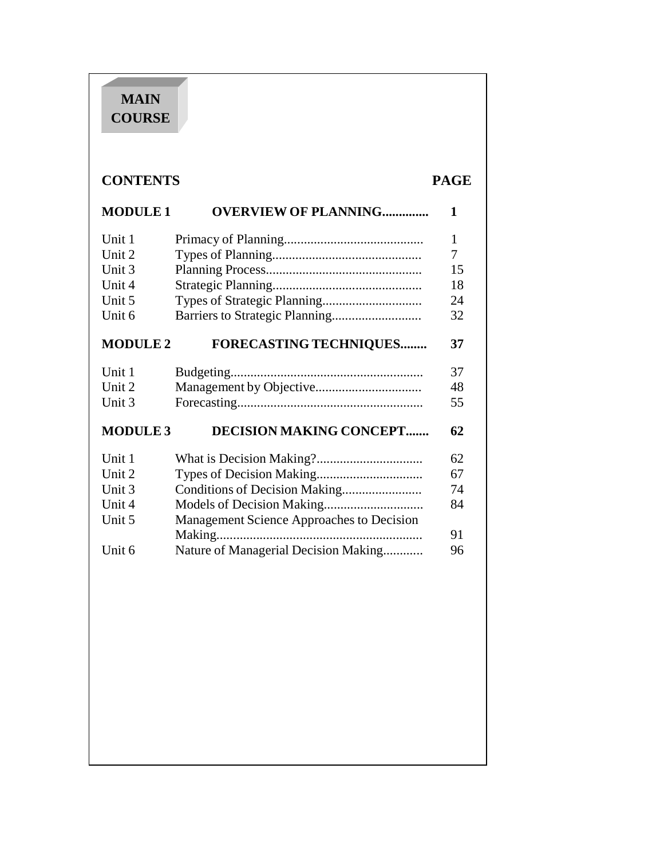# **MAIN COURSE**

# **CONTENTS PAGE**

| <b>MODULE 1</b> | <b>OVERVIEW OF PLANNING</b>               | 1            |
|-----------------|-------------------------------------------|--------------|
| Unit 1          |                                           | $\mathbf{1}$ |
| Unit 2          |                                           | 7            |
| Unit 3          |                                           | 15           |
| Unit 4          |                                           | 18           |
| Unit 5          |                                           | 24           |
| Unit 6          |                                           | 32           |
| <b>MODULE 2</b> | <b>FORECASTING TECHNIQUES</b>             | 37           |
| Unit 1          |                                           | 37           |
| Unit 2          |                                           | 48           |
| Unit 3          |                                           | 55           |
| <b>MODULE 3</b> | <b>DECISION MAKING CONCEPT</b>            | 62           |
| Unit 1          |                                           | 62           |
| Unit 2          |                                           | 67           |
| Unit 3          |                                           | 74           |
| Unit 4          |                                           | 84           |
| Unit 5          | Management Science Approaches to Decision |              |
|                 |                                           | 91           |
| Unit 6          | Nature of Managerial Decision Making      | 96           |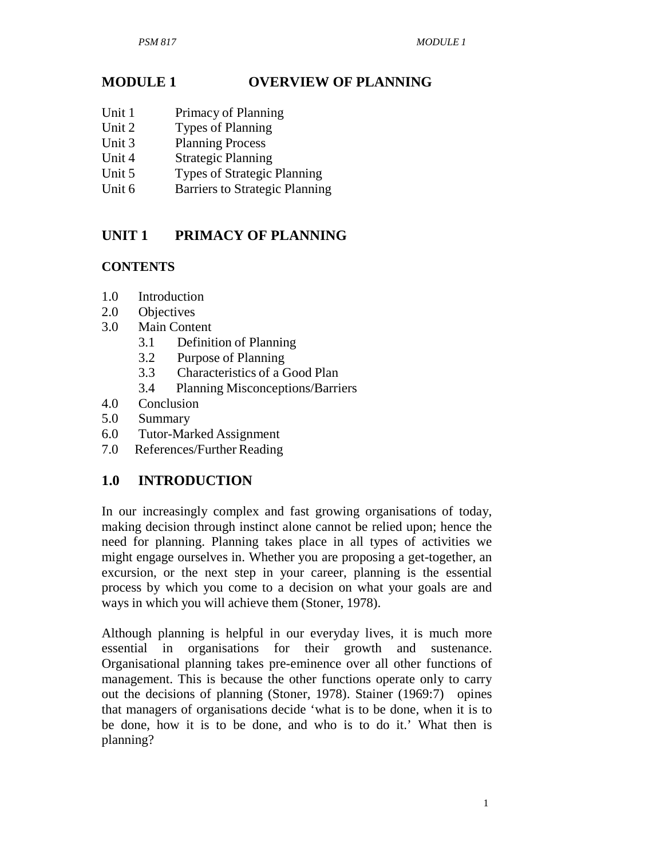# **MODULE 1 OVERVIEW OF PLANNING**

- Unit 1 Primacy of Planning
- Unit 2 Types of Planning
- Unit 3 Planning Process
- Unit 4 Strategic Planning
- Unit 5 Types of Strategic Planning
- Unit 6 Barriers to Strategic Planning

# **UNIT 1 PRIMACY OF PLANNING**

# **CONTENTS**

- 1.0 Introduction
- 2.0 Objectives
- 3.0 Main Content
	- 3.1 Definition of Planning
	- 3.2 Purpose of Planning
	- 3.3 Characteristics of a Good Plan
	- 3.4 Planning Misconceptions/Barriers
- 4.0 Conclusion
- 5.0 Summary
- 6.0 Tutor-Marked Assignment
- 7.0 References/Further Reading

# **1.0 INTRODUCTION**

In our increasingly complex and fast growing organisations of today, making decision through instinct alone cannot be relied upon; hence the need for planning. Planning takes place in all types of activities we might engage ourselves in. Whether you are proposing a get-together, an excursion, or the next step in your career, planning is the essential process by which you come to a decision on what your goals are and ways in which you will achieve them (Stoner, 1978).

Although planning is helpful in our everyday lives, it is much more essential in organisations for their growth and sustenance. Organisational planning takes pre-eminence over all other functions of management. This is because the other functions operate only to carry out the decisions of planning (Stoner, 1978). Stainer (1969:7) opines that managers of organisations decide 'what is to be done, when it is to be done, how it is to be done, and who is to do it.' What then is planning?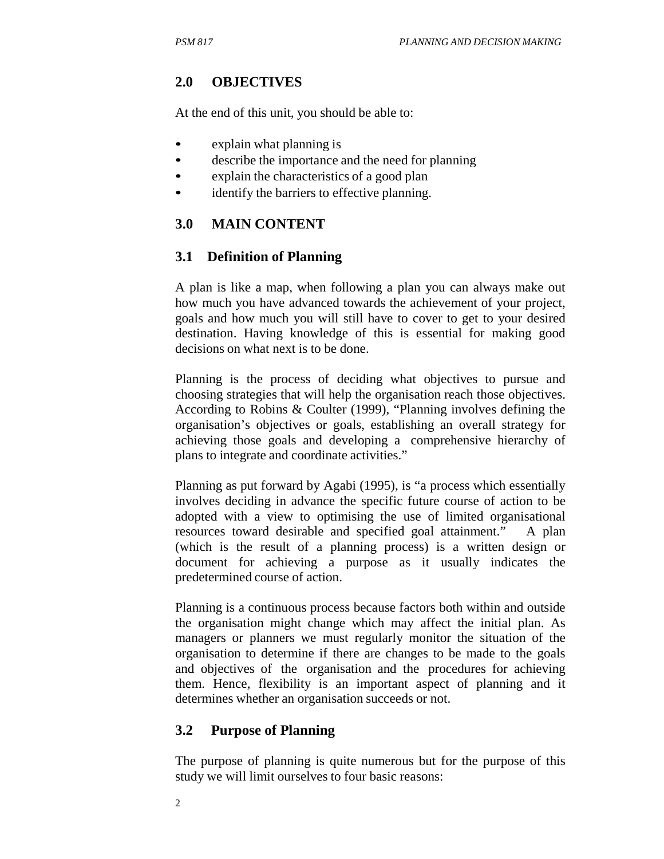# **2.0 OBJECTIVES**

At the end of this unit, you should be able to:

- explain what planning is
- describe the importance and the need for planning
- explain the characteristics of a good plan
- identify the barriers to effective planning.

# **3.0 MAIN CONTENT**

# **3.1 Definition of Planning**

A plan is like a map, when following a plan you can always make out how much you have advanced towards the achievement of your project, goals and how much you will still have to cover to get to your desired destination. Having knowledge of this is essential for making good decisions on what next is to be done.

Planning is the process of deciding what objectives to pursue and choosing strategies that will help the organisation reach those objectives. According to Robins & Coulter (1999), "Planning involves defining the organisation's objectives or goals, establishing an overall strategy for achieving those goals and developing a comprehensive hierarchy of plans to integrate and coordinate activities."

Planning as put forward by Agabi (1995), is "a process which essentially involves deciding in advance the specific future course of action to be adopted with a view to optimising the use of limited organisational resources toward desirable and specified goal attainment." A plan (which is the result of a planning process) is a written design or document for achieving a purpose as it usually indicates the predetermined course of action.

Planning is a continuous process because factors both within and outside the organisation might change which may affect the initial plan. As managers or planners we must regularly monitor the situation of the organisation to determine if there are changes to be made to the goals and objectives of the organisation and the procedures for achieving them. Hence, flexibility is an important aspect of planning and it determines whether an organisation succeeds or not.

## **3.2 Purpose of Planning**

The purpose of planning is quite numerous but for the purpose of this study we will limit ourselves to four basic reasons: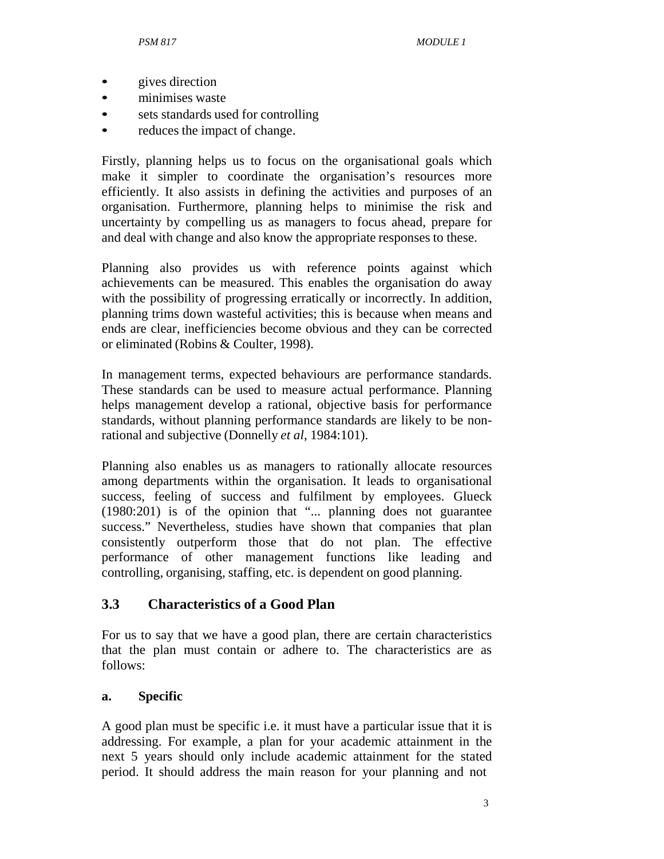- gives direction
- minimises waste
- sets standards used for controlling
- reduces the impact of change.

Firstly, planning helps us to focus on the organisational goals which make it simpler to coordinate the organisation's resources more efficiently. It also assists in defining the activities and purposes of an organisation. Furthermore, planning helps to minimise the risk and uncertainty by compelling us as managers to focus ahead, prepare for and deal with change and also know the appropriate responses to these.

Planning also provides us with reference points against which achievements can be measured. This enables the organisation do away with the possibility of progressing erratically or incorrectly. In addition, planning trims down wasteful activities; this is because when means and ends are clear, inefficiencies become obvious and they can be corrected or eliminated (Robins & Coulter, 1998).

In management terms, expected behaviours are performance standards. These standards can be used to measure actual performance. Planning helps management develop a rational, objective basis for performance standards, without planning performance standards are likely to be nonrational and subjective (Donnelly *et al*, 1984:101).

Planning also enables us as managers to rationally allocate resources among departments within the organisation. It leads to organisational success, feeling of success and fulfilment by employees. Glueck (1980:201) is of the opinion that "... planning does not guarantee success." Nevertheless, studies have shown that companies that plan consistently outperform those that do not plan. The effective performance of other management functions like leading and controlling, organising, staffing, etc. is dependent on good planning.

# **3.3 Characteristics of a Good Plan**

For us to say that we have a good plan, there are certain characteristics that the plan must contain or adhere to. The characteristics are as follows:

# **a. Specific**

A good plan must be specific i.e. it must have a particular issue that it is addressing. For example, a plan for your academic attainment in the next 5 years should only include academic attainment for the stated period. It should address the main reason for your planning and not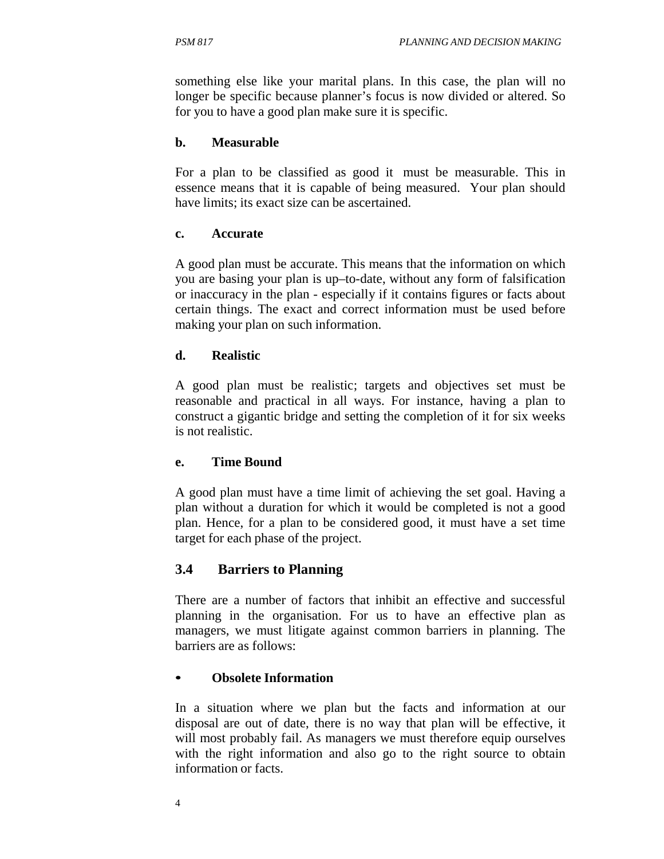something else like your marital plans. In this case, the plan will no longer be specific because planner's focus is now divided or altered. So for you to have a good plan make sure it is specific.

## **b. Measurable**

For a plan to be classified as good it must be measurable. This in essence means that it is capable of being measured. Your plan should have limits; its exact size can be ascertained.

# **c. Accurate**

A good plan must be accurate. This means that the information on which you are basing your plan is up–to-date, without any form of falsification or inaccuracy in the plan - especially if it contains figures or facts about certain things. The exact and correct information must be used before making your plan on such information.

# **d. Realistic**

A good plan must be realistic; targets and objectives set must be reasonable and practical in all ways. For instance, having a plan to construct a gigantic bridge and setting the completion of it for six weeks is not realistic.

## **e. Time Bound**

A good plan must have a time limit of achieving the set goal. Having a plan without a duration for which it would be completed is not a good plan. Hence, for a plan to be considered good, it must have a set time target for each phase of the project.

# **3.4 Barriers to Planning**

There are a number of factors that inhibit an effective and successful planning in the organisation. For us to have an effective plan as managers, we must litigate against common barriers in planning. The barriers are as follows:

## • **Obsolete Information**

In a situation where we plan but the facts and information at our disposal are out of date, there is no way that plan will be effective, it will most probably fail. As managers we must therefore equip ourselves with the right information and also go to the right source to obtain information or facts.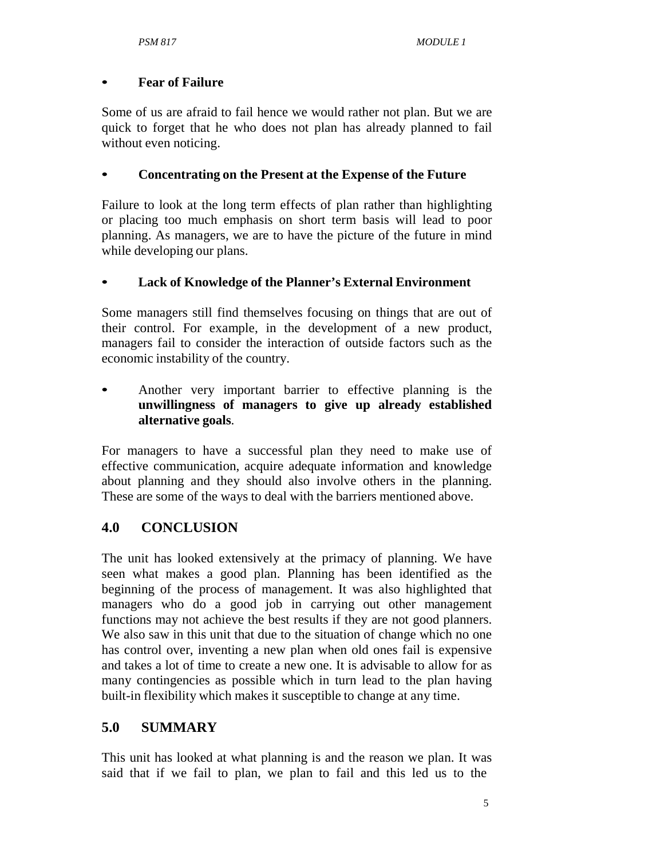## • **Fear of Failure**

Some of us are afraid to fail hence we would rather not plan. But we are quick to forget that he who does not plan has already planned to fail without even noticing.

## • **Concentrating on the Present at the Expense of the Future**

Failure to look at the long term effects of plan rather than highlighting or placing too much emphasis on short term basis will lead to poor planning. As managers, we are to have the picture of the future in mind while developing our plans.

# • **Lack of Knowledge of the Planner's External Environment**

Some managers still find themselves focusing on things that are out of their control. For example, in the development of a new product, managers fail to consider the interaction of outside factors such as the economic instability of the country.

• Another very important barrier to effective planning is the **unwillingness of managers to give up already established alternative goals**.

For managers to have a successful plan they need to make use of effective communication, acquire adequate information and knowledge about planning and they should also involve others in the planning. These are some of the ways to deal with the barriers mentioned above.

# **4.0 CONCLUSION**

The unit has looked extensively at the primacy of planning. We have seen what makes a good plan. Planning has been identified as the beginning of the process of management. It was also highlighted that managers who do a good job in carrying out other management functions may not achieve the best results if they are not good planners. We also saw in this unit that due to the situation of change which no one has control over, inventing a new plan when old ones fail is expensive and takes a lot of time to create a new one. It is advisable to allow for as many contingencies as possible which in turn lead to the plan having built-in flexibility which makes it susceptible to change at any time.

# **5.0 SUMMARY**

This unit has looked at what planning is and the reason we plan. It was said that if we fail to plan, we plan to fail and this led us to the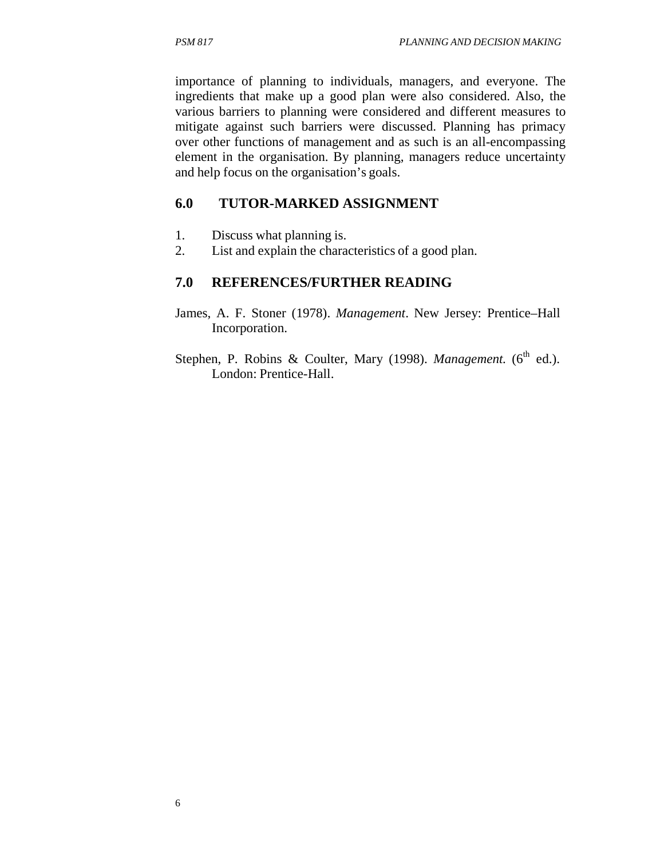importance of planning to individuals, managers, and everyone. The ingredients that make up a good plan were also considered. Also, the various barriers to planning were considered and different measures to mitigate against such barriers were discussed. Planning has primacy over other functions of management and as such is an all-encompassing element in the organisation. By planning, managers reduce uncertainty and help focus on the organisation's goals.

# **6.0 TUTOR-MARKED ASSIGNMENT**

- 1. Discuss what planning is.
- 2. List and explain the characteristics of a good plan.

# **7.0 REFERENCES/FURTHER READING**

- James, A. F. Stoner (1978). *Management*. New Jersey: Prentice–Hall Incorporation.
- Stephen, P. Robins & Coulter, Mary (1998). *Management.* (6<sup>th</sup> ed.). London: Prentice-Hall.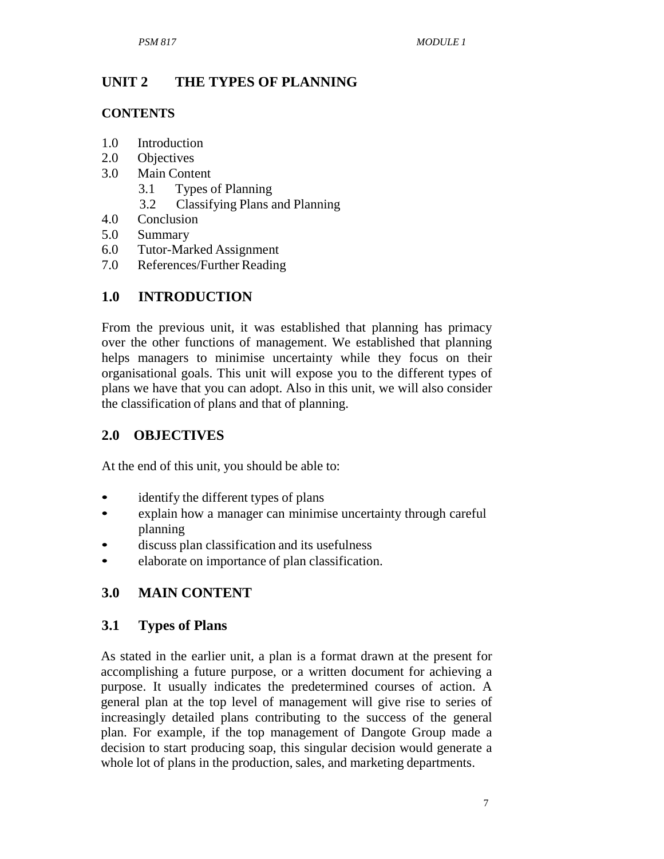# **UNIT 2 THE TYPES OF PLANNING**

## **CONTENTS**

- 1.0 Introduction
- 2.0 Objectives
- 3.0 Main Content
	- 3.1 Types of Planning
	- 3.2 Classifying Plans and Planning
- 4.0 Conclusion
- 5.0 Summary
- 6.0 Tutor-Marked Assignment
- 7.0 References/Further Reading

# **1.0 INTRODUCTION**

From the previous unit, it was established that planning has primacy over the other functions of management. We established that planning helps managers to minimise uncertainty while they focus on their organisational goals. This unit will expose you to the different types of plans we have that you can adopt. Also in this unit, we will also consider the classification of plans and that of planning.

# **2.0 OBJECTIVES**

At the end of this unit, you should be able to:

- identify the different types of plans
- explain how a manager can minimise uncertainty through careful planning
- discuss plan classification and its usefulness
- elaborate on importance of plan classification.

# **3.0 MAIN CONTENT**

## **3.1 Types of Plans**

As stated in the earlier unit, a plan is a format drawn at the present for accomplishing a future purpose, or a written document for achieving a purpose. It usually indicates the predetermined courses of action. A general plan at the top level of management will give rise to series of increasingly detailed plans contributing to the success of the general plan. For example, if the top management of Dangote Group made a decision to start producing soap, this singular decision would generate a whole lot of plans in the production, sales, and marketing departments.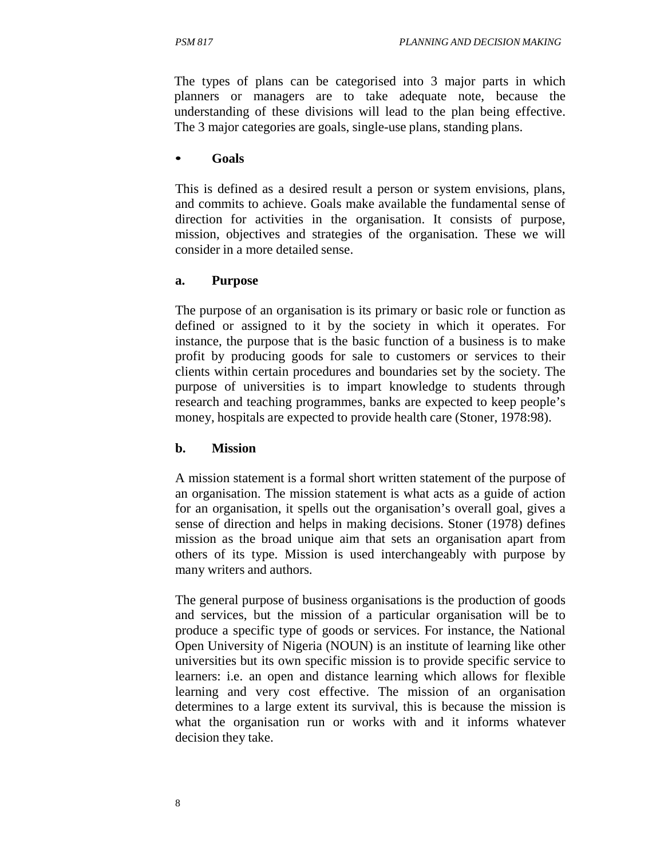The types of plans can be categorised into 3 major parts in which planners or managers are to take adequate note, because the understanding of these divisions will lead to the plan being effective. The 3 major categories are goals, single-use plans, standing plans.

## • **Goals**

This is defined as a desired result a person or system envisions, plans, and commits to achieve. Goals make available the fundamental sense of direction for activities in the organisation. It consists of purpose, mission, objectives and strategies of the organisation. These we will consider in a more detailed sense.

## **a. Purpose**

The purpose of an organisation is its primary or basic role or function as defined or assigned to it by the society in which it operates. For instance, the purpose that is the basic function of a business is to make profit by producing goods for sale to customers or services to their clients within certain procedures and boundaries set by the society. The purpose of universities is to impart knowledge to students through research and teaching programmes, banks are expected to keep people's money, hospitals are expected to provide health care (Stoner, 1978:98).

## **b. Mission**

A mission statement is a formal short written statement of the purpose of an organisation. The mission statement is what acts as a guide of action for an organisation, it spells out the organisation's overall goal, gives a sense of direction and helps in making decisions. Stoner (1978) defines mission as the broad unique aim that sets an organisation apart from others of its type. Mission is used interchangeably with purpose by many writers and authors.

The general purpose of business organisations is the production of goods and services, but the mission of a particular organisation will be to produce a specific type of goods or services. For instance, the National Open University of Nigeria (NOUN) is an institute of learning like other universities but its own specific mission is to provide specific service to learners: i.e. an open and distance learning which allows for flexible learning and very cost effective. The mission of an organisation determines to a large extent its survival, this is because the mission is what the organisation run or works with and it informs whatever decision they take.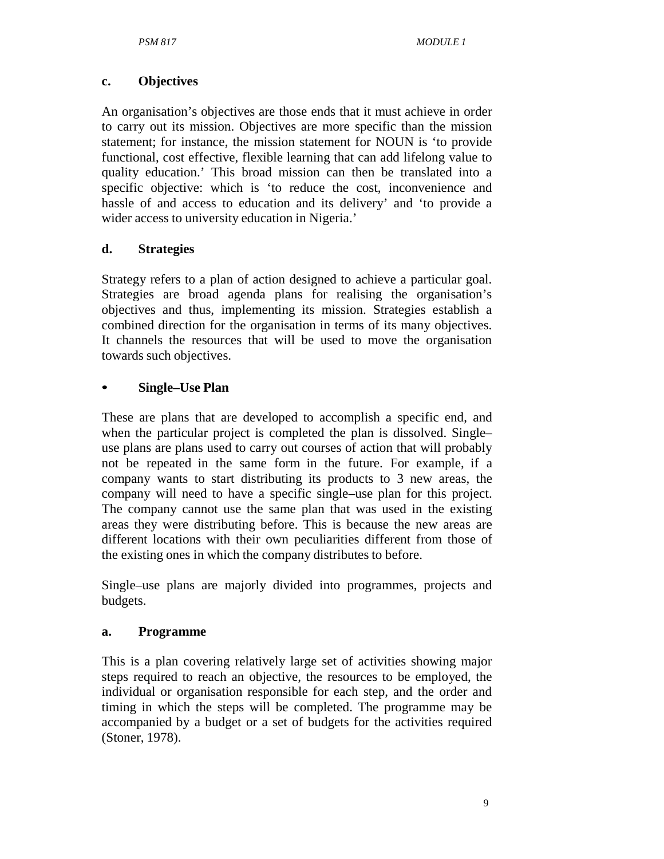## **c. Objectives**

An organisation's objectives are those ends that it must achieve in order to carry out its mission. Objectives are more specific than the mission statement; for instance, the mission statement for NOUN is 'to provide functional, cost effective, flexible learning that can add lifelong value to quality education.' This broad mission can then be translated into a specific objective: which is 'to reduce the cost, inconvenience and hassle of and access to education and its delivery' and 'to provide a wider access to university education in Nigeria.'

# **d. Strategies**

Strategy refers to a plan of action designed to achieve a particular goal. Strategies are broad agenda plans for realising the organisation's objectives and thus, implementing its mission. Strategies establish a combined direction for the organisation in terms of its many objectives. It channels the resources that will be used to move the organisation towards such objectives.

# • **Single–Use Plan**

These are plans that are developed to accomplish a specific end, and when the particular project is completed the plan is dissolved. Single– use plans are plans used to carry out courses of action that will probably not be repeated in the same form in the future. For example, if a company wants to start distributing its products to 3 new areas, the company will need to have a specific single–use plan for this project. The company cannot use the same plan that was used in the existing areas they were distributing before. This is because the new areas are different locations with their own peculiarities different from those of the existing ones in which the company distributes to before.

Single–use plans are majorly divided into programmes, projects and budgets.

## **a. Programme**

This is a plan covering relatively large set of activities showing major steps required to reach an objective, the resources to be employed, the individual or organisation responsible for each step, and the order and timing in which the steps will be completed. The programme may be accompanied by a budget or a set of budgets for the activities required (Stoner, 1978).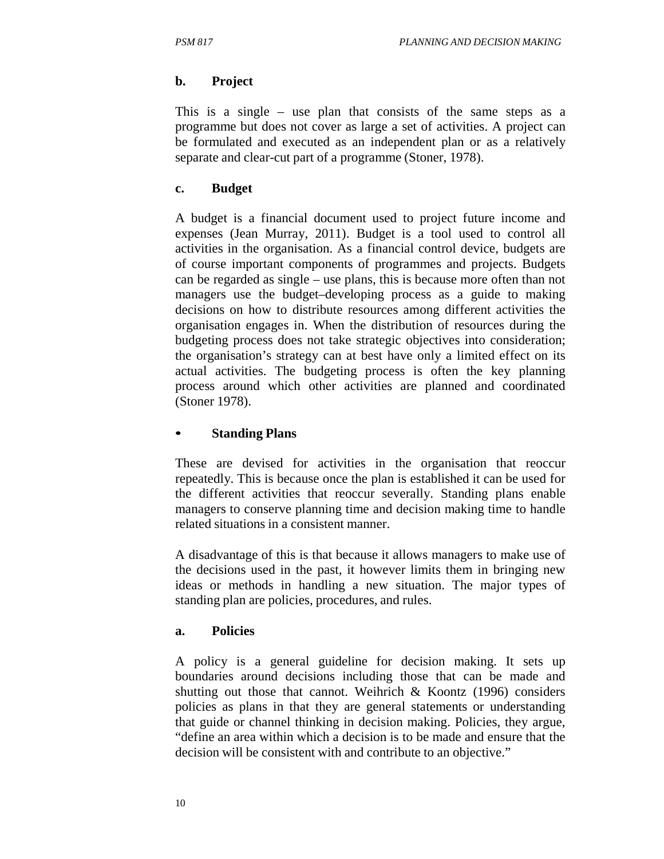# **b. Project**

This is a single – use plan that consists of the same steps as a programme but does not cover as large a set of activities. A project can be formulated and executed as an independent plan or as a relatively separate and clear-cut part of a programme (Stoner, 1978).

# **c. Budget**

A budget is a financial document used to project future income and expenses (Jean Murray, 2011). Budget is a tool used to control all activities in the organisation. As a financial control device, budgets are of course important components of programmes and projects. Budgets can be regarded as single – use plans, this is because more often than not managers use the budget–developing process as a guide to making decisions on how to distribute resources among different activities the organisation engages in. When the distribution of resources during the budgeting process does not take strategic objectives into consideration; the organisation's strategy can at best have only a limited effect on its actual activities. The budgeting process is often the key planning process around which other activities are planned and coordinated (Stoner 1978).

# • **Standing Plans**

These are devised for activities in the organisation that reoccur repeatedly. This is because once the plan is established it can be used for the different activities that reoccur severally. Standing plans enable managers to conserve planning time and decision making time to handle related situations in a consistent manner.

A disadvantage of this is that because it allows managers to make use of the decisions used in the past, it however limits them in bringing new ideas or methods in handling a new situation. The major types of standing plan are policies, procedures, and rules.

## **a. Policies**

A policy is a general guideline for decision making. It sets up boundaries around decisions including those that can be made and shutting out those that cannot. Weihrich & Koontz (1996) considers policies as plans in that they are general statements or understanding that guide or channel thinking in decision making. Policies, they argue, "define an area within which a decision is to be made and ensure that the decision will be consistent with and contribute to an objective."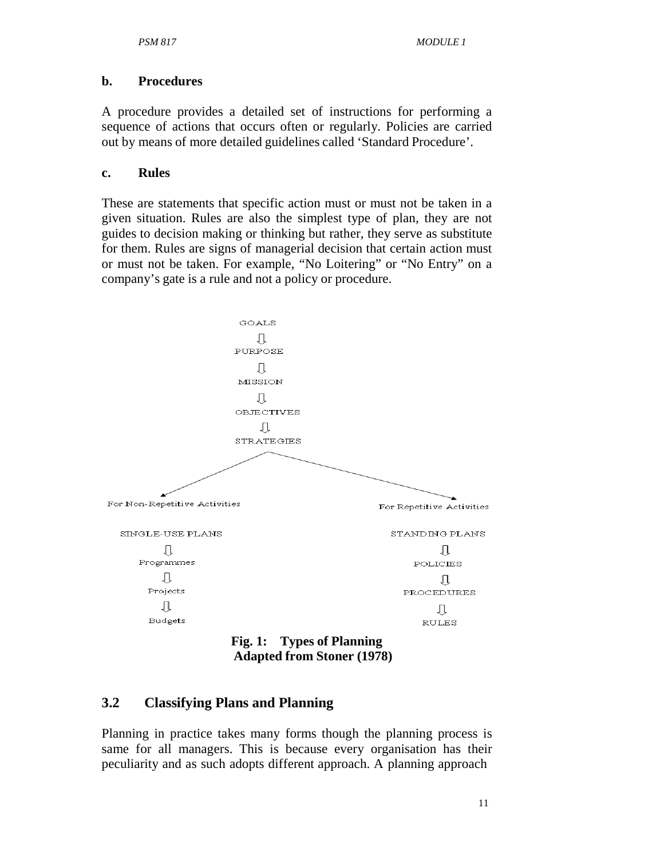## **b. Procedures**

A procedure provides a detailed set of instructions for performing a sequence of actions that occurs often or regularly. Policies are carried out by means of more detailed guidelines called 'Standard Procedure'.

## **c. Rules**

These are statements that specific action must or must not be taken in a given situation. Rules are also the simplest type of plan, they are not guides to decision making or thinking but rather, they serve as substitute for them. Rules are signs of managerial decision that certain action must or must not be taken. For example, "No Loitering" or "No Entry" on a company's gate is a rule and not a policy or procedure.



# **3.2 Classifying Plans and Planning**

Planning in practice takes many forms though the planning process is same for all managers. This is because every organisation has their peculiarity and as such adopts different approach. A planning approach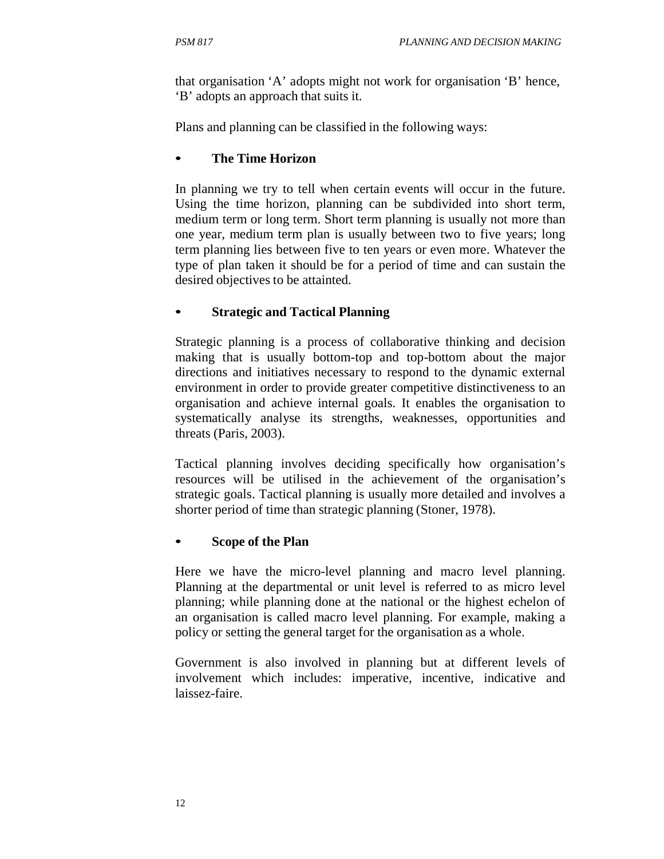that organisation 'A' adopts might not work for organisation 'B' hence, 'B' adopts an approach that suits it.

Plans and planning can be classified in the following ways:

## • **The Time Horizon**

In planning we try to tell when certain events will occur in the future. Using the time horizon, planning can be subdivided into short term, medium term or long term. Short term planning is usually not more than one year, medium term plan is usually between two to five years; long term planning lies between five to ten years or even more. Whatever the type of plan taken it should be for a period of time and can sustain the desired objectives to be attainted.

# • **Strategic and Tactical Planning**

Strategic planning is a process of collaborative thinking and decision making that is usually bottom-top and top-bottom about the major directions and initiatives necessary to respond to the dynamic external environment in order to provide greater competitive distinctiveness to an organisation and achieve internal goals. It enables the organisation to systematically analyse its strengths, weaknesses, opportunities and threats (Paris, 2003).

Tactical planning involves deciding specifically how organisation's resources will be utilised in the achievement of the organisation's strategic goals. Tactical planning is usually more detailed and involves a shorter period of time than strategic planning (Stoner, 1978).

## • **Scope of the Plan**

Here we have the micro-level planning and macro level planning. Planning at the departmental or unit level is referred to as micro level planning; while planning done at the national or the highest echelon of an organisation is called macro level planning. For example, making a policy or setting the general target for the organisation as a whole.

Government is also involved in planning but at different levels of involvement which includes: imperative, incentive, indicative and laissez-faire.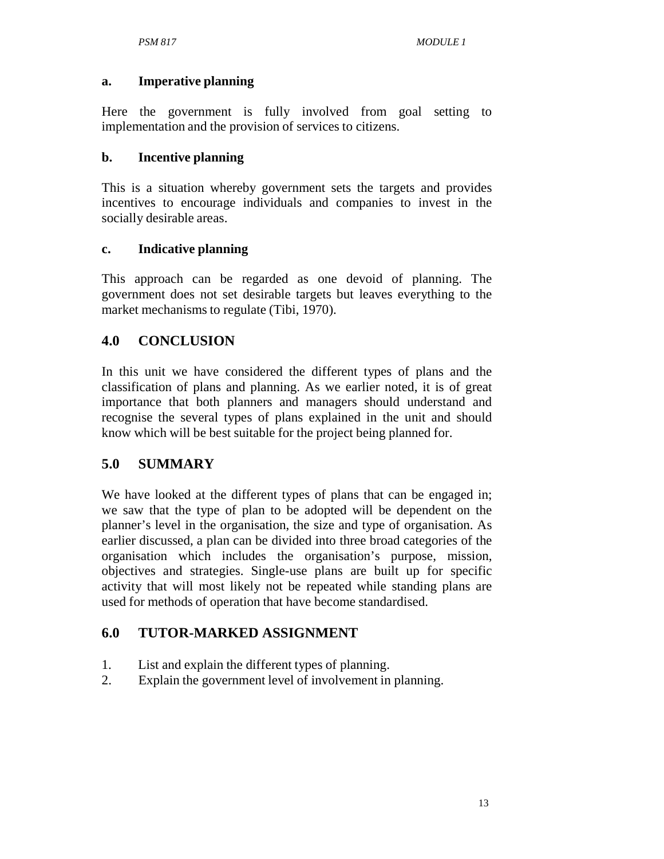## **a. Imperative planning**

Here the government is fully involved from goal setting to implementation and the provision of services to citizens.

## **b. Incentive planning**

This is a situation whereby government sets the targets and provides incentives to encourage individuals and companies to invest in the socially desirable areas.

# **c. Indicative planning**

This approach can be regarded as one devoid of planning. The government does not set desirable targets but leaves everything to the market mechanisms to regulate (Tibi, 1970).

# **4.0 CONCLUSION**

In this unit we have considered the different types of plans and the classification of plans and planning. As we earlier noted, it is of great importance that both planners and managers should understand and recognise the several types of plans explained in the unit and should know which will be best suitable for the project being planned for.

# **5.0 SUMMARY**

We have looked at the different types of plans that can be engaged in; we saw that the type of plan to be adopted will be dependent on the planner's level in the organisation, the size and type of organisation. As earlier discussed, a plan can be divided into three broad categories of the organisation which includes the organisation's purpose, mission, objectives and strategies. Single-use plans are built up for specific activity that will most likely not be repeated while standing plans are used for methods of operation that have become standardised.

# **6.0 TUTOR-MARKED ASSIGNMENT**

- 1. List and explain the different types of planning.
- 2. Explain the government level of involvement in planning.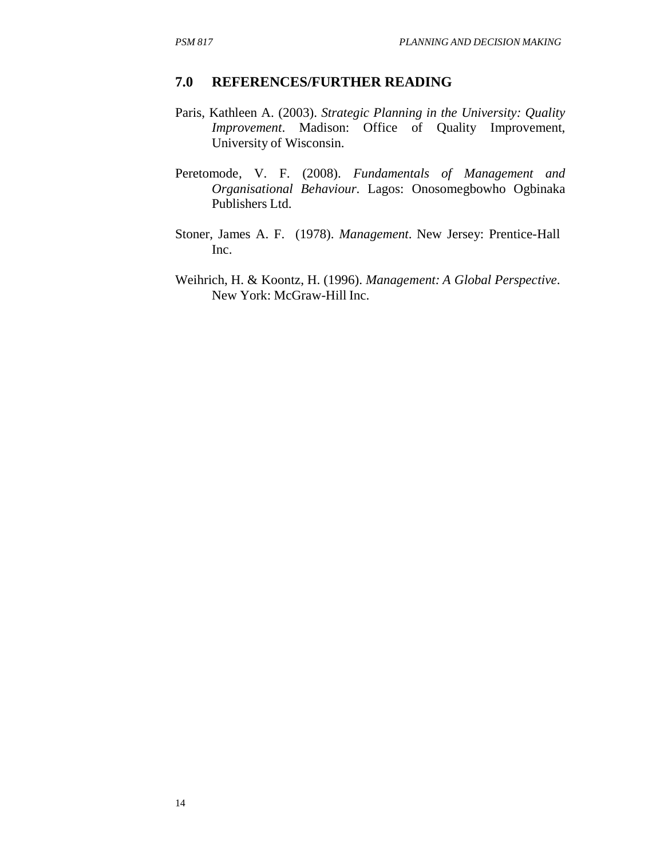## **7.0 REFERENCES/FURTHER READING**

- Paris, Kathleen A. (2003). *Strategic Planning in the University: Quality Improvement*. Madison: Office of Quality Improvement, University of Wisconsin.
- Peretomode, V. F. (2008). *Fundamentals of Management and Organisational Behaviour*. Lagos: Onosomegbowho Ogbinaka Publishers Ltd.
- Stoner, James A. F. (1978). *Management*. New Jersey: Prentice-Hall Inc.
- Weihrich, H. & Koontz, H. (1996). *Management: A Global Perspective*. New York: McGraw-Hill Inc.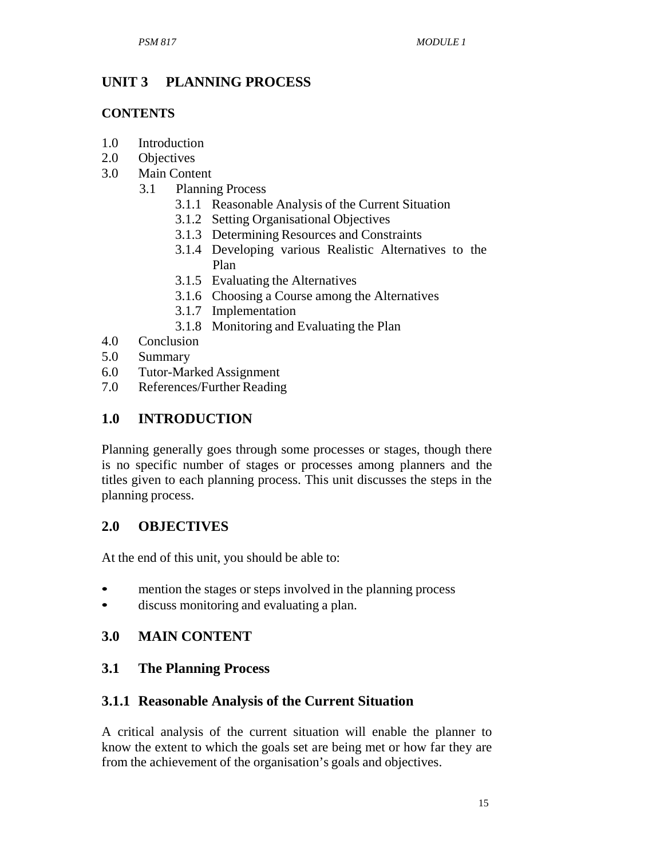# **UNIT 3 PLANNING PROCESS**

## **CONTENTS**

- 1.0 Introduction
- 2.0 Objectives
- 3.0 Main Content
	- 3.1 Planning Process
		- 3.1.1 Reasonable Analysis of the Current Situation
		- 3.1.2 Setting Organisational Objectives
		- 3.1.3 Determining Resources and Constraints
		- 3.1.4 Developing various Realistic Alternatives to the Plan
		- 3.1.5 Evaluating the Alternatives
		- 3.1.6 Choosing a Course among the Alternatives
		- 3.1.7 Implementation
		- 3.1.8 Monitoring and Evaluating the Plan
- 4.0 Conclusion
- 5.0 Summary
- 6.0 Tutor-Marked Assignment
- 7.0 References/Further Reading

# **1.0 INTRODUCTION**

Planning generally goes through some processes or stages, though there is no specific number of stages or processes among planners and the titles given to each planning process. This unit discusses the steps in the planning process.

# **2.0 OBJECTIVES**

At the end of this unit, you should be able to:

- mention the stages or steps involved in the planning process
- discuss monitoring and evaluating a plan.

# **3.0 MAIN CONTENT**

# **3.1 The Planning Process**

# **3.1.1 Reasonable Analysis of the Current Situation**

A critical analysis of the current situation will enable the planner to know the extent to which the goals set are being met or how far they are from the achievement of the organisation's goals and objectives.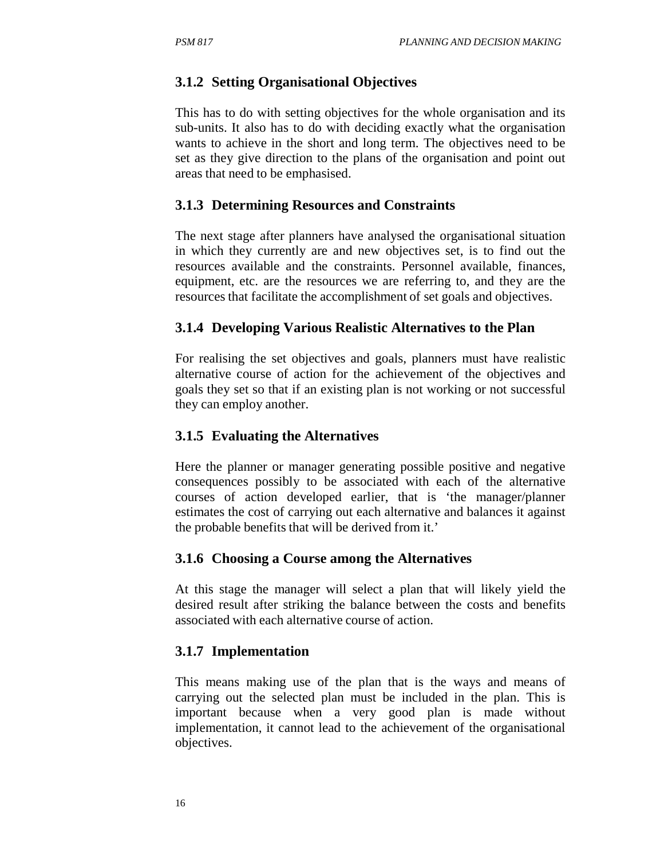# **3.1.2 Setting Organisational Objectives**

This has to do with setting objectives for the whole organisation and its sub-units. It also has to do with deciding exactly what the organisation wants to achieve in the short and long term. The objectives need to be set as they give direction to the plans of the organisation and point out areas that need to be emphasised.

# **3.1.3 Determining Resources and Constraints**

The next stage after planners have analysed the organisational situation in which they currently are and new objectives set, is to find out the resources available and the constraints. Personnel available, finances, equipment, etc. are the resources we are referring to, and they are the resources that facilitate the accomplishment of set goals and objectives.

# **3.1.4 Developing Various Realistic Alternatives to the Plan**

For realising the set objectives and goals, planners must have realistic alternative course of action for the achievement of the objectives and goals they set so that if an existing plan is not working or not successful they can employ another.

# **3.1.5 Evaluating the Alternatives**

Here the planner or manager generating possible positive and negative consequences possibly to be associated with each of the alternative courses of action developed earlier, that is 'the manager/planner estimates the cost of carrying out each alternative and balances it against the probable benefits that will be derived from it.'

## **3.1.6 Choosing a Course among the Alternatives**

At this stage the manager will select a plan that will likely yield the desired result after striking the balance between the costs and benefits associated with each alternative course of action.

## **3.1.7 Implementation**

This means making use of the plan that is the ways and means of carrying out the selected plan must be included in the plan. This is important because when a very good plan is made without implementation, it cannot lead to the achievement of the organisational objectives.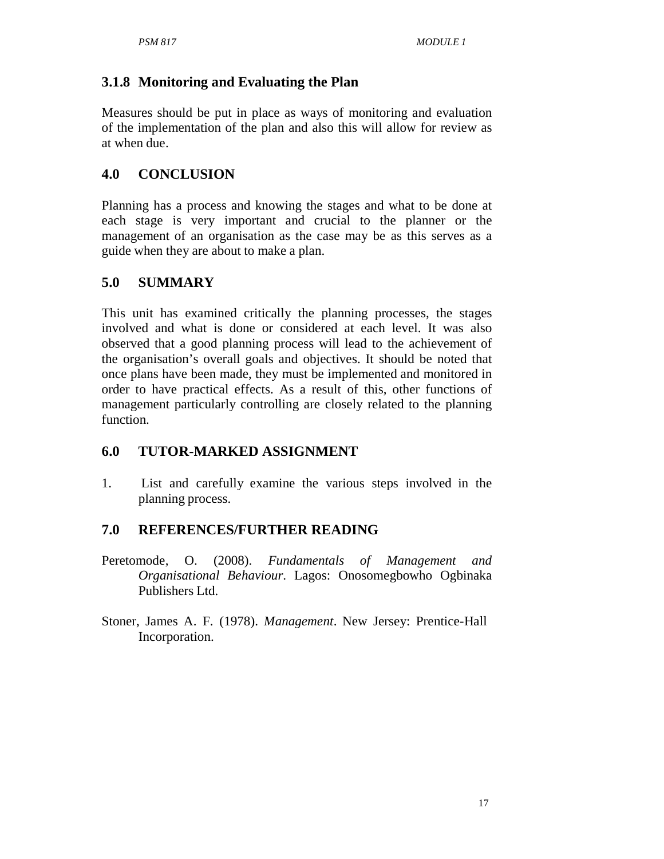# **3.1.8 Monitoring and Evaluating the Plan**

Measures should be put in place as ways of monitoring and evaluation of the implementation of the plan and also this will allow for review as at when due.

# **4.0 CONCLUSION**

Planning has a process and knowing the stages and what to be done at each stage is very important and crucial to the planner or the management of an organisation as the case may be as this serves as a guide when they are about to make a plan.

# **5.0 SUMMARY**

This unit has examined critically the planning processes, the stages involved and what is done or considered at each level. It was also observed that a good planning process will lead to the achievement of the organisation's overall goals and objectives. It should be noted that once plans have been made, they must be implemented and monitored in order to have practical effects. As a result of this, other functions of management particularly controlling are closely related to the planning function.

## **6.0 TUTOR-MARKED ASSIGNMENT**

1. List and carefully examine the various steps involved in the planning process.

# **7.0 REFERENCES/FURTHER READING**

- Peretomode, O. (2008). *Fundamentals of Management and Organisational Behaviour*. Lagos: Onosomegbowho Ogbinaka Publishers Ltd.
- Stoner, James A. F. (1978). *Management*. New Jersey: Prentice-Hall Incorporation.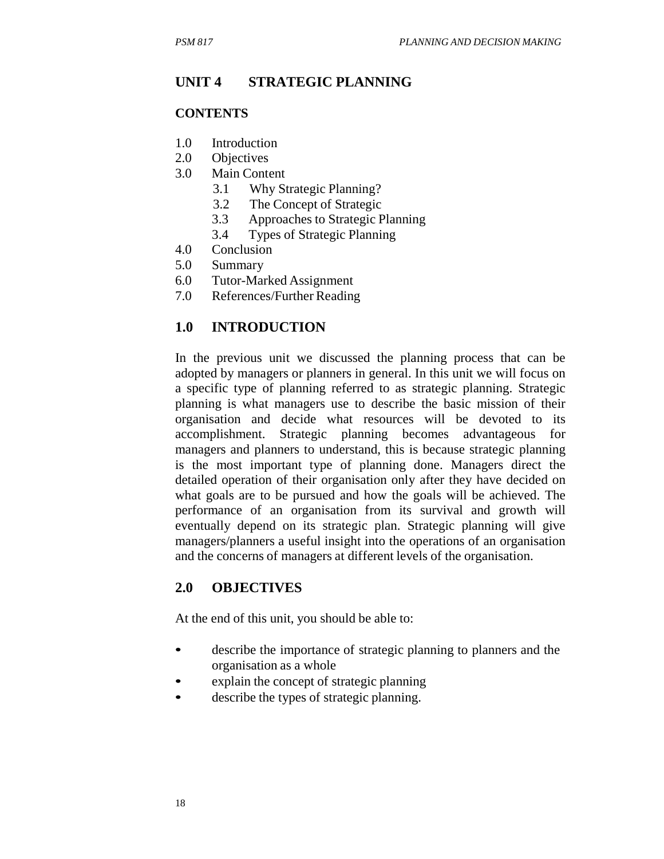# **UNIT 4 STRATEGIC PLANNING**

#### **CONTENTS**

- 1.0 Introduction
- 2.0 Objectives
- 3.0 Main Content
	- 3.1 Why Strategic Planning?
	- 3.2 The Concept of Strategic
	- 3.3 Approaches to Strategic Planning
	- 3.4 Types of Strategic Planning
- 4.0 Conclusion
- 5.0 Summary
- 6.0 Tutor-Marked Assignment
- 7.0 References/Further Reading

# **1.0 INTRODUCTION**

In the previous unit we discussed the planning process that can be adopted by managers or planners in general. In this unit we will focus on a specific type of planning referred to as strategic planning. Strategic planning is what managers use to describe the basic mission of their organisation and decide what resources will be devoted to its accomplishment. Strategic planning becomes advantageous for managers and planners to understand, this is because strategic planning is the most important type of planning done. Managers direct the detailed operation of their organisation only after they have decided on what goals are to be pursued and how the goals will be achieved. The performance of an organisation from its survival and growth will eventually depend on its strategic plan. Strategic planning will give managers/planners a useful insight into the operations of an organisation and the concerns of managers at different levels of the organisation.

## **2.0 OBJECTIVES**

At the end of this unit, you should be able to:

- describe the importance of strategic planning to planners and the organisation as a whole
- explain the concept of strategic planning
- describe the types of strategic planning.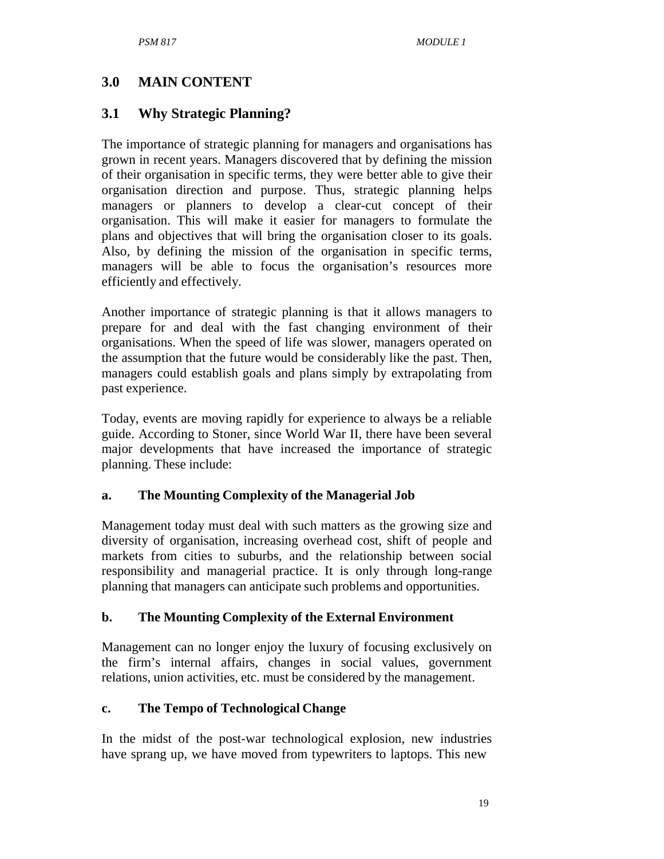# **3.0 MAIN CONTENT**

# **3.1 Why Strategic Planning?**

The importance of strategic planning for managers and organisations has grown in recent years. Managers discovered that by defining the mission of their organisation in specific terms, they were better able to give their organisation direction and purpose. Thus, strategic planning helps managers or planners to develop a clear-cut concept of their organisation. This will make it easier for managers to formulate the plans and objectives that will bring the organisation closer to its goals. Also, by defining the mission of the organisation in specific terms, managers will be able to focus the organisation's resources more efficiently and effectively.

Another importance of strategic planning is that it allows managers to prepare for and deal with the fast changing environment of their organisations. When the speed of life was slower, managers operated on the assumption that the future would be considerably like the past. Then, managers could establish goals and plans simply by extrapolating from past experience.

Today, events are moving rapidly for experience to always be a reliable guide. According to Stoner, since World War II, there have been several major developments that have increased the importance of strategic planning. These include:

## **a. The Mounting Complexity of the Managerial Job**

Management today must deal with such matters as the growing size and diversity of organisation, increasing overhead cost, shift of people and markets from cities to suburbs, and the relationship between social responsibility and managerial practice. It is only through long-range planning that managers can anticipate such problems and opportunities.

## **b. The Mounting Complexity of the External Environment**

Management can no longer enjoy the luxury of focusing exclusively on the firm's internal affairs, changes in social values, government relations, union activities, etc. must be considered by the management.

#### **c. The Tempo of Technological Change**

In the midst of the post-war technological explosion, new industries have sprang up, we have moved from typewriters to laptops. This new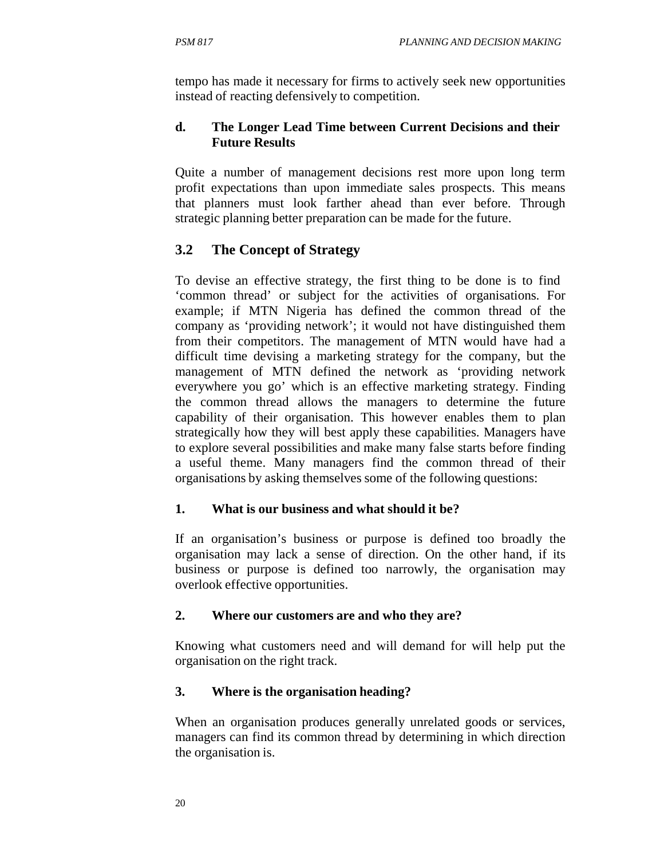tempo has made it necessary for firms to actively seek new opportunities instead of reacting defensively to competition.

## **d. The Longer Lead Time between Current Decisions and their Future Results**

Quite a number of management decisions rest more upon long term profit expectations than upon immediate sales prospects. This means that planners must look farther ahead than ever before. Through strategic planning better preparation can be made for the future.

# **3.2 The Concept of Strategy**

To devise an effective strategy, the first thing to be done is to find 'common thread' or subject for the activities of organisations. For example; if MTN Nigeria has defined the common thread of the company as 'providing network'; it would not have distinguished them from their competitors. The management of MTN would have had a difficult time devising a marketing strategy for the company, but the management of MTN defined the network as 'providing network everywhere you go' which is an effective marketing strategy. Finding the common thread allows the managers to determine the future capability of their organisation. This however enables them to plan strategically how they will best apply these capabilities. Managers have to explore several possibilities and make many false starts before finding a useful theme. Many managers find the common thread of their organisations by asking themselves some of the following questions:

## **1. What is our business and what should it be?**

If an organisation's business or purpose is defined too broadly the organisation may lack a sense of direction. On the other hand, if its business or purpose is defined too narrowly, the organisation may overlook effective opportunities.

## **2. Where our customers are and who they are?**

Knowing what customers need and will demand for will help put the organisation on the right track.

## **3. Where is the organisation heading?**

When an organisation produces generally unrelated goods or services, managers can find its common thread by determining in which direction the organisation is.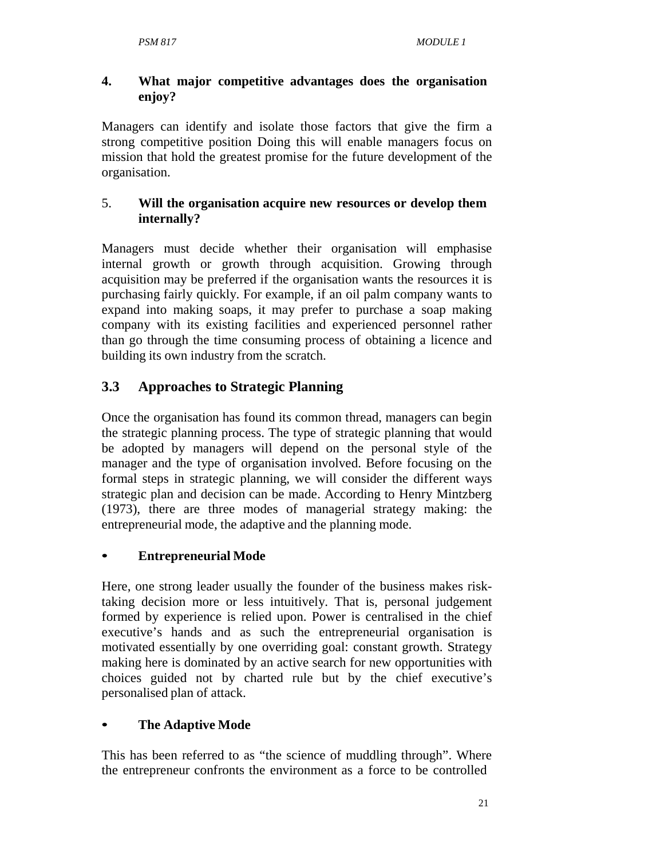# **4. What major competitive advantages does the organisation enjoy?**

Managers can identify and isolate those factors that give the firm a strong competitive position Doing this will enable managers focus on mission that hold the greatest promise for the future development of the organisation.

# 5. **Will the organisation acquire new resources or develop them internally?**

Managers must decide whether their organisation will emphasise internal growth or growth through acquisition. Growing through acquisition may be preferred if the organisation wants the resources it is purchasing fairly quickly. For example, if an oil palm company wants to expand into making soaps, it may prefer to purchase a soap making company with its existing facilities and experienced personnel rather than go through the time consuming process of obtaining a licence and building its own industry from the scratch.

# **3.3 Approaches to Strategic Planning**

Once the organisation has found its common thread, managers can begin the strategic planning process. The type of strategic planning that would be adopted by managers will depend on the personal style of the manager and the type of organisation involved. Before focusing on the formal steps in strategic planning, we will consider the different ways strategic plan and decision can be made. According to Henry Mintzberg (1973), there are three modes of managerial strategy making: the entrepreneurial mode, the adaptive and the planning mode.

# • **Entrepreneurial Mode**

Here, one strong leader usually the founder of the business makes risktaking decision more or less intuitively. That is, personal judgement formed by experience is relied upon. Power is centralised in the chief executive's hands and as such the entrepreneurial organisation is motivated essentially by one overriding goal: constant growth. Strategy making here is dominated by an active search for new opportunities with choices guided not by charted rule but by the chief executive's personalised plan of attack.

# • **The Adaptive Mode**

This has been referred to as "the science of muddling through". Where the entrepreneur confronts the environment as a force to be controlled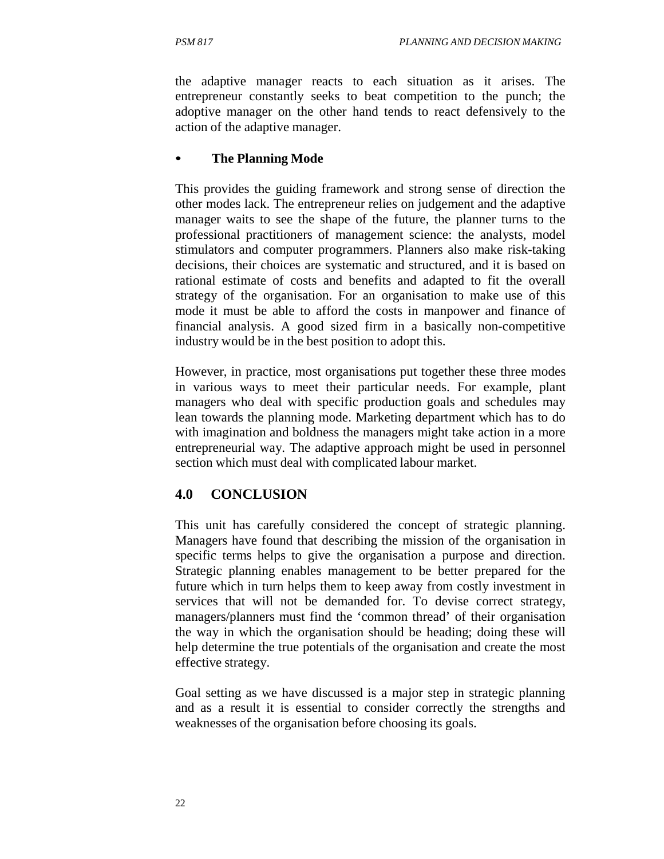the adaptive manager reacts to each situation as it arises. The entrepreneur constantly seeks to beat competition to the punch; the adoptive manager on the other hand tends to react defensively to the action of the adaptive manager.

## • **The Planning Mode**

This provides the guiding framework and strong sense of direction the other modes lack. The entrepreneur relies on judgement and the adaptive manager waits to see the shape of the future, the planner turns to the professional practitioners of management science: the analysts, model stimulators and computer programmers. Planners also make risk-taking decisions, their choices are systematic and structured, and it is based on rational estimate of costs and benefits and adapted to fit the overall strategy of the organisation. For an organisation to make use of this mode it must be able to afford the costs in manpower and finance of financial analysis. A good sized firm in a basically non-competitive industry would be in the best position to adopt this.

However, in practice, most organisations put together these three modes in various ways to meet their particular needs. For example, plant managers who deal with specific production goals and schedules may lean towards the planning mode. Marketing department which has to do with imagination and boldness the managers might take action in a more entrepreneurial way. The adaptive approach might be used in personnel section which must deal with complicated labour market.

# **4.0 CONCLUSION**

This unit has carefully considered the concept of strategic planning. Managers have found that describing the mission of the organisation in specific terms helps to give the organisation a purpose and direction. Strategic planning enables management to be better prepared for the future which in turn helps them to keep away from costly investment in services that will not be demanded for. To devise correct strategy, managers/planners must find the 'common thread' of their organisation the way in which the organisation should be heading; doing these will help determine the true potentials of the organisation and create the most effective strategy.

Goal setting as we have discussed is a major step in strategic planning and as a result it is essential to consider correctly the strengths and weaknesses of the organisation before choosing its goals.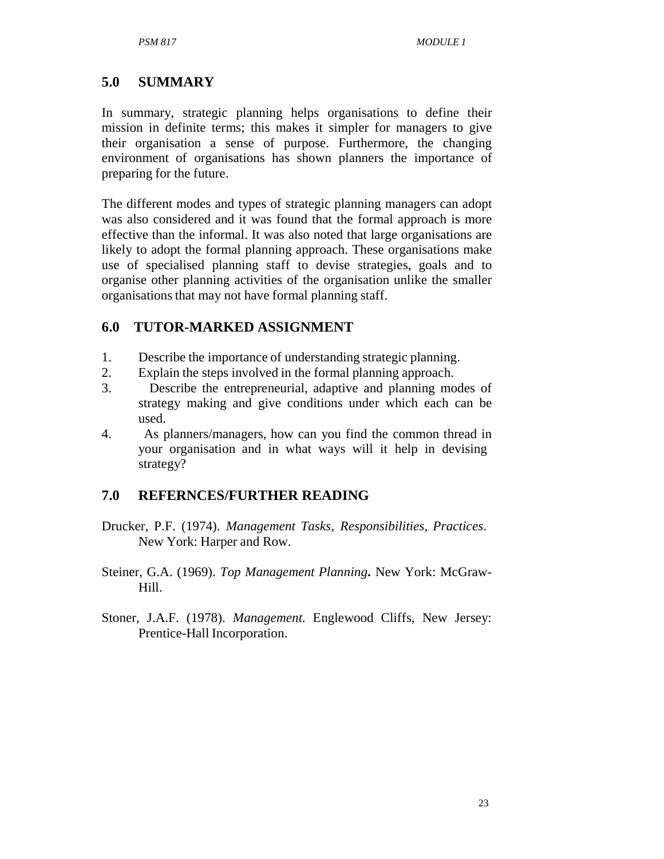# **5.0 SUMMARY**

In summary, strategic planning helps organisations to define their mission in definite terms; this makes it simpler for managers to give their organisation a sense of purpose. Furthermore, the changing environment of organisations has shown planners the importance of preparing for the future.

The different modes and types of strategic planning managers can adopt was also considered and it was found that the formal approach is more effective than the informal. It was also noted that large organisations are likely to adopt the formal planning approach. These organisations make use of specialised planning staff to devise strategies, goals and to organise other planning activities of the organisation unlike the smaller organisations that may not have formal planning staff.

# **6.0 TUTOR-MARKED ASSIGNMENT**

- 1. Describe the importance of understanding strategic planning.
- 2. Explain the steps involved in the formal planning approach.
- 3. Describe the entrepreneurial, adaptive and planning modes of strategy making and give conditions under which each can be used.
- 4. As planners/managers, how can you find the common thread in your organisation and in what ways will it help in devising strategy?

# **7.0 REFERNCES/FURTHER READING**

- Drucker, P.F. (1974). *Management Tasks, Responsibilities, Practices*. New York: Harper and Row.
- Steiner, G.A. (1969). *Top Management Planning***.** New York: McGraw-Hill.
- Stoner, J.A.F. (1978). *Management.* Englewood Cliffs, New Jersey: Prentice-Hall Incorporation.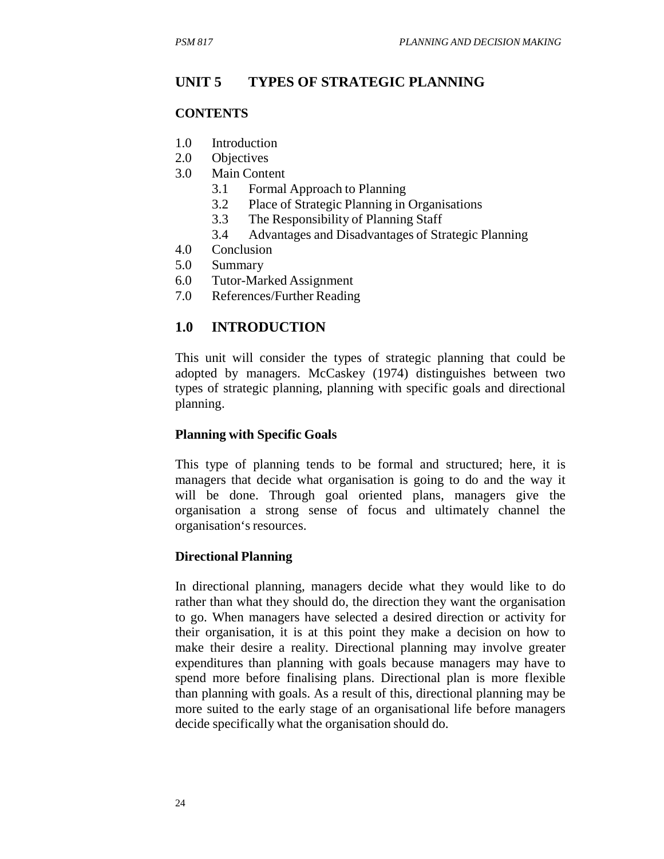# **UNIT 5 TYPES OF STRATEGIC PLANNING**

## **CONTENTS**

- 1.0 Introduction
- 2.0 Objectives
- 3.0 Main Content
	- 3.1 Formal Approach to Planning
	- 3.2 Place of Strategic Planning in Organisations
	- 3.3 The Responsibility of Planning Staff
	- 3.4 Advantages and Disadvantages of Strategic Planning
- 4.0 Conclusion
- 5.0 Summary
- 6.0 Tutor-Marked Assignment
- 7.0 References/Further Reading

# **1.0 INTRODUCTION**

This unit will consider the types of strategic planning that could be adopted by managers. McCaskey (1974) distinguishes between two types of strategic planning, planning with specific goals and directional planning.

## **Planning with Specific Goals**

This type of planning tends to be formal and structured; here, it is managers that decide what organisation is going to do and the way it will be done. Through goal oriented plans, managers give the organisation a strong sense of focus and ultimately channel the organisation's resources.

## **Directional Planning**

In directional planning, managers decide what they would like to do rather than what they should do, the direction they want the organisation to go. When managers have selected a desired direction or activity for their organisation, it is at this point they make a decision on how to make their desire a reality. Directional planning may involve greater expenditures than planning with goals because managers may have to spend more before finalising plans. Directional plan is more flexible than planning with goals. As a result of this, directional planning may be more suited to the early stage of an organisational life before managers decide specifically what the organisation should do.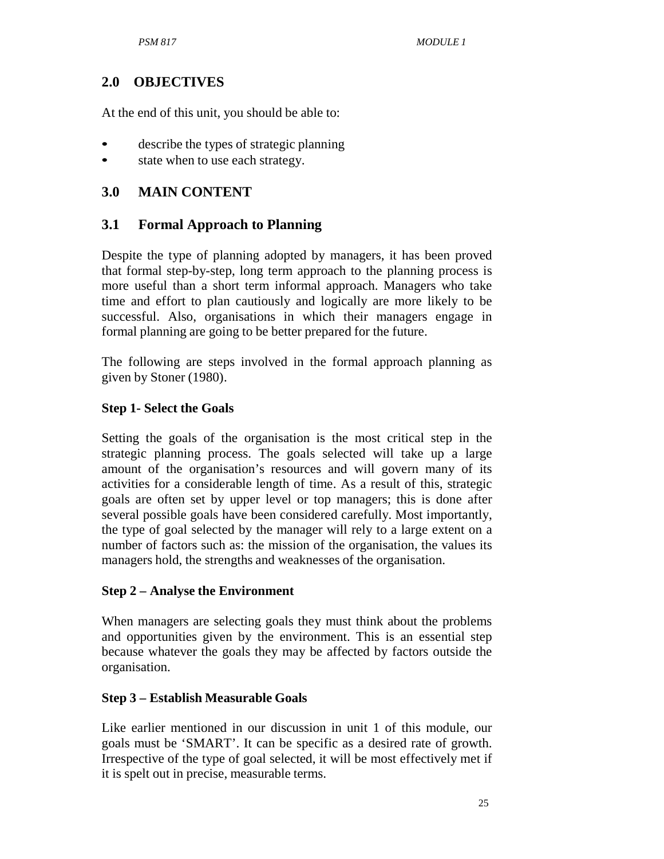# **2.0 OBJECTIVES**

At the end of this unit, you should be able to:

- describe the types of strategic planning
- state when to use each strategy.

# **3.0 MAIN CONTENT**

# **3.1 Formal Approach to Planning**

Despite the type of planning adopted by managers, it has been proved that formal step-by-step, long term approach to the planning process is more useful than a short term informal approach. Managers who take time and effort to plan cautiously and logically are more likely to be successful. Also, organisations in which their managers engage in formal planning are going to be better prepared for the future.

The following are steps involved in the formal approach planning as given by Stoner (1980).

# **Step 1- Select the Goals**

Setting the goals of the organisation is the most critical step in the strategic planning process. The goals selected will take up a large amount of the organisation's resources and will govern many of its activities for a considerable length of time. As a result of this, strategic goals are often set by upper level or top managers; this is done after several possible goals have been considered carefully. Most importantly, the type of goal selected by the manager will rely to a large extent on a number of factors such as: the mission of the organisation, the values its managers hold, the strengths and weaknesses of the organisation.

## **Step 2 – Analyse the Environment**

When managers are selecting goals they must think about the problems and opportunities given by the environment. This is an essential step because whatever the goals they may be affected by factors outside the organisation.

# **Step 3 – Establish Measurable Goals**

Like earlier mentioned in our discussion in unit 1 of this module, our goals must be 'SMART'. It can be specific as a desired rate of growth. Irrespective of the type of goal selected, it will be most effectively met if it is spelt out in precise, measurable terms.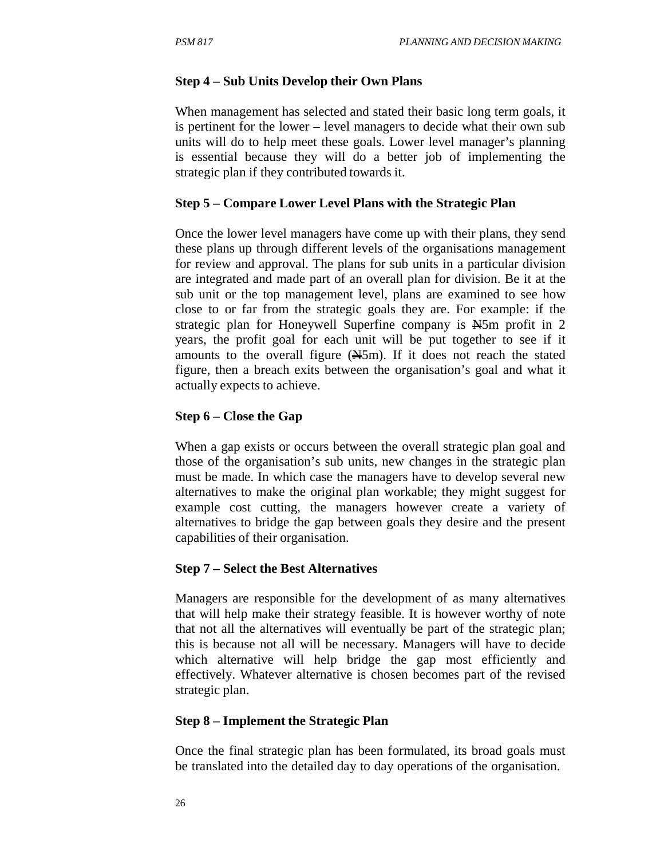## **Step 4 – Sub Units Develop their Own Plans**

When management has selected and stated their basic long term goals, it is pertinent for the lower – level managers to decide what their own sub units will do to help meet these goals. Lower level manager's planning is essential because they will do a better job of implementing the strategic plan if they contributed towards it.

# **Step 5 – Compare Lower Level Plans with the Strategic Plan**

Once the lower level managers have come up with their plans, they send these plans up through different levels of the organisations management for review and approval. The plans for sub units in a particular division are integrated and made part of an overall plan for division. Be it at the sub unit or the top management level, plans are examined to see how close to or far from the strategic goals they are. For example: if the strategic plan for Honeywell Superfine company is  $\mathbb{N}$ 5m profit in 2 years, the profit goal for each unit will be put together to see if it amounts to the overall figure  $(M5m)$ . If it does not reach the stated figure, then a breach exits between the organisation's goal and what it actually expects to achieve.

## **Step 6 – Close the Gap**

When a gap exists or occurs between the overall strategic plan goal and those of the organisation's sub units, new changes in the strategic plan must be made. In which case the managers have to develop several new alternatives to make the original plan workable; they might suggest for example cost cutting, the managers however create a variety of alternatives to bridge the gap between goals they desire and the present capabilities of their organisation.

## **Step 7 – Select the Best Alternatives**

Managers are responsible for the development of as many alternatives that will help make their strategy feasible. It is however worthy of note that not all the alternatives will eventually be part of the strategic plan; this is because not all will be necessary. Managers will have to decide which alternative will help bridge the gap most efficiently and effectively. Whatever alternative is chosen becomes part of the revised strategic plan.

## **Step 8 – Implement the Strategic Plan**

Once the final strategic plan has been formulated, its broad goals must be translated into the detailed day to day operations of the organisation.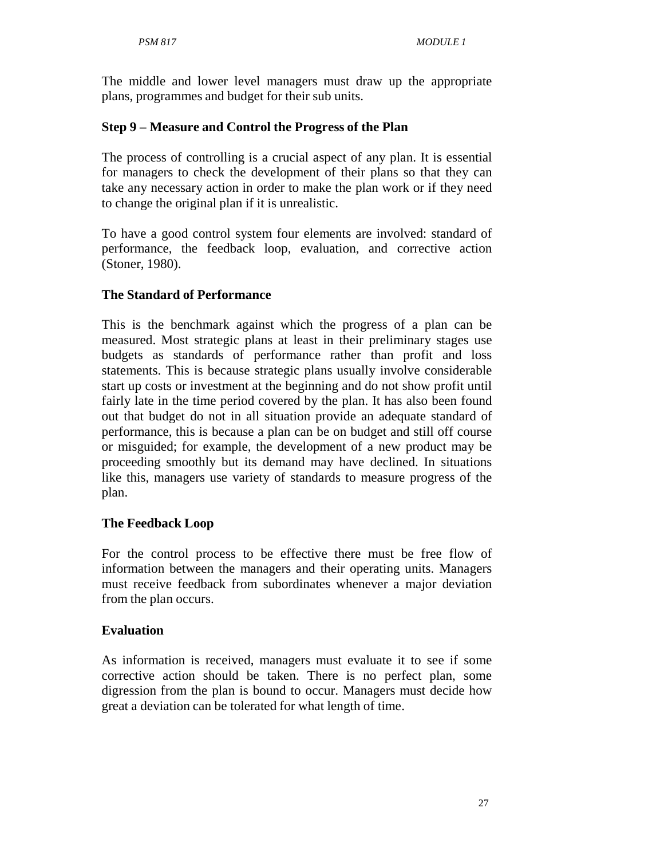The middle and lower level managers must draw up the appropriate plans, programmes and budget for their sub units.

## **Step 9 – Measure and Control the Progress of the Plan**

The process of controlling is a crucial aspect of any plan. It is essential for managers to check the development of their plans so that they can take any necessary action in order to make the plan work or if they need to change the original plan if it is unrealistic.

To have a good control system four elements are involved: standard of performance, the feedback loop, evaluation, and corrective action (Stoner, 1980).

## **The Standard of Performance**

This is the benchmark against which the progress of a plan can be measured. Most strategic plans at least in their preliminary stages use budgets as standards of performance rather than profit and loss statements. This is because strategic plans usually involve considerable start up costs or investment at the beginning and do not show profit until fairly late in the time period covered by the plan. It has also been found out that budget do not in all situation provide an adequate standard of performance, this is because a plan can be on budget and still off course or misguided; for example, the development of a new product may be proceeding smoothly but its demand may have declined. In situations like this, managers use variety of standards to measure progress of the plan.

### **The Feedback Loop**

For the control process to be effective there must be free flow of information between the managers and their operating units. Managers must receive feedback from subordinates whenever a major deviation from the plan occurs.

### **Evaluation**

As information is received, managers must evaluate it to see if some corrective action should be taken. There is no perfect plan, some digression from the plan is bound to occur. Managers must decide how great a deviation can be tolerated for what length of time.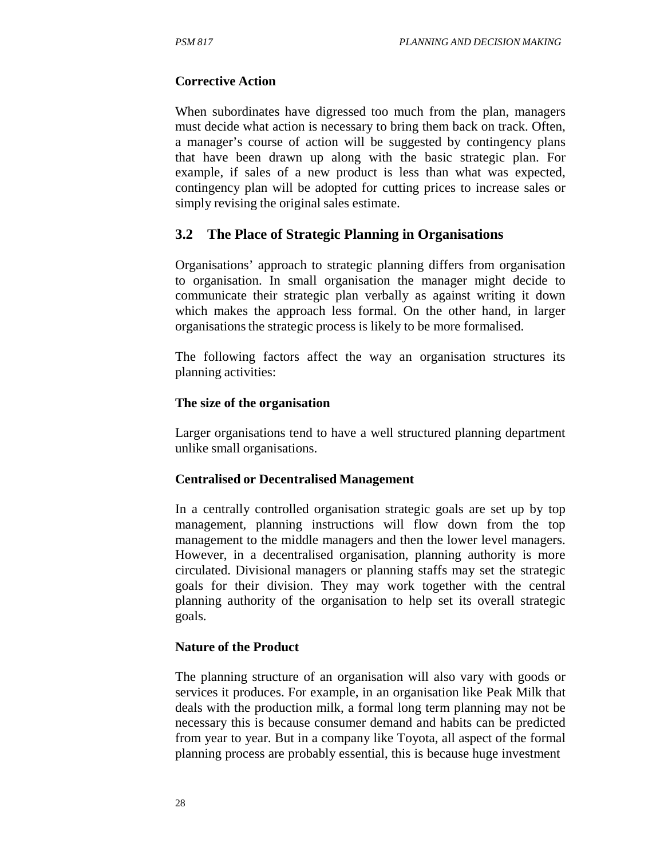### **Corrective Action**

When subordinates have digressed too much from the plan, managers must decide what action is necessary to bring them back on track. Often, a manager's course of action will be suggested by contingency plans that have been drawn up along with the basic strategic plan. For example, if sales of a new product is less than what was expected, contingency plan will be adopted for cutting prices to increase sales or simply revising the original sales estimate.

## **3.2 The Place of Strategic Planning in Organisations**

Organisations' approach to strategic planning differs from organisation to organisation. In small organisation the manager might decide to communicate their strategic plan verbally as against writing it down which makes the approach less formal. On the other hand, in larger organisations the strategic process is likely to be more formalised.

The following factors affect the way an organisation structures its planning activities:

#### **The size of the organisation**

Larger organisations tend to have a well structured planning department unlike small organisations.

#### **Centralised or Decentralised Management**

In a centrally controlled organisation strategic goals are set up by top management, planning instructions will flow down from the top management to the middle managers and then the lower level managers. However, in a decentralised organisation, planning authority is more circulated. Divisional managers or planning staffs may set the strategic goals for their division. They may work together with the central planning authority of the organisation to help set its overall strategic goals.

#### **Nature of the Product**

The planning structure of an organisation will also vary with goods or services it produces. For example, in an organisation like Peak Milk that deals with the production milk, a formal long term planning may not be necessary this is because consumer demand and habits can be predicted from year to year. But in a company like Toyota, all aspect of the formal planning process are probably essential, this is because huge investment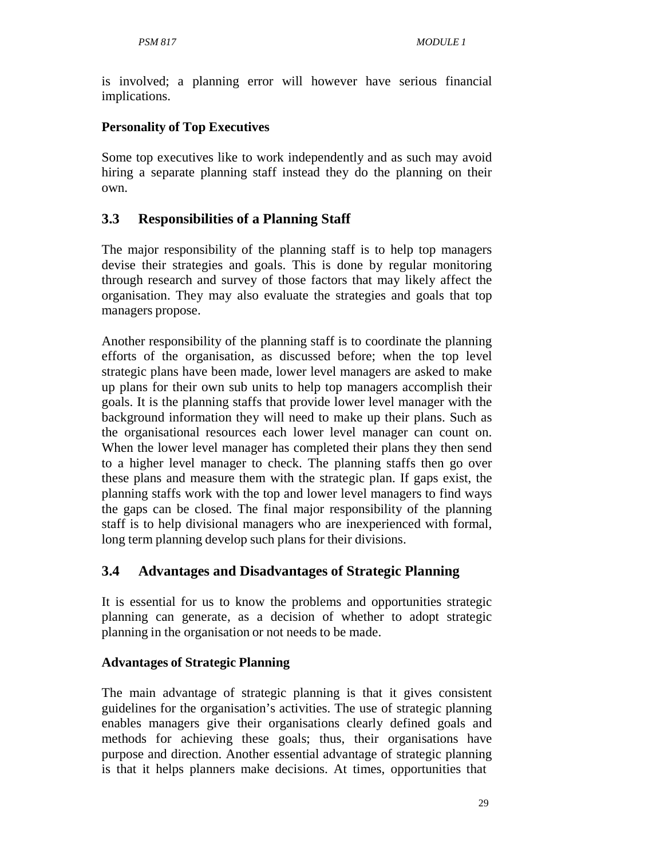is involved; a planning error will however have serious financial implications.

### **Personality of Top Executives**

Some top executives like to work independently and as such may avoid hiring a separate planning staff instead they do the planning on their own.

# **3.3 Responsibilities of a Planning Staff**

The major responsibility of the planning staff is to help top managers devise their strategies and goals. This is done by regular monitoring through research and survey of those factors that may likely affect the organisation. They may also evaluate the strategies and goals that top managers propose.

Another responsibility of the planning staff is to coordinate the planning efforts of the organisation, as discussed before; when the top level strategic plans have been made, lower level managers are asked to make up plans for their own sub units to help top managers accomplish their goals. It is the planning staffs that provide lower level manager with the background information they will need to make up their plans. Such as the organisational resources each lower level manager can count on. When the lower level manager has completed their plans they then send to a higher level manager to check. The planning staffs then go over these plans and measure them with the strategic plan. If gaps exist, the planning staffs work with the top and lower level managers to find ways the gaps can be closed. The final major responsibility of the planning staff is to help divisional managers who are inexperienced with formal, long term planning develop such plans for their divisions.

# **3.4 Advantages and Disadvantages of Strategic Planning**

It is essential for us to know the problems and opportunities strategic planning can generate, as a decision of whether to adopt strategic planning in the organisation or not needs to be made.

### **Advantages of Strategic Planning**

The main advantage of strategic planning is that it gives consistent guidelines for the organisation's activities. The use of strategic planning enables managers give their organisations clearly defined goals and methods for achieving these goals; thus, their organisations have purpose and direction. Another essential advantage of strategic planning is that it helps planners make decisions. At times, opportunities that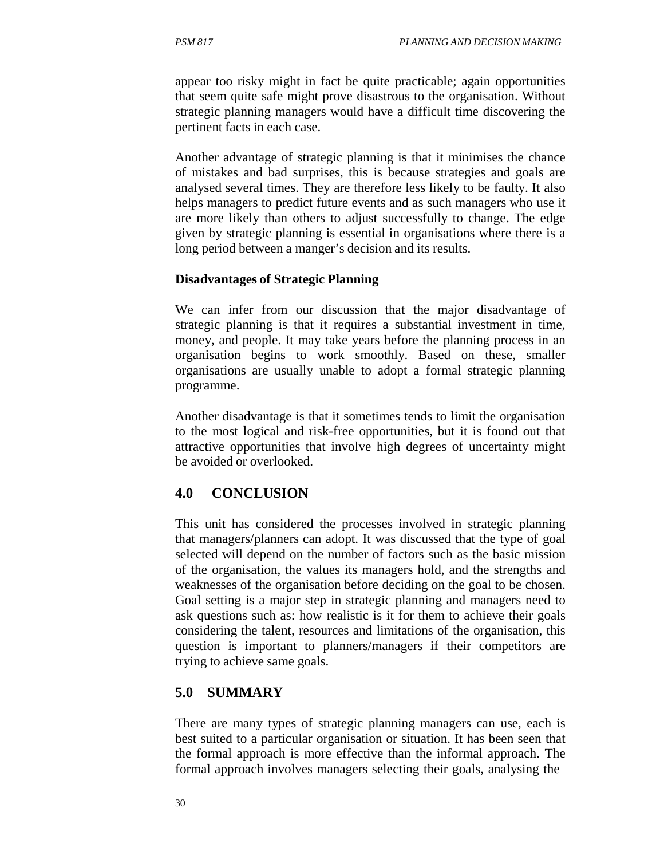appear too risky might in fact be quite practicable; again opportunities that seem quite safe might prove disastrous to the organisation. Without strategic planning managers would have a difficult time discovering the pertinent facts in each case.

Another advantage of strategic planning is that it minimises the chance of mistakes and bad surprises, this is because strategies and goals are analysed several times. They are therefore less likely to be faulty. It also helps managers to predict future events and as such managers who use it are more likely than others to adjust successfully to change. The edge given by strategic planning is essential in organisations where there is a long period between a manger's decision and its results.

#### **Disadvantages of Strategic Planning**

We can infer from our discussion that the major disadvantage of strategic planning is that it requires a substantial investment in time, money, and people. It may take years before the planning process in an organisation begins to work smoothly. Based on these, smaller organisations are usually unable to adopt a formal strategic planning programme.

Another disadvantage is that it sometimes tends to limit the organisation to the most logical and risk-free opportunities, but it is found out that attractive opportunities that involve high degrees of uncertainty might be avoided or overlooked.

## **4.0 CONCLUSION**

This unit has considered the processes involved in strategic planning that managers/planners can adopt. It was discussed that the type of goal selected will depend on the number of factors such as the basic mission of the organisation, the values its managers hold, and the strengths and weaknesses of the organisation before deciding on the goal to be chosen. Goal setting is a major step in strategic planning and managers need to ask questions such as: how realistic is it for them to achieve their goals considering the talent, resources and limitations of the organisation, this question is important to planners/managers if their competitors are trying to achieve same goals.

### **5.0 SUMMARY**

There are many types of strategic planning managers can use, each is best suited to a particular organisation or situation. It has been seen that the formal approach is more effective than the informal approach. The formal approach involves managers selecting their goals, analysing the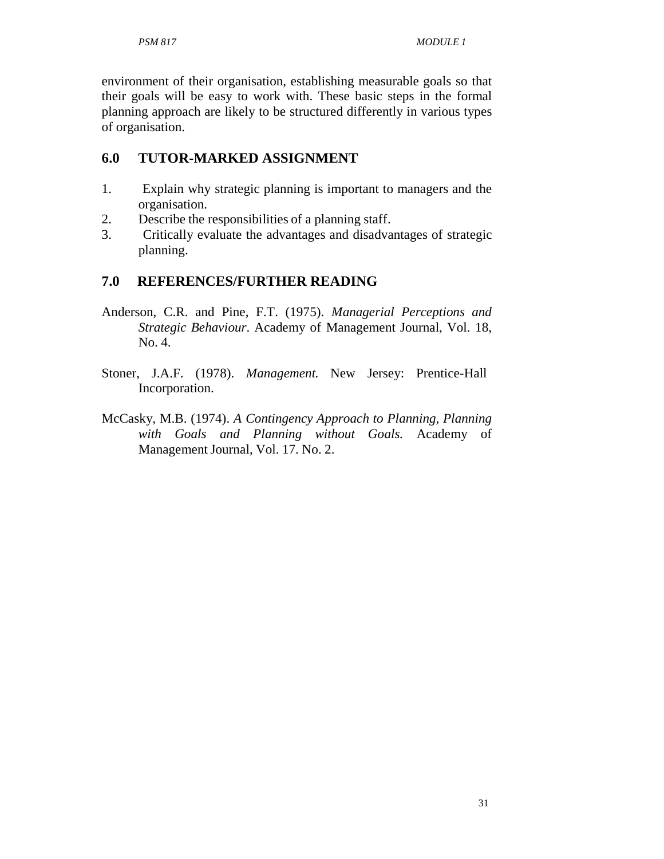environment of their organisation, establishing measurable goals so that their goals will be easy to work with. These basic steps in the formal planning approach are likely to be structured differently in various types of organisation.

## **6.0 TUTOR-MARKED ASSIGNMENT**

- 1. Explain why strategic planning is important to managers and the organisation.
- 2. Describe the responsibilities of a planning staff.
- 3. Critically evaluate the advantages and disadvantages of strategic planning.

# **7.0 REFERENCES/FURTHER READING**

- Anderson, C.R. and Pine, F.T. (1975). *Managerial Perceptions and Strategic Behaviour*. Academy of Management Journal, Vol. 18, No. 4.
- Stoner, J.A.F. (1978). *Management.* New Jersey: Prentice-Hall Incorporation.
- McCasky, M.B. (1974). *A Contingency Approach to Planning, Planning with Goals and Planning without Goals.* Academy of Management Journal, Vol. 17. No. 2.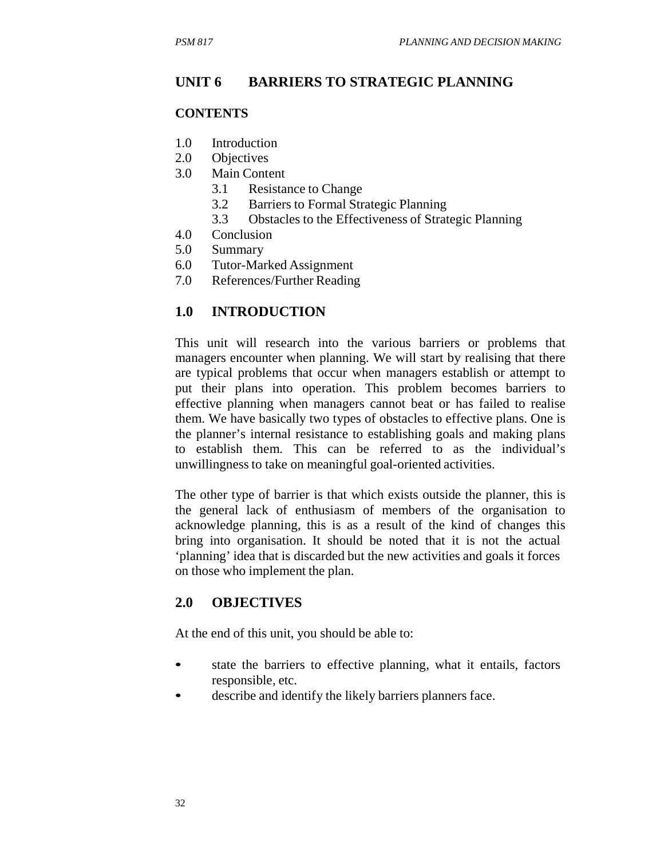#### **UNIT 6 BARRIERS TO STRATEGIC PLANNING**

#### **CONTENTS**

- 1.0 Introduction
- 2.0 Objectives
- 3.0 Main Content
	- 3.1 Resistance to Change
	- 3.2 Barriers to Formal Strategic Planning
	- 3.3 Obstacles to the Effectiveness of Strategic Planning
- 4.0 Conclusion
- 5.0 Summary
- 6.0 Tutor-Marked Assignment
- 7.0 References/Further Reading

### **1.0 INTRODUCTION**

This unit will research into the various barriers or problems that managers encounter when planning. We will start by realising that there are typical problems that occur when managers establish or attempt to put their plans into operation. This problem becomes barriers to effective planning when managers cannot beat or has failed to realise them. We have basically two types of obstacles to effective plans. One is the planner's internal resistance to establishing goals and making plans to establish them. This can be referred to as the individual's unwillingness to take on meaningful goal-oriented activities.

The other type of barrier is that which exists outside the planner, this is the general lack of enthusiasm of members of the organisation to acknowledge planning, this is as a result of the kind of changes this bring into organisation. It should be noted that it is not the actual 'planning' idea that is discarded but the new activities and goals it forces on those who implement the plan.

#### **2.0 OBJECTIVES**

At the end of this unit, you should be able to:

- state the barriers to effective planning, what it entails, factors responsible, etc.
- describe and identify the likely barriers planners face.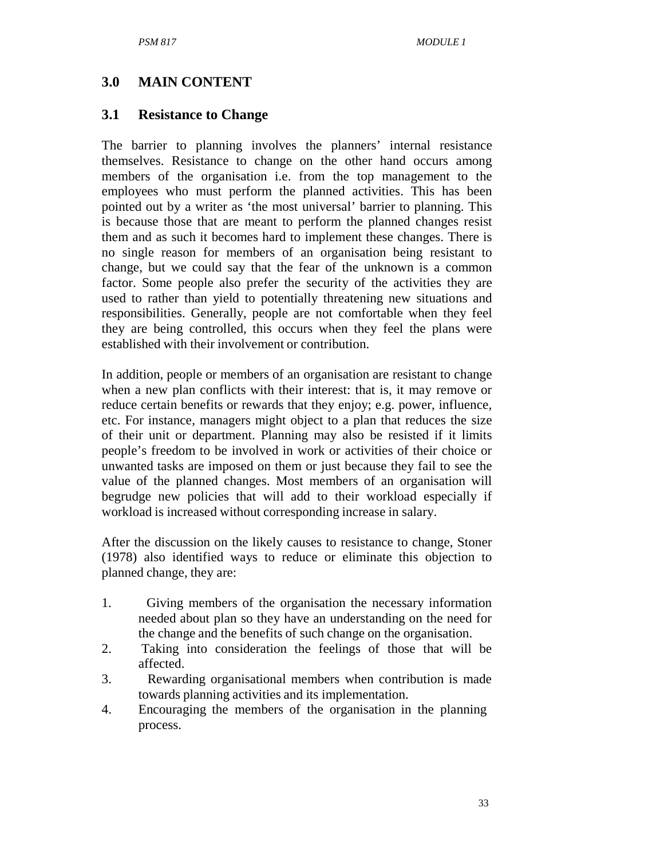## **3.0 MAIN CONTENT**

### **3.1 Resistance to Change**

The barrier to planning involves the planners' internal resistance themselves. Resistance to change on the other hand occurs among members of the organisation i.e. from the top management to the employees who must perform the planned activities. This has been pointed out by a writer as 'the most universal' barrier to planning. This is because those that are meant to perform the planned changes resist them and as such it becomes hard to implement these changes. There is no single reason for members of an organisation being resistant to change, but we could say that the fear of the unknown is a common factor. Some people also prefer the security of the activities they are used to rather than yield to potentially threatening new situations and responsibilities. Generally, people are not comfortable when they feel they are being controlled, this occurs when they feel the plans were established with their involvement or contribution.

In addition, people or members of an organisation are resistant to change when a new plan conflicts with their interest: that is, it may remove or reduce certain benefits or rewards that they enjoy; e.g. power, influence, etc. For instance, managers might object to a plan that reduces the size of their unit or department. Planning may also be resisted if it limits people's freedom to be involved in work or activities of their choice or unwanted tasks are imposed on them or just because they fail to see the value of the planned changes. Most members of an organisation will begrudge new policies that will add to their workload especially if workload is increased without corresponding increase in salary.

After the discussion on the likely causes to resistance to change, Stoner (1978) also identified ways to reduce or eliminate this objection to planned change, they are:

- 1. Giving members of the organisation the necessary information needed about plan so they have an understanding on the need for the change and the benefits of such change on the organisation.
- 2. Taking into consideration the feelings of those that will be affected.
- 3. Rewarding organisational members when contribution is made towards planning activities and its implementation.
- 4. Encouraging the members of the organisation in the planning process.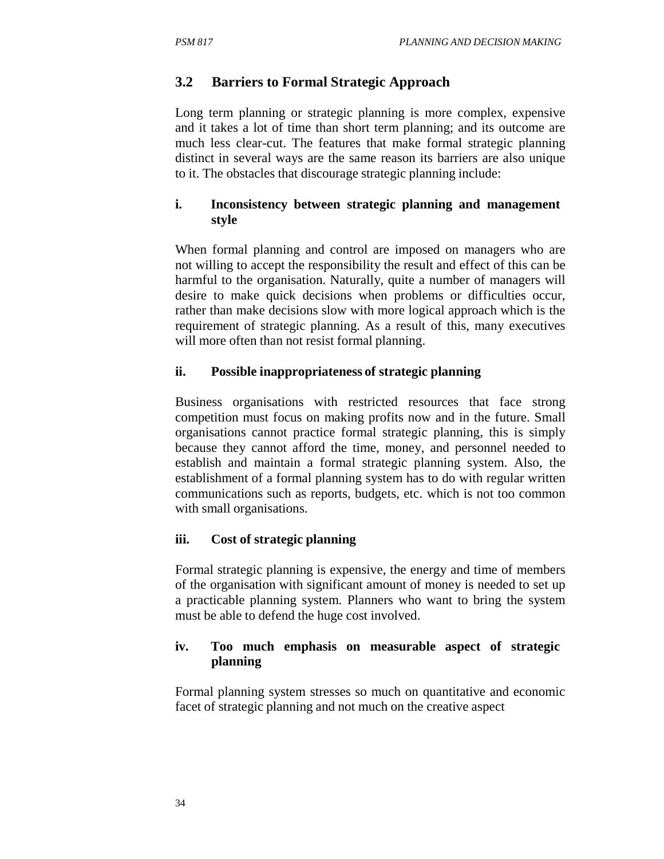# **3.2 Barriers to Formal Strategic Approach**

Long term planning or strategic planning is more complex, expensive and it takes a lot of time than short term planning; and its outcome are much less clear-cut. The features that make formal strategic planning distinct in several ways are the same reason its barriers are also unique to it. The obstacles that discourage strategic planning include:

### **i. Inconsistency between strategic planning and management style**

When formal planning and control are imposed on managers who are not willing to accept the responsibility the result and effect of this can be harmful to the organisation. Naturally, quite a number of managers will desire to make quick decisions when problems or difficulties occur, rather than make decisions slow with more logical approach which is the requirement of strategic planning. As a result of this, many executives will more often than not resist formal planning.

### **ii. Possible inappropriateness of strategic planning**

Business organisations with restricted resources that face strong competition must focus on making profits now and in the future. Small organisations cannot practice formal strategic planning, this is simply because they cannot afford the time, money, and personnel needed to establish and maintain a formal strategic planning system. Also, the establishment of a formal planning system has to do with regular written communications such as reports, budgets, etc. which is not too common with small organisations.

## **iii. Cost of strategic planning**

Formal strategic planning is expensive, the energy and time of members of the organisation with significant amount of money is needed to set up a practicable planning system. Planners who want to bring the system must be able to defend the huge cost involved.

### **iv. Too much emphasis on measurable aspect of strategic planning**

Formal planning system stresses so much on quantitative and economic facet of strategic planning and not much on the creative aspect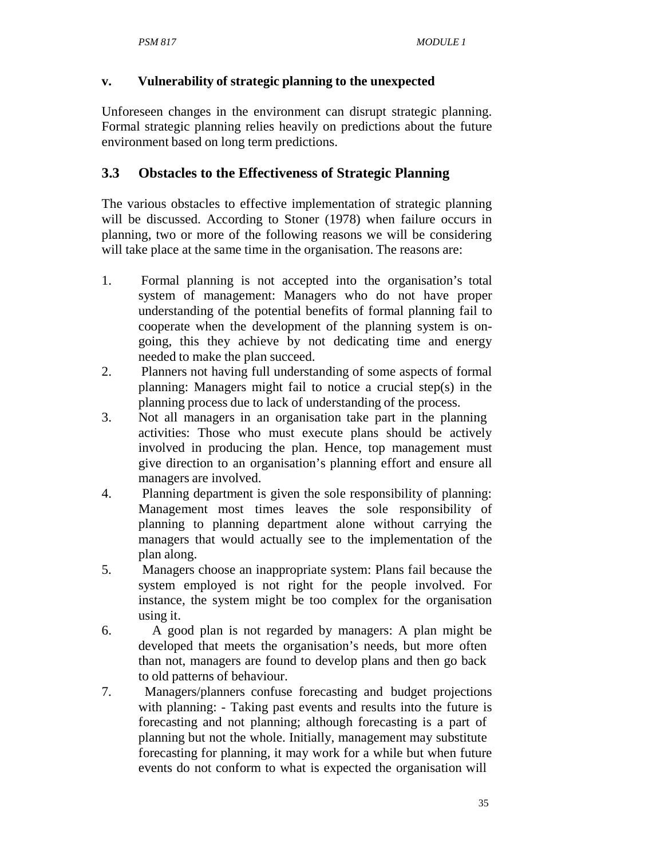### **v. Vulnerability of strategic planning to the unexpected**

Unforeseen changes in the environment can disrupt strategic planning. Formal strategic planning relies heavily on predictions about the future environment based on long term predictions.

## **3.3 Obstacles to the Effectiveness of Strategic Planning**

The various obstacles to effective implementation of strategic planning will be discussed. According to Stoner (1978) when failure occurs in planning, two or more of the following reasons we will be considering will take place at the same time in the organisation. The reasons are:

- 1. Formal planning is not accepted into the organisation's total system of management: Managers who do not have proper understanding of the potential benefits of formal planning fail to cooperate when the development of the planning system is ongoing, this they achieve by not dedicating time and energy needed to make the plan succeed.
- 2. Planners not having full understanding of some aspects of formal planning: Managers might fail to notice a crucial step(s) in the planning process due to lack of understanding of the process.
- 3. Not all managers in an organisation take part in the planning activities: Those who must execute plans should be actively involved in producing the plan. Hence, top management must give direction to an organisation's planning effort and ensure all managers are involved.
- 4. Planning department is given the sole responsibility of planning: Management most times leaves the sole responsibility of planning to planning department alone without carrying the managers that would actually see to the implementation of the plan along.
- 5. Managers choose an inappropriate system: Plans fail because the system employed is not right for the people involved. For instance, the system might be too complex for the organisation using it.
- 6. A good plan is not regarded by managers: A plan might be developed that meets the organisation's needs, but more often than not, managers are found to develop plans and then go back to old patterns of behaviour.
- 7. Managers/planners confuse forecasting and budget projections with planning: - Taking past events and results into the future is forecasting and not planning; although forecasting is a part of planning but not the whole. Initially, management may substitute forecasting for planning, it may work for a while but when future events do not conform to what is expected the organisation will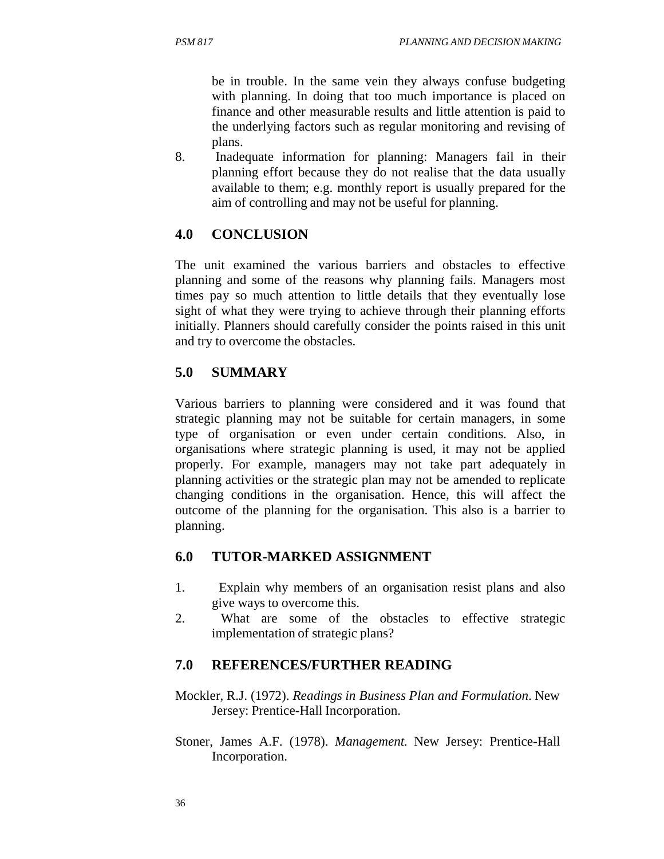be in trouble. In the same vein they always confuse budgeting with planning. In doing that too much importance is placed on finance and other measurable results and little attention is paid to the underlying factors such as regular monitoring and revising of plans.

8. Inadequate information for planning: Managers fail in their planning effort because they do not realise that the data usually available to them; e.g. monthly report is usually prepared for the aim of controlling and may not be useful for planning.

# **4.0 CONCLUSION**

The unit examined the various barriers and obstacles to effective planning and some of the reasons why planning fails. Managers most times pay so much attention to little details that they eventually lose sight of what they were trying to achieve through their planning efforts initially. Planners should carefully consider the points raised in this unit and try to overcome the obstacles.

# **5.0 SUMMARY**

Various barriers to planning were considered and it was found that strategic planning may not be suitable for certain managers, in some type of organisation or even under certain conditions. Also, in organisations where strategic planning is used, it may not be applied properly. For example, managers may not take part adequately in planning activities or the strategic plan may not be amended to replicate changing conditions in the organisation. Hence, this will affect the outcome of the planning for the organisation. This also is a barrier to planning.

# **6.0 TUTOR-MARKED ASSIGNMENT**

- 1. Explain why members of an organisation resist plans and also give ways to overcome this.
- 2. What are some of the obstacles to effective strategic implementation of strategic plans?

# **7.0 REFERENCES/FURTHER READING**

- Mockler, R.J. (1972). *Readings in Business Plan and Formulation*. New Jersey: Prentice-Hall Incorporation.
- Stoner, James A.F. (1978). *Management.* New Jersey: Prentice-Hall Incorporation.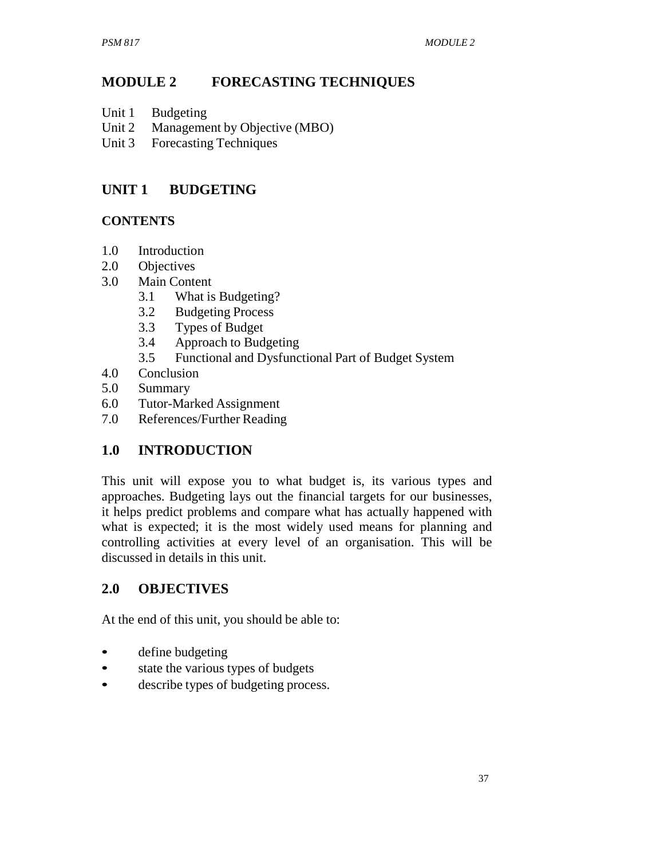# **MODULE 2 FORECASTING TECHNIQUES**

- Unit 1 Budgeting
- Unit 2 Management by Objective (MBO)
- Unit 3 Forecasting Techniques

# **UNIT 1 BUDGETING**

### **CONTENTS**

- 1.0 Introduction
- 2.0 Objectives
- 3.0 Main Content
	- 3.1 What is Budgeting?
	- 3.2 Budgeting Process
	- 3.3 Types of Budget
	- 3.4 Approach to Budgeting
	- 3.5 Functional and Dysfunctional Part of Budget System
- 4.0 Conclusion
- 5.0 Summary
- 6.0 Tutor-Marked Assignment
- 7.0 References/Further Reading

# **1.0 INTRODUCTION**

This unit will expose you to what budget is, its various types and approaches. Budgeting lays out the financial targets for our businesses, it helps predict problems and compare what has actually happened with what is expected; it is the most widely used means for planning and controlling activities at every level of an organisation. This will be discussed in details in this unit.

## **2.0 OBJECTIVES**

At the end of this unit, you should be able to:

- define budgeting
- state the various types of budgets
- describe types of budgeting process.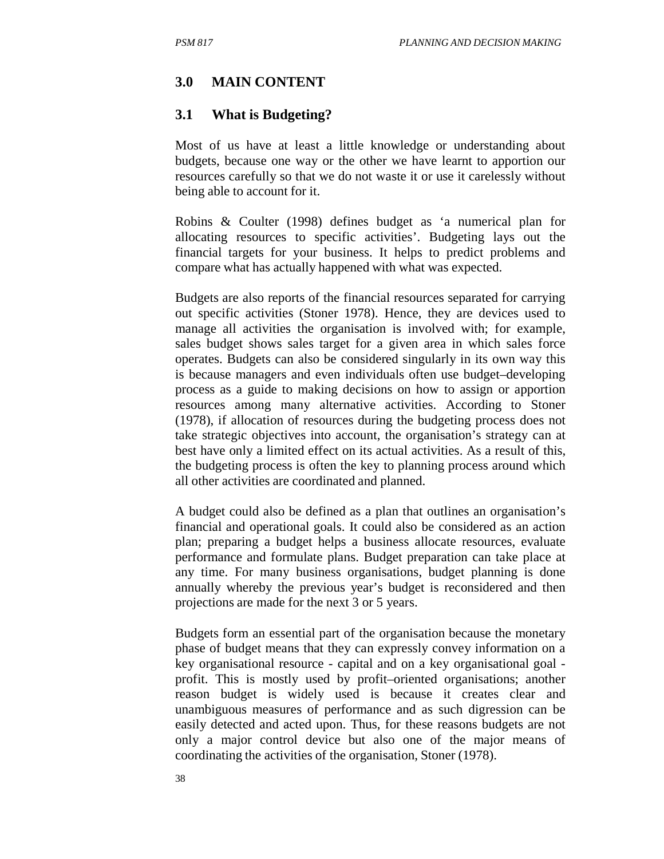## **3.0 MAIN CONTENT**

### **3.1 What is Budgeting?**

Most of us have at least a little knowledge or understanding about budgets, because one way or the other we have learnt to apportion our resources carefully so that we do not waste it or use it carelessly without being able to account for it.

Robins & Coulter (1998) defines budget as 'a numerical plan for allocating resources to specific activities'. Budgeting lays out the financial targets for your business. It helps to predict problems and compare what has actually happened with what was expected.

Budgets are also reports of the financial resources separated for carrying out specific activities (Stoner 1978). Hence, they are devices used to manage all activities the organisation is involved with; for example, sales budget shows sales target for a given area in which sales force operates. Budgets can also be considered singularly in its own way this is because managers and even individuals often use budget–developing process as a guide to making decisions on how to assign or apportion resources among many alternative activities. According to Stoner (1978), if allocation of resources during the budgeting process does not take strategic objectives into account, the organisation's strategy can at best have only a limited effect on its actual activities. As a result of this, the budgeting process is often the key to planning process around which all other activities are coordinated and planned.

A budget could also be defined as a plan that outlines an organisation's financial and operational goals. It could also be considered as an action plan; preparing a budget helps a business allocate resources, evaluate performance and formulate plans. Budget preparation can take place at any time. For many business organisations, budget planning is done annually whereby the previous year's budget is reconsidered and then projections are made for the next 3 or 5 years.

Budgets form an essential part of the organisation because the monetary phase of budget means that they can expressly convey information on a key organisational resource - capital and on a key organisational goal profit. This is mostly used by profit–oriented organisations; another reason budget is widely used is because it creates clear and unambiguous measures of performance and as such digression can be easily detected and acted upon. Thus, for these reasons budgets are not only a major control device but also one of the major means of coordinating the activities of the organisation, Stoner (1978).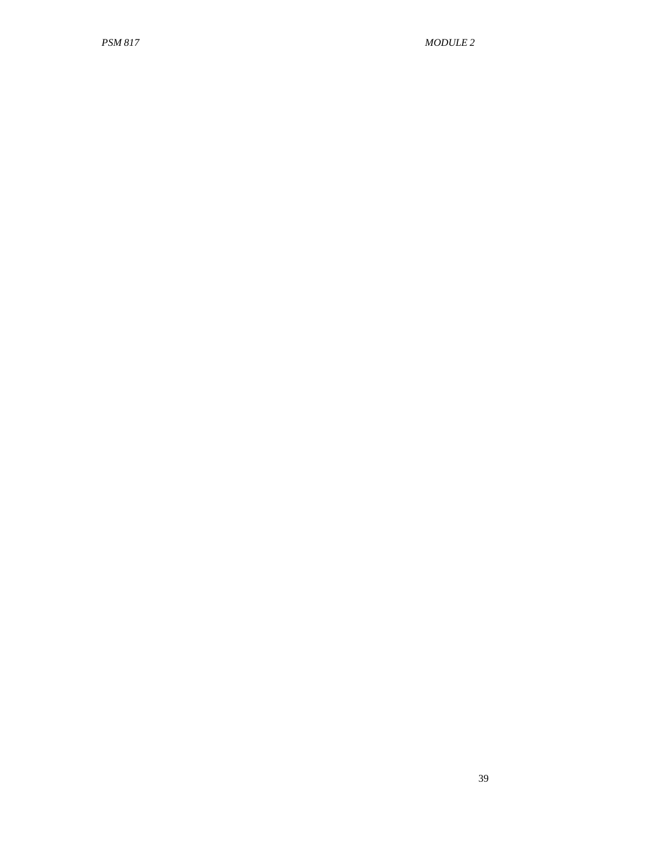*PSM 817 MODULE 2*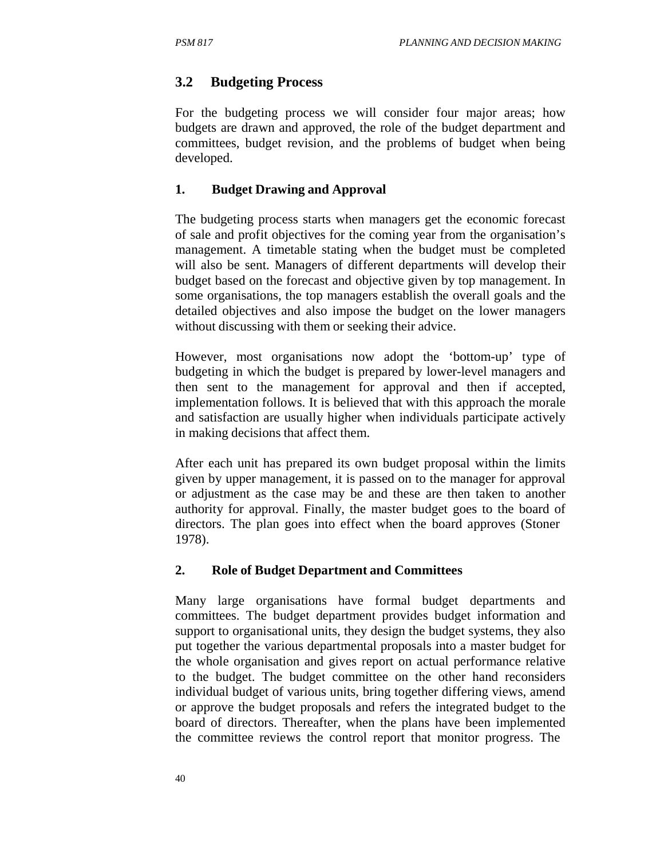## **3.2 Budgeting Process**

For the budgeting process we will consider four major areas; how budgets are drawn and approved, the role of the budget department and committees, budget revision, and the problems of budget when being developed.

#### **1. Budget Drawing and Approval**

The budgeting process starts when managers get the economic forecast of sale and profit objectives for the coming year from the organisation's management. A timetable stating when the budget must be completed will also be sent. Managers of different departments will develop their budget based on the forecast and objective given by top management. In some organisations, the top managers establish the overall goals and the detailed objectives and also impose the budget on the lower managers without discussing with them or seeking their advice.

However, most organisations now adopt the 'bottom-up' type of budgeting in which the budget is prepared by lower-level managers and then sent to the management for approval and then if accepted, implementation follows. It is believed that with this approach the morale and satisfaction are usually higher when individuals participate actively in making decisions that affect them.

After each unit has prepared its own budget proposal within the limits given by upper management, it is passed on to the manager for approval or adjustment as the case may be and these are then taken to another authority for approval. Finally, the master budget goes to the board of directors. The plan goes into effect when the board approves (Stoner 1978).

#### **2. Role of Budget Department and Committees**

Many large organisations have formal budget departments and committees. The budget department provides budget information and support to organisational units, they design the budget systems, they also put together the various departmental proposals into a master budget for the whole organisation and gives report on actual performance relative to the budget. The budget committee on the other hand reconsiders individual budget of various units, bring together differing views, amend or approve the budget proposals and refers the integrated budget to the board of directors. Thereafter, when the plans have been implemented the committee reviews the control report that monitor progress. The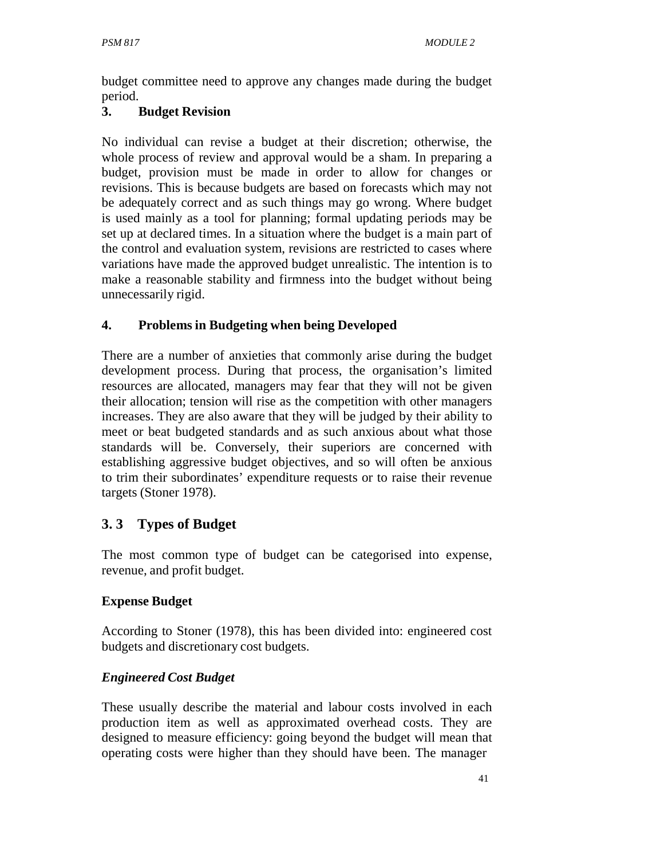budget committee need to approve any changes made during the budget period.

### **3. Budget Revision**

No individual can revise a budget at their discretion; otherwise, the whole process of review and approval would be a sham. In preparing a budget, provision must be made in order to allow for changes or revisions. This is because budgets are based on forecasts which may not be adequately correct and as such things may go wrong. Where budget is used mainly as a tool for planning; formal updating periods may be set up at declared times. In a situation where the budget is a main part of the control and evaluation system, revisions are restricted to cases where variations have made the approved budget unrealistic. The intention is to make a reasonable stability and firmness into the budget without being unnecessarily rigid.

### **4. Problems in Budgeting when being Developed**

There are a number of anxieties that commonly arise during the budget development process. During that process, the organisation's limited resources are allocated, managers may fear that they will not be given their allocation; tension will rise as the competition with other managers increases. They are also aware that they will be judged by their ability to meet or beat budgeted standards and as such anxious about what those standards will be. Conversely, their superiors are concerned with establishing aggressive budget objectives, and so will often be anxious to trim their subordinates' expenditure requests or to raise their revenue targets (Stoner 1978).

# **3. 3 Types of Budget**

The most common type of budget can be categorised into expense, revenue, and profit budget.

### **Expense Budget**

According to Stoner (1978), this has been divided into: engineered cost budgets and discretionary cost budgets.

## *Engineered Cost Budget*

These usually describe the material and labour costs involved in each production item as well as approximated overhead costs. They are designed to measure efficiency: going beyond the budget will mean that operating costs were higher than they should have been. The manager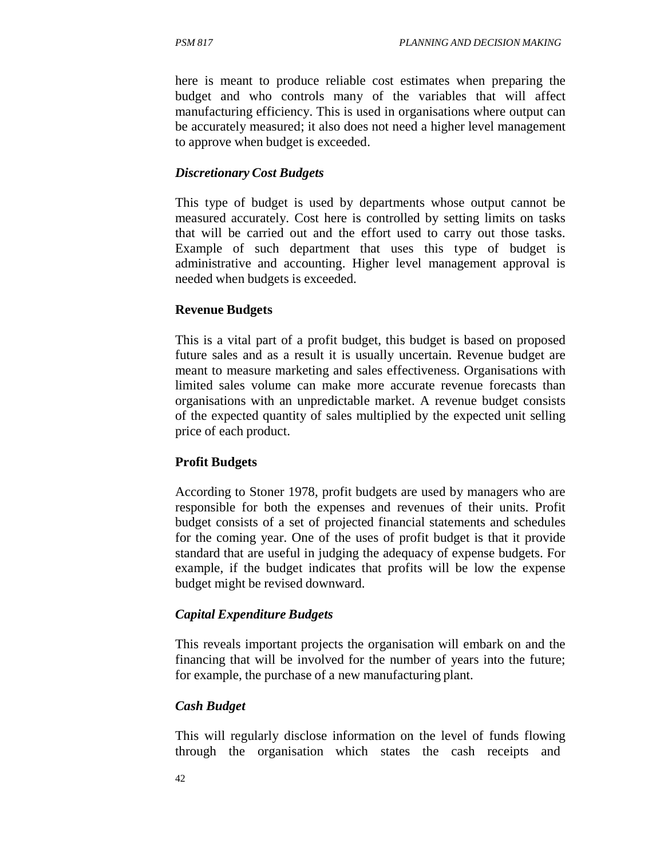here is meant to produce reliable cost estimates when preparing the budget and who controls many of the variables that will affect manufacturing efficiency. This is used in organisations where output can be accurately measured; it also does not need a higher level management to approve when budget is exceeded.

#### *Discretionary Cost Budgets*

This type of budget is used by departments whose output cannot be measured accurately. Cost here is controlled by setting limits on tasks that will be carried out and the effort used to carry out those tasks. Example of such department that uses this type of budget is administrative and accounting. Higher level management approval is needed when budgets is exceeded.

#### **Revenue Budgets**

This is a vital part of a profit budget, this budget is based on proposed future sales and as a result it is usually uncertain. Revenue budget are meant to measure marketing and sales effectiveness. Organisations with limited sales volume can make more accurate revenue forecasts than organisations with an unpredictable market. A revenue budget consists of the expected quantity of sales multiplied by the expected unit selling price of each product.

#### **Profit Budgets**

According to Stoner 1978, profit budgets are used by managers who are responsible for both the expenses and revenues of their units. Profit budget consists of a set of projected financial statements and schedules for the coming year. One of the uses of profit budget is that it provide standard that are useful in judging the adequacy of expense budgets. For example, if the budget indicates that profits will be low the expense budget might be revised downward.

#### *Capital Expenditure Budgets*

This reveals important projects the organisation will embark on and the financing that will be involved for the number of years into the future; for example, the purchase of a new manufacturing plant.

#### *Cash Budget*

This will regularly disclose information on the level of funds flowing through the organisation which states the cash receipts and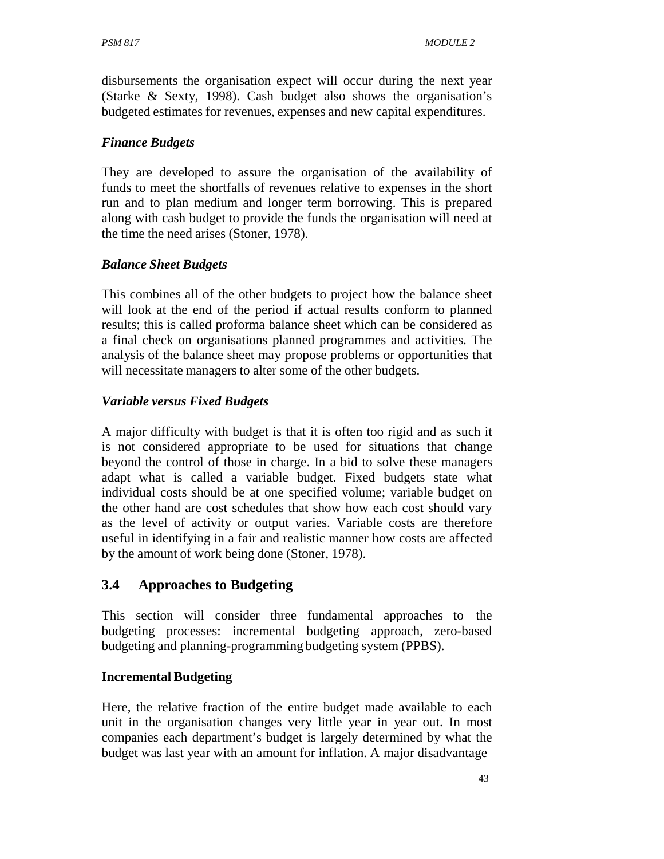disbursements the organisation expect will occur during the next year (Starke & Sexty, 1998). Cash budget also shows the organisation's budgeted estimates for revenues, expenses and new capital expenditures.

#### *Finance Budgets*

They are developed to assure the organisation of the availability of funds to meet the shortfalls of revenues relative to expenses in the short run and to plan medium and longer term borrowing. This is prepared along with cash budget to provide the funds the organisation will need at the time the need arises (Stoner, 1978).

#### *Balance Sheet Budgets*

This combines all of the other budgets to project how the balance sheet will look at the end of the period if actual results conform to planned results; this is called proforma balance sheet which can be considered as a final check on organisations planned programmes and activities. The analysis of the balance sheet may propose problems or opportunities that will necessitate managers to alter some of the other budgets.

#### *Variable versus Fixed Budgets*

A major difficulty with budget is that it is often too rigid and as such it is not considered appropriate to be used for situations that change beyond the control of those in charge. In a bid to solve these managers adapt what is called a variable budget. Fixed budgets state what individual costs should be at one specified volume; variable budget on the other hand are cost schedules that show how each cost should vary as the level of activity or output varies. Variable costs are therefore useful in identifying in a fair and realistic manner how costs are affected by the amount of work being done (Stoner, 1978).

### **3.4 Approaches to Budgeting**

This section will consider three fundamental approaches to the budgeting processes: incremental budgeting approach, zero-based budgeting and planning-programming budgeting system (PPBS).

### **Incremental Budgeting**

Here, the relative fraction of the entire budget made available to each unit in the organisation changes very little year in year out. In most companies each department's budget is largely determined by what the budget was last year with an amount for inflation. A major disadvantage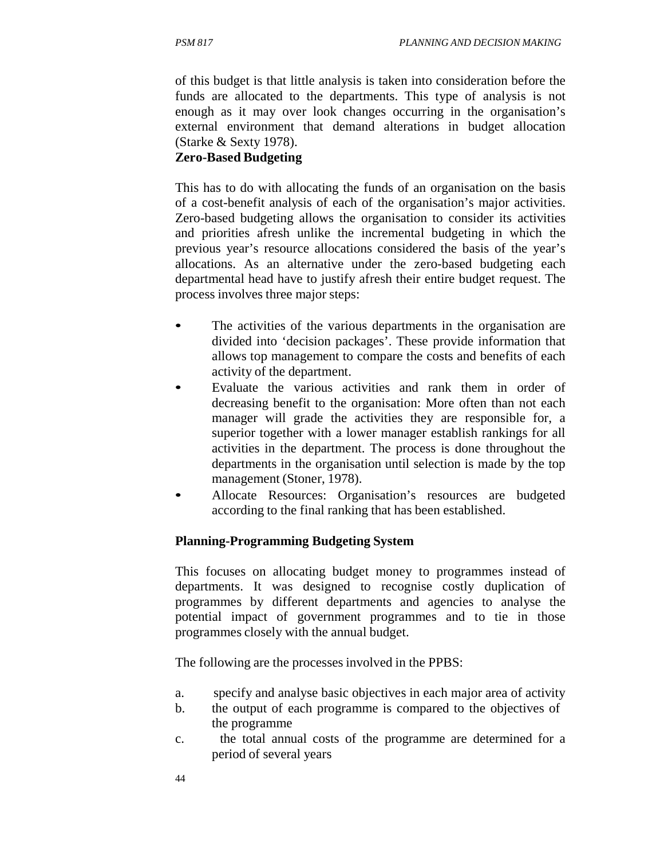of this budget is that little analysis is taken into consideration before the funds are allocated to the departments. This type of analysis is not enough as it may over look changes occurring in the organisation's external environment that demand alterations in budget allocation (Starke  $&$  Sexty 1978).

#### **Zero-Based Budgeting**

This has to do with allocating the funds of an organisation on the basis of a cost-benefit analysis of each of the organisation's major activities. Zero-based budgeting allows the organisation to consider its activities and priorities afresh unlike the incremental budgeting in which the previous year's resource allocations considered the basis of the year's allocations. As an alternative under the zero-based budgeting each departmental head have to justify afresh their entire budget request. The process involves three major steps:

- The activities of the various departments in the organisation are divided into 'decision packages'. These provide information that allows top management to compare the costs and benefits of each activity of the department.
- Evaluate the various activities and rank them in order of decreasing benefit to the organisation: More often than not each manager will grade the activities they are responsible for, a superior together with a lower manager establish rankings for all activities in the department. The process is done throughout the departments in the organisation until selection is made by the top management (Stoner, 1978).
- Allocate Resources: Organisation's resources are budgeted according to the final ranking that has been established.

#### **Planning-Programming Budgeting System**

This focuses on allocating budget money to programmes instead of departments. It was designed to recognise costly duplication of programmes by different departments and agencies to analyse the potential impact of government programmes and to tie in those programmes closely with the annual budget.

The following are the processes involved in the PPBS:

- a. specify and analyse basic objectives in each major area of activity
- b. the output of each programme is compared to the objectives of the programme
- c. the total annual costs of the programme are determined for a period of several years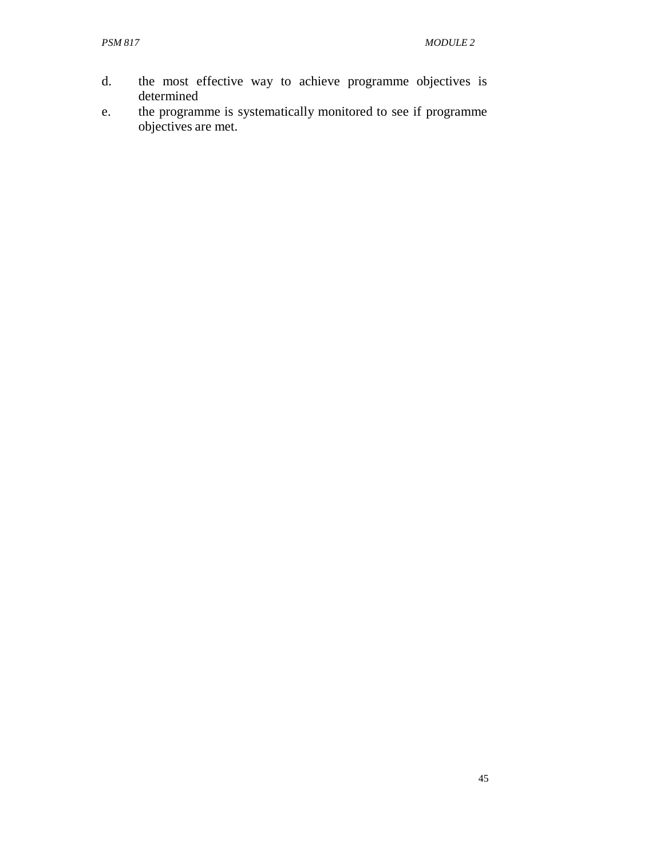- d. the most effective way to achieve programme objectives is determined
- e. the programme is systematically monitored to see if programme objectives are met.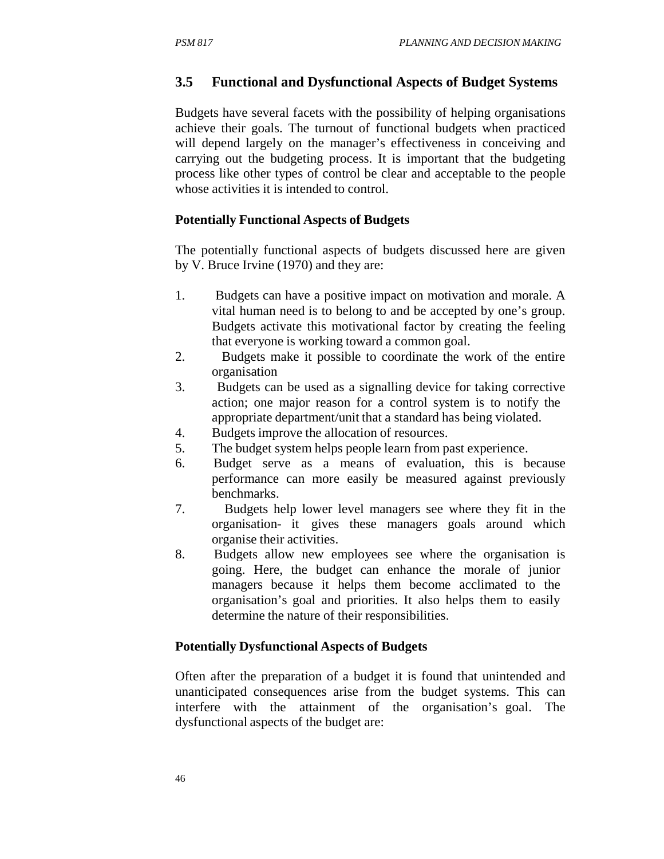## **3.5 Functional and Dysfunctional Aspects of Budget Systems**

Budgets have several facets with the possibility of helping organisations achieve their goals. The turnout of functional budgets when practiced will depend largely on the manager's effectiveness in conceiving and carrying out the budgeting process. It is important that the budgeting process like other types of control be clear and acceptable to the people whose activities it is intended to control.

### **Potentially Functional Aspects of Budgets**

The potentially functional aspects of budgets discussed here are given by V. Bruce Irvine (1970) and they are:

- 1. Budgets can have a positive impact on motivation and morale. A vital human need is to belong to and be accepted by one's group. Budgets activate this motivational factor by creating the feeling that everyone is working toward a common goal.
- 2. Budgets make it possible to coordinate the work of the entire organisation
- 3. Budgets can be used as a signalling device for taking corrective action; one major reason for a control system is to notify the appropriate department/unit that a standard has being violated.
- 4. Budgets improve the allocation of resources.
- 5. The budget system helps people learn from past experience.
- 6. Budget serve as a means of evaluation, this is because performance can more easily be measured against previously benchmarks.
- 7. Budgets help lower level managers see where they fit in the organisation- it gives these managers goals around which organise their activities.
- 8. Budgets allow new employees see where the organisation is going. Here, the budget can enhance the morale of junior managers because it helps them become acclimated to the organisation's goal and priorities. It also helps them to easily determine the nature of their responsibilities.

### **Potentially Dysfunctional Aspects of Budgets**

Often after the preparation of a budget it is found that unintended and unanticipated consequences arise from the budget systems. This can interfere with the attainment of the organisation's goal. The dysfunctional aspects of the budget are: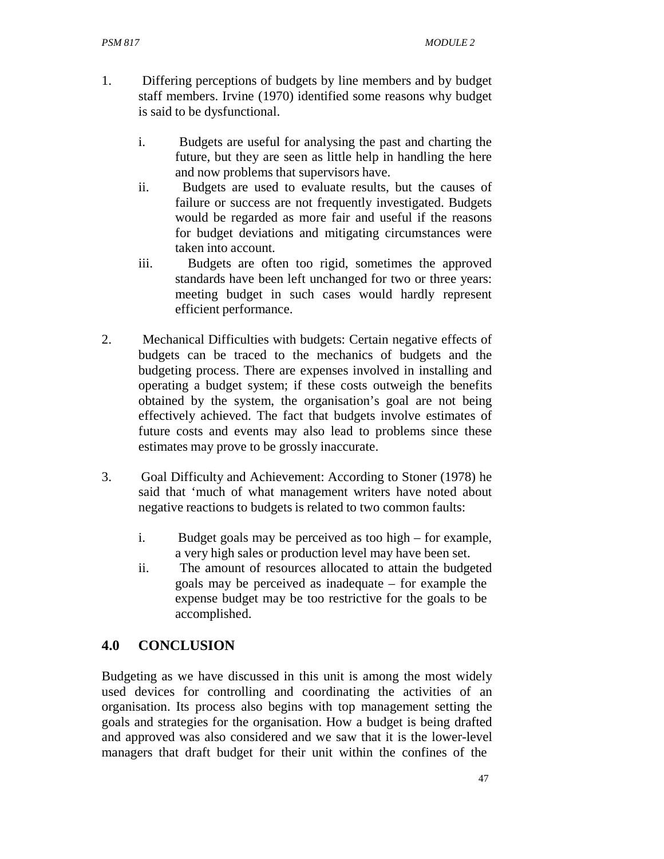*PSM 817 MODULE 2*

- 1. Differing perceptions of budgets by line members and by budget staff members. Irvine (1970) identified some reasons why budget is said to be dysfunctional.
	- i. Budgets are useful for analysing the past and charting the future, but they are seen as little help in handling the here and now problems that supervisors have.
	- ii. Budgets are used to evaluate results, but the causes of failure or success are not frequently investigated. Budgets would be regarded as more fair and useful if the reasons for budget deviations and mitigating circumstances were taken into account.
	- iii. Budgets are often too rigid, sometimes the approved standards have been left unchanged for two or three years: meeting budget in such cases would hardly represent efficient performance.
- 2. Mechanical Difficulties with budgets: Certain negative effects of budgets can be traced to the mechanics of budgets and the budgeting process. There are expenses involved in installing and operating a budget system; if these costs outweigh the benefits obtained by the system, the organisation's goal are not being effectively achieved. The fact that budgets involve estimates of future costs and events may also lead to problems since these estimates may prove to be grossly inaccurate.
- 3. Goal Difficulty and Achievement: According to Stoner (1978) he said that 'much of what management writers have noted about negative reactions to budgets is related to two common faults:
	- i. Budget goals may be perceived as too high for example, a very high sales or production level may have been set.
	- ii. The amount of resources allocated to attain the budgeted goals may be perceived as inadequate – for example the expense budget may be too restrictive for the goals to be accomplished.

## **4.0 CONCLUSION**

Budgeting as we have discussed in this unit is among the most widely used devices for controlling and coordinating the activities of an organisation. Its process also begins with top management setting the goals and strategies for the organisation. How a budget is being drafted and approved was also considered and we saw that it is the lower-level managers that draft budget for their unit within the confines of the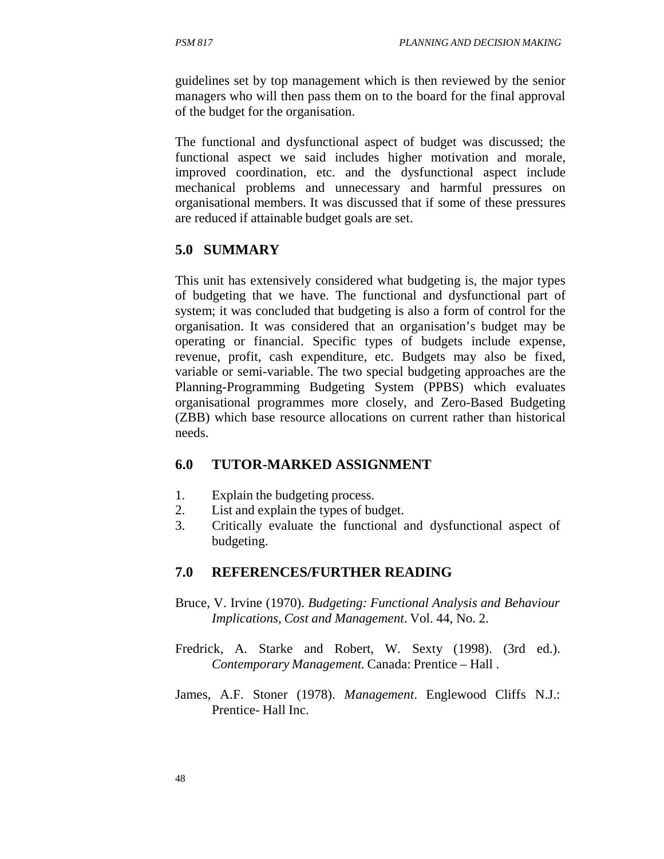guidelines set by top management which is then reviewed by the senior managers who will then pass them on to the board for the final approval of the budget for the organisation.

The functional and dysfunctional aspect of budget was discussed; the functional aspect we said includes higher motivation and morale, improved coordination, etc. and the dysfunctional aspect include mechanical problems and unnecessary and harmful pressures on organisational members. It was discussed that if some of these pressures are reduced if attainable budget goals are set.

# **5.0 SUMMARY**

This unit has extensively considered what budgeting is, the major types of budgeting that we have. The functional and dysfunctional part of system; it was concluded that budgeting is also a form of control for the organisation. It was considered that an organisation's budget may be operating or financial. Specific types of budgets include expense, revenue, profit, cash expenditure, etc. Budgets may also be fixed, variable or semi-variable. The two special budgeting approaches are the Planning-Programming Budgeting System (PPBS) which evaluates organisational programmes more closely, and Zero-Based Budgeting (ZBB) which base resource allocations on current rather than historical needs.

### **6.0 TUTOR-MARKED ASSIGNMENT**

- 1. Explain the budgeting process.
- 2. List and explain the types of budget.
- 3. Critically evaluate the functional and dysfunctional aspect of budgeting.

### **7.0 REFERENCES/FURTHER READING**

- Bruce, V. Irvine (1970). *Budgeting: Functional Analysis and Behaviour Implications, Cost and Management*. Vol. 44, No. 2.
- Fredrick, A. Starke and Robert, W. Sexty (1998). (3rd ed.). *Contemporary Management.* Canada: Prentice – Hall .
- James, A.F. Stoner (1978). *Management*. Englewood Cliffs N.J.: Prentice- Hall Inc.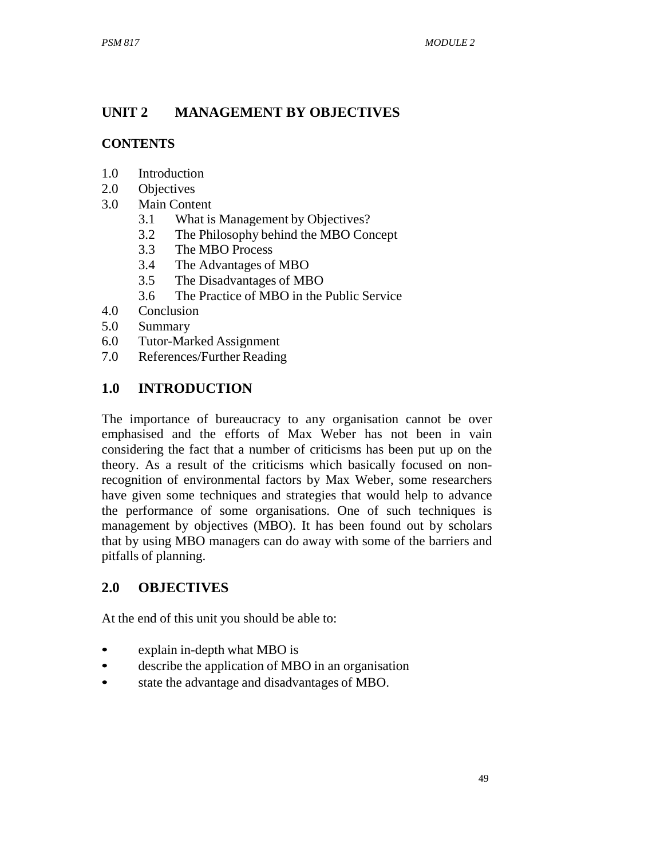# **UNIT 2 MANAGEMENT BY OBJECTIVES**

### **CONTENTS**

- 1.0 Introduction
- 2.0 Objectives
- 3.0 Main Content
	- 3.1 What is Management by Objectives?
	- 3.2 The Philosophy behind the MBO Concept
	- 3.3 The MBO Process
	- 3.4 The Advantages of MBO
	- 3.5 The Disadvantages of MBO
	- 3.6 The Practice of MBO in the Public Service
- 4.0 Conclusion
- 5.0 Summary
- 6.0 Tutor-Marked Assignment
- 7.0 References/Further Reading

# **1.0 INTRODUCTION**

The importance of bureaucracy to any organisation cannot be over emphasised and the efforts of Max Weber has not been in vain considering the fact that a number of criticisms has been put up on the theory. As a result of the criticisms which basically focused on nonrecognition of environmental factors by Max Weber, some researchers have given some techniques and strategies that would help to advance the performance of some organisations. One of such techniques is management by objectives (MBO). It has been found out by scholars that by using MBO managers can do away with some of the barriers and pitfalls of planning.

## **2.0 OBJECTIVES**

At the end of this unit you should be able to:

- explain in-depth what MBO is
- describe the application of MBO in an organisation
- state the advantage and disadvantages of MBO.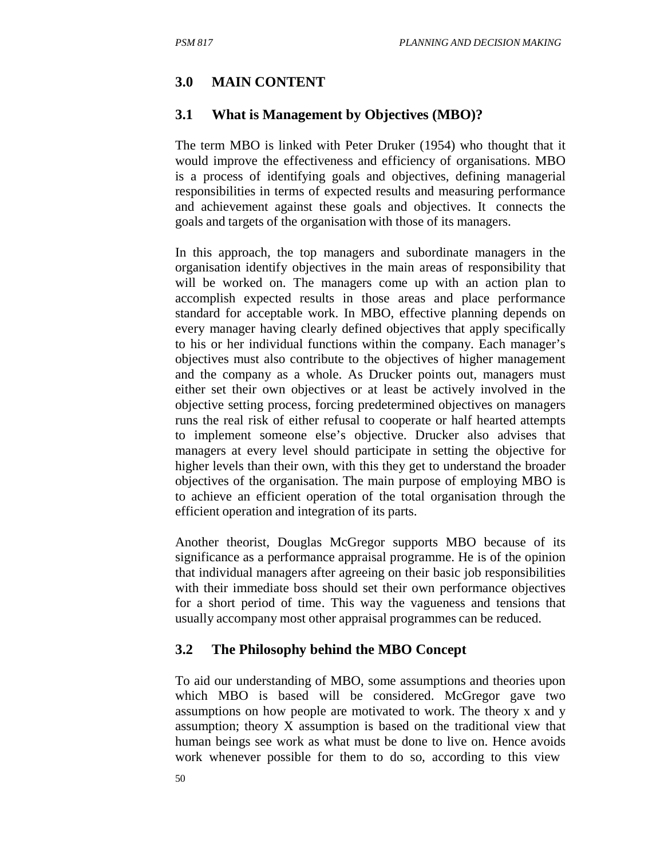# **3.0 MAIN CONTENT**

### **3.1 What is Management by Objectives (MBO)?**

The term MBO is linked with Peter Druker (1954) who thought that it would improve the effectiveness and efficiency of organisations. MBO is a process of identifying goals and objectives, defining managerial responsibilities in terms of expected results and measuring performance and achievement against these goals and objectives. It connects the goals and targets of the organisation with those of its managers.

In this approach, the top managers and subordinate managers in the organisation identify objectives in the main areas of responsibility that will be worked on. The managers come up with an action plan to accomplish expected results in those areas and place performance standard for acceptable work. In MBO, effective planning depends on every manager having clearly defined objectives that apply specifically to his or her individual functions within the company. Each manager's objectives must also contribute to the objectives of higher management and the company as a whole. As Drucker points out, managers must either set their own objectives or at least be actively involved in the objective setting process, forcing predetermined objectives on managers runs the real risk of either refusal to cooperate or half hearted attempts to implement someone else's objective. Drucker also advises that managers at every level should participate in setting the objective for higher levels than their own, with this they get to understand the broader objectives of the organisation. The main purpose of employing MBO is to achieve an efficient operation of the total organisation through the efficient operation and integration of its parts.

Another theorist, Douglas McGregor supports MBO because of its significance as a performance appraisal programme. He is of the opinion that individual managers after agreeing on their basic job responsibilities with their immediate boss should set their own performance objectives for a short period of time. This way the vagueness and tensions that usually accompany most other appraisal programmes can be reduced.

## **3.2 The Philosophy behind the MBO Concept**

To aid our understanding of MBO, some assumptions and theories upon which MBO is based will be considered. McGregor gave two assumptions on how people are motivated to work. The theory x and y assumption; theory X assumption is based on the traditional view that human beings see work as what must be done to live on. Hence avoids work whenever possible for them to do so, according to this view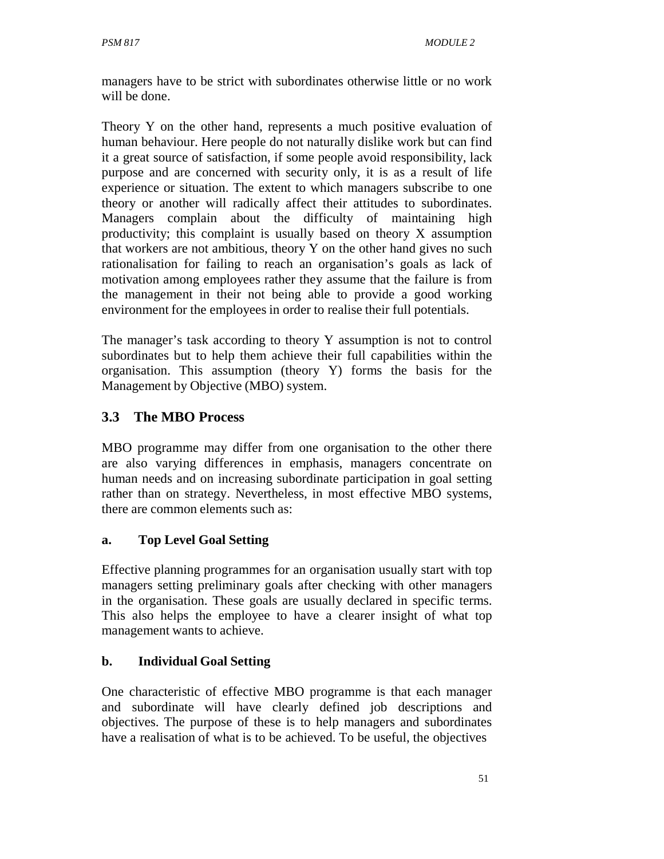managers have to be strict with subordinates otherwise little or no work will be done.

Theory Y on the other hand, represents a much positive evaluation of human behaviour. Here people do not naturally dislike work but can find it a great source of satisfaction, if some people avoid responsibility, lack purpose and are concerned with security only, it is as a result of life experience or situation. The extent to which managers subscribe to one theory or another will radically affect their attitudes to subordinates. Managers complain about the difficulty of maintaining high productivity; this complaint is usually based on theory X assumption that workers are not ambitious, theory Y on the other hand gives no such rationalisation for failing to reach an organisation's goals as lack of motivation among employees rather they assume that the failure is from the management in their not being able to provide a good working environment for the employees in order to realise their full potentials.

The manager's task according to theory Y assumption is not to control subordinates but to help them achieve their full capabilities within the organisation. This assumption (theory Y) forms the basis for the Management by Objective (MBO) system.

# **3.3 The MBO Process**

MBO programme may differ from one organisation to the other there are also varying differences in emphasis, managers concentrate on human needs and on increasing subordinate participation in goal setting rather than on strategy. Nevertheless, in most effective MBO systems, there are common elements such as:

## **a. Top Level Goal Setting**

Effective planning programmes for an organisation usually start with top managers setting preliminary goals after checking with other managers in the organisation. These goals are usually declared in specific terms. This also helps the employee to have a clearer insight of what top management wants to achieve.

### **b. Individual Goal Setting**

One characteristic of effective MBO programme is that each manager and subordinate will have clearly defined job descriptions and objectives. The purpose of these is to help managers and subordinates have a realisation of what is to be achieved. To be useful, the objectives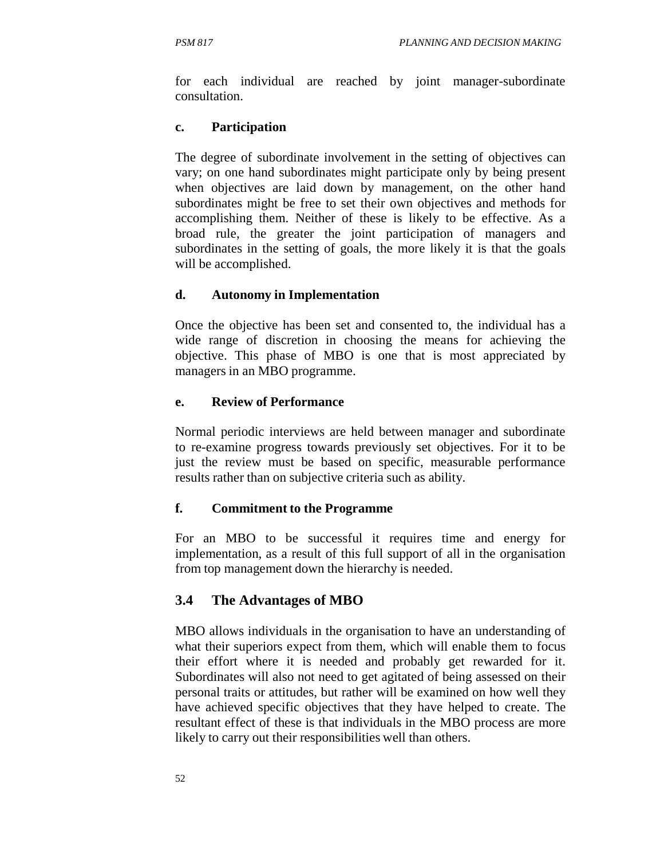for each individual are reached by joint manager-subordinate consultation.

#### **c. Participation**

The degree of subordinate involvement in the setting of objectives can vary; on one hand subordinates might participate only by being present when objectives are laid down by management, on the other hand subordinates might be free to set their own objectives and methods for accomplishing them. Neither of these is likely to be effective. As a broad rule, the greater the joint participation of managers and subordinates in the setting of goals, the more likely it is that the goals will be accomplished.

### **d. Autonomy in Implementation**

Once the objective has been set and consented to, the individual has a wide range of discretion in choosing the means for achieving the objective. This phase of MBO is one that is most appreciated by managers in an MBO programme.

#### **e. Review of Performance**

Normal periodic interviews are held between manager and subordinate to re-examine progress towards previously set objectives. For it to be just the review must be based on specific, measurable performance results rather than on subjective criteria such as ability.

### **f. Commitment to the Programme**

For an MBO to be successful it requires time and energy for implementation, as a result of this full support of all in the organisation from top management down the hierarchy is needed.

### **3.4 The Advantages of MBO**

MBO allows individuals in the organisation to have an understanding of what their superiors expect from them, which will enable them to focus their effort where it is needed and probably get rewarded for it. Subordinates will also not need to get agitated of being assessed on their personal traits or attitudes, but rather will be examined on how well they have achieved specific objectives that they have helped to create. The resultant effect of these is that individuals in the MBO process are more likely to carry out their responsibilities well than others.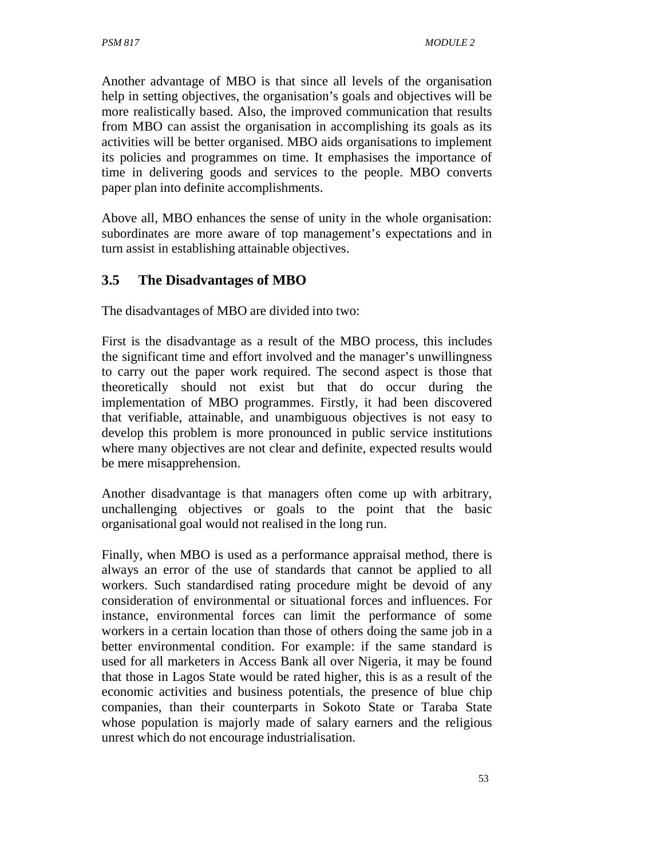Another advantage of MBO is that since all levels of the organisation help in setting objectives, the organisation's goals and objectives will be more realistically based. Also, the improved communication that results from MBO can assist the organisation in accomplishing its goals as its activities will be better organised. MBO aids organisations to implement its policies and programmes on time. It emphasises the importance of time in delivering goods and services to the people. MBO converts paper plan into definite accomplishments.

Above all, MBO enhances the sense of unity in the whole organisation: subordinates are more aware of top management's expectations and in turn assist in establishing attainable objectives.

### **3.5 The Disadvantages of MBO**

The disadvantages of MBO are divided into two:

First is the disadvantage as a result of the MBO process, this includes the significant time and effort involved and the manager's unwillingness to carry out the paper work required. The second aspect is those that theoretically should not exist but that do occur during the implementation of MBO programmes. Firstly, it had been discovered that verifiable, attainable, and unambiguous objectives is not easy to develop this problem is more pronounced in public service institutions where many objectives are not clear and definite, expected results would be mere misapprehension.

Another disadvantage is that managers often come up with arbitrary, unchallenging objectives or goals to the point that the basic organisational goal would not realised in the long run.

Finally, when MBO is used as a performance appraisal method, there is always an error of the use of standards that cannot be applied to all workers. Such standardised rating procedure might be devoid of any consideration of environmental or situational forces and influences. For instance, environmental forces can limit the performance of some workers in a certain location than those of others doing the same job in a better environmental condition. For example: if the same standard is used for all marketers in Access Bank all over Nigeria, it may be found that those in Lagos State would be rated higher, this is as a result of the economic activities and business potentials, the presence of blue chip companies, than their counterparts in Sokoto State or Taraba State whose population is majorly made of salary earners and the religious unrest which do not encourage industrialisation.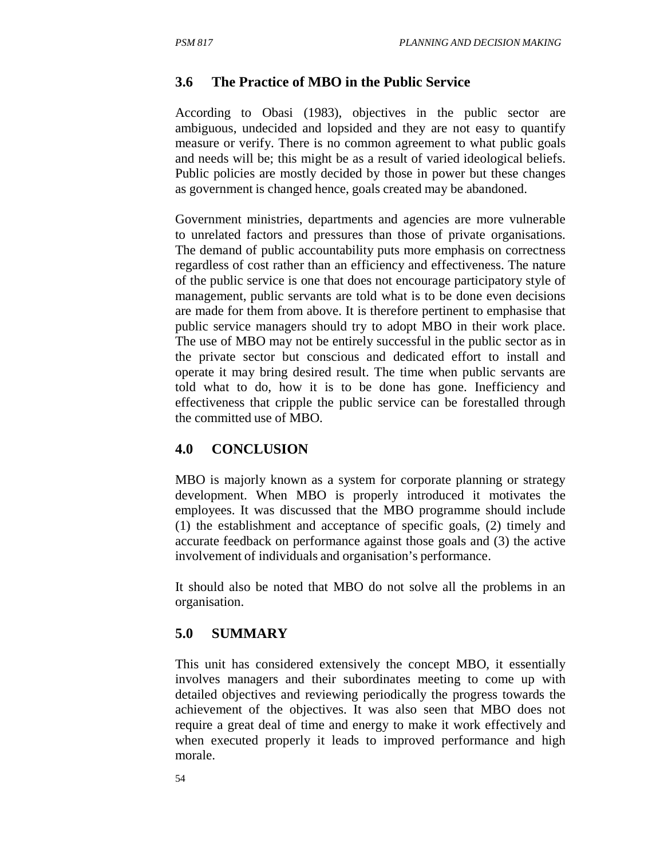### **3.6 The Practice of MBO in the Public Service**

According to Obasi (1983), objectives in the public sector are ambiguous, undecided and lopsided and they are not easy to quantify measure or verify. There is no common agreement to what public goals and needs will be; this might be as a result of varied ideological beliefs. Public policies are mostly decided by those in power but these changes as government is changed hence, goals created may be abandoned.

Government ministries, departments and agencies are more vulnerable to unrelated factors and pressures than those of private organisations. The demand of public accountability puts more emphasis on correctness regardless of cost rather than an efficiency and effectiveness. The nature of the public service is one that does not encourage participatory style of management, public servants are told what is to be done even decisions are made for them from above. It is therefore pertinent to emphasise that public service managers should try to adopt MBO in their work place. The use of MBO may not be entirely successful in the public sector as in the private sector but conscious and dedicated effort to install and operate it may bring desired result. The time when public servants are told what to do, how it is to be done has gone. Inefficiency and effectiveness that cripple the public service can be forestalled through the committed use of MBO.

## **4.0 CONCLUSION**

MBO is majorly known as a system for corporate planning or strategy development. When MBO is properly introduced it motivates the employees. It was discussed that the MBO programme should include (1) the establishment and acceptance of specific goals, (2) timely and accurate feedback on performance against those goals and (3) the active involvement of individuals and organisation's performance.

It should also be noted that MBO do not solve all the problems in an organisation.

## **5.0 SUMMARY**

This unit has considered extensively the concept MBO, it essentially involves managers and their subordinates meeting to come up with detailed objectives and reviewing periodically the progress towards the achievement of the objectives. It was also seen that MBO does not require a great deal of time and energy to make it work effectively and when executed properly it leads to improved performance and high morale.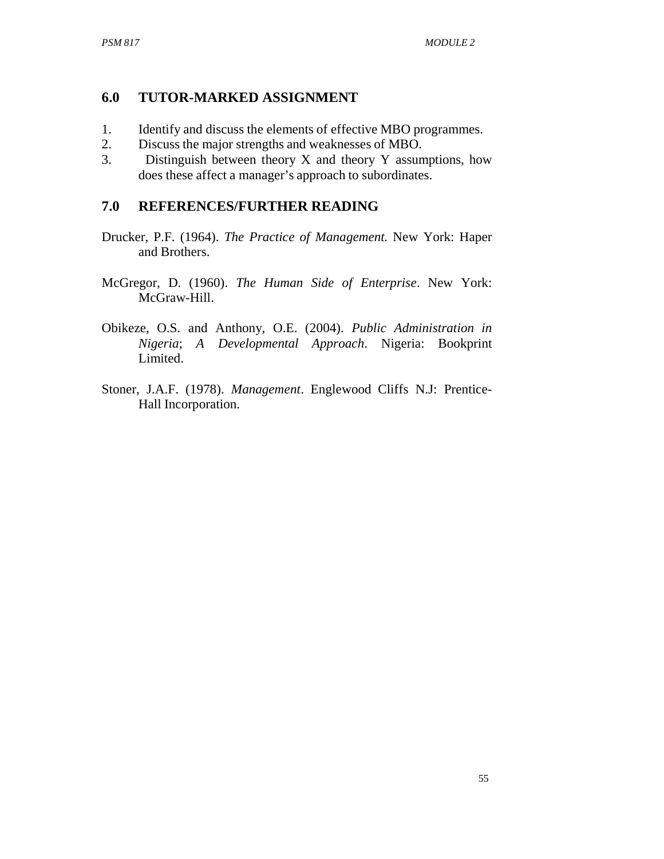### **6.0 TUTOR-MARKED ASSIGNMENT**

- 1. Identify and discuss the elements of effective MBO programmes.
- 2. Discuss the major strengths and weaknesses of MBO.
- 3. Distinguish between theory X and theory Y assumptions, how does these affect a manager's approach to subordinates.

### **7.0 REFERENCES/FURTHER READING**

- Drucker, P.F. (1964). *The Practice of Management.* New York: Haper and Brothers.
- McGregor, D. (1960). *The Human Side of Enterprise*. New York: McGraw-Hill.
- Obikeze, O.S. and Anthony, O.E. (2004). *Public Administration in Nigeria*; *A Developmental Approach*. Nigeria: Bookprint Limited.
- Stoner, J.A.F. (1978). *Management*. Englewood Cliffs N.J: Prentice-Hall Incorporation.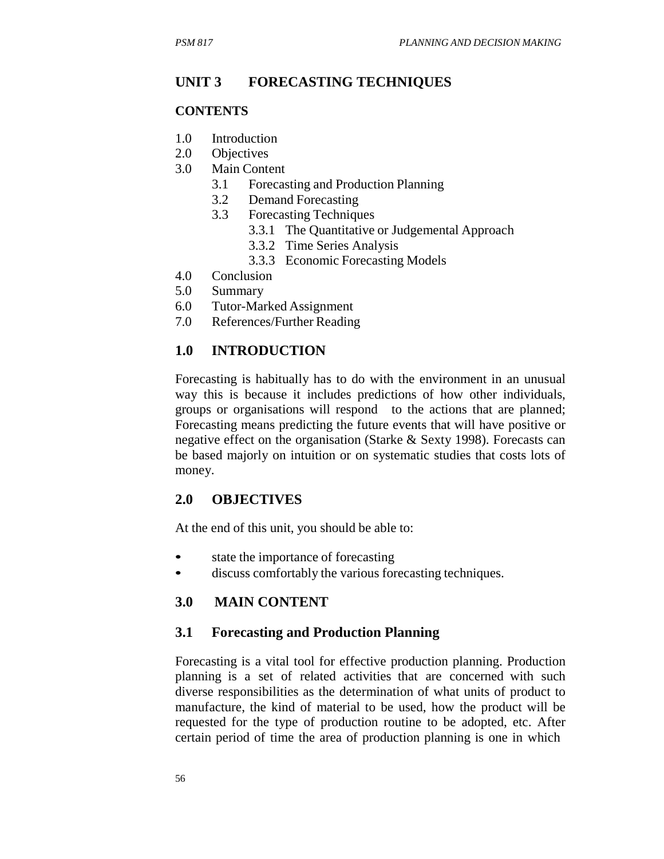### **UNIT 3 FORECASTING TECHNIQUES**

#### **CONTENTS**

- 1.0 Introduction
- 2.0 Objectives
- 3.0 Main Content
	- 3.1 Forecasting and Production Planning
	- 3.2 Demand Forecasting
	- 3.3 Forecasting Techniques
		- 3.3.1 The Quantitative or Judgemental Approach
		- 3.3.2 Time Series Analysis
		- 3.3.3 Economic Forecasting Models
- 4.0 Conclusion
- 5.0 Summary
- 6.0 Tutor-Marked Assignment
- 7.0 References/Further Reading

## **1.0 INTRODUCTION**

Forecasting is habitually has to do with the environment in an unusual way this is because it includes predictions of how other individuals, groups or organisations will respond to the actions that are planned; Forecasting means predicting the future events that will have positive or negative effect on the organisation (Starke & Sexty 1998). Forecasts can be based majorly on intuition or on systematic studies that costs lots of money.

### **2.0 OBJECTIVES**

At the end of this unit, you should be able to:

- state the importance of forecasting
- discuss comfortably the various forecasting techniques.

### **3.0 MAIN CONTENT**

#### **3.1 Forecasting and Production Planning**

Forecasting is a vital tool for effective production planning. Production planning is a set of related activities that are concerned with such diverse responsibilities as the determination of what units of product to manufacture, the kind of material to be used, how the product will be requested for the type of production routine to be adopted, etc. After certain period of time the area of production planning is one in which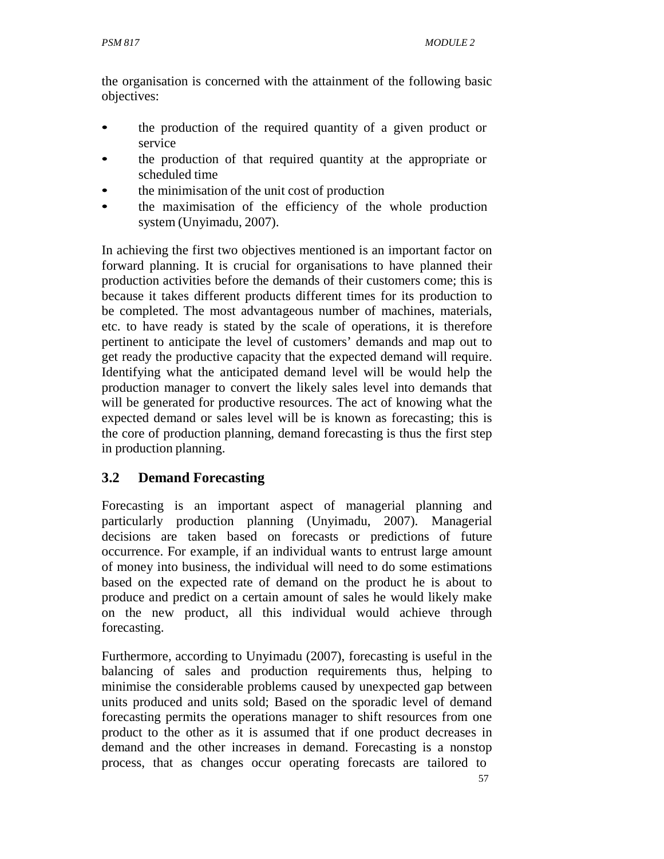the organisation is concerned with the attainment of the following basic objectives:

- the production of the required quantity of a given product or service
- the production of that required quantity at the appropriate or scheduled time
- the minimisation of the unit cost of production
- the maximisation of the efficiency of the whole production system (Unyimadu, 2007).

In achieving the first two objectives mentioned is an important factor on forward planning. It is crucial for organisations to have planned their production activities before the demands of their customers come; this is because it takes different products different times for its production to be completed. The most advantageous number of machines, materials, etc. to have ready is stated by the scale of operations, it is therefore pertinent to anticipate the level of customers' demands and map out to get ready the productive capacity that the expected demand will require. Identifying what the anticipated demand level will be would help the production manager to convert the likely sales level into demands that will be generated for productive resources. The act of knowing what the expected demand or sales level will be is known as forecasting; this is the core of production planning, demand forecasting is thus the first step in production planning.

# **3.2 Demand Forecasting**

Forecasting is an important aspect of managerial planning and particularly production planning (Unyimadu, 2007). Managerial decisions are taken based on forecasts or predictions of future occurrence. For example, if an individual wants to entrust large amount of money into business, the individual will need to do some estimations based on the expected rate of demand on the product he is about to produce and predict on a certain amount of sales he would likely make on the new product, all this individual would achieve through forecasting.

Furthermore, according to Unyimadu (2007), forecasting is useful in the balancing of sales and production requirements thus, helping to minimise the considerable problems caused by unexpected gap between units produced and units sold; Based on the sporadic level of demand forecasting permits the operations manager to shift resources from one product to the other as it is assumed that if one product decreases in demand and the other increases in demand. Forecasting is a nonstop process, that as changes occur operating forecasts are tailored to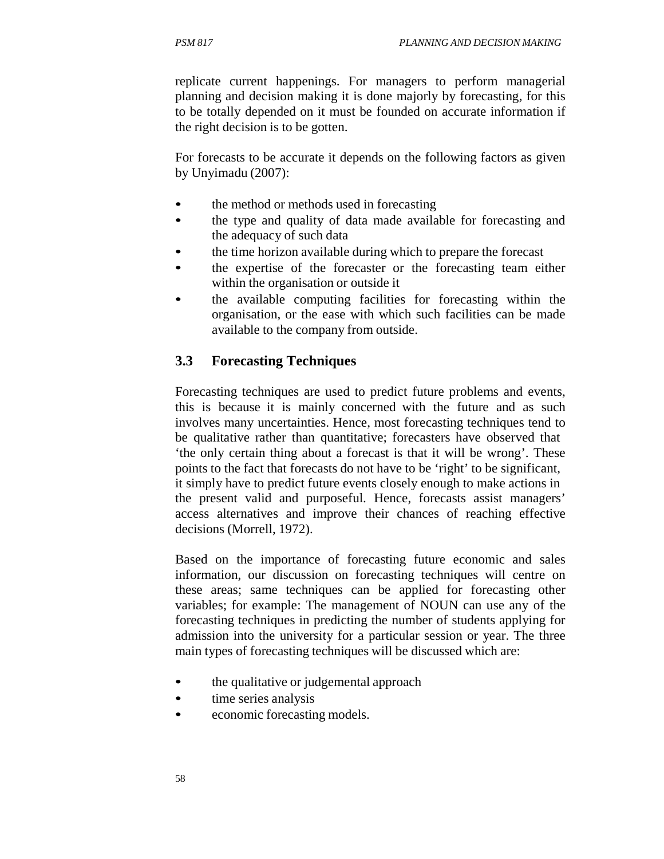replicate current happenings. For managers to perform managerial planning and decision making it is done majorly by forecasting, for this to be totally depended on it must be founded on accurate information if the right decision is to be gotten.

For forecasts to be accurate it depends on the following factors as given by Unyimadu (2007):

- the method or methods used in forecasting
- the type and quality of data made available for forecasting and the adequacy of such data
- the time horizon available during which to prepare the forecast
- the expertise of the forecaster or the forecasting team either within the organisation or outside it
- the available computing facilities for forecasting within the organisation, or the ease with which such facilities can be made available to the company from outside.

# **3.3 Forecasting Techniques**

Forecasting techniques are used to predict future problems and events, this is because it is mainly concerned with the future and as such involves many uncertainties. Hence, most forecasting techniques tend to be qualitative rather than quantitative; forecasters have observed that 'the only certain thing about a forecast is that it will be wrong'. These points to the fact that forecasts do not have to be 'right' to be significant, it simply have to predict future events closely enough to make actions in the present valid and purposeful. Hence, forecasts assist managers' access alternatives and improve their chances of reaching effective decisions (Morrell, 1972).

Based on the importance of forecasting future economic and sales information, our discussion on forecasting techniques will centre on these areas; same techniques can be applied for forecasting other variables; for example: The management of NOUN can use any of the forecasting techniques in predicting the number of students applying for admission into the university for a particular session or year. The three main types of forecasting techniques will be discussed which are:

- the qualitative or judgemental approach
- time series analysis
- economic forecasting models.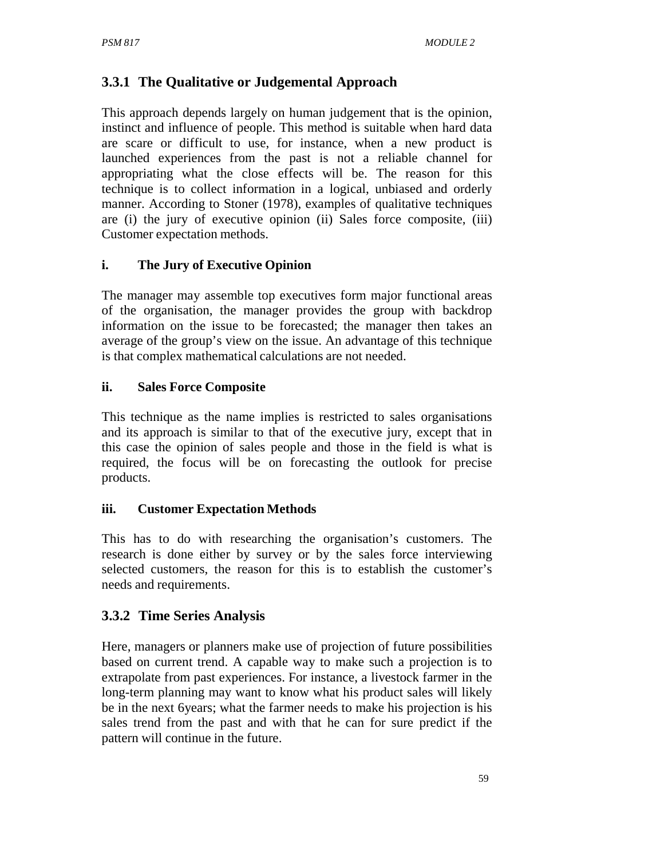# **3.3.1 The Qualitative or Judgemental Approach**

This approach depends largely on human judgement that is the opinion, instinct and influence of people. This method is suitable when hard data are scare or difficult to use, for instance, when a new product is launched experiences from the past is not a reliable channel for appropriating what the close effects will be. The reason for this technique is to collect information in a logical, unbiased and orderly manner. According to Stoner (1978), examples of qualitative techniques are (i) the jury of executive opinion (ii) Sales force composite, (iii) Customer expectation methods.

### **i. The Jury of Executive Opinion**

The manager may assemble top executives form major functional areas of the organisation, the manager provides the group with backdrop information on the issue to be forecasted; the manager then takes an average of the group's view on the issue. An advantage of this technique is that complex mathematical calculations are not needed.

### **ii. Sales Force Composite**

This technique as the name implies is restricted to sales organisations and its approach is similar to that of the executive jury, except that in this case the opinion of sales people and those in the field is what is required, the focus will be on forecasting the outlook for precise products.

### **iii. Customer Expectation Methods**

This has to do with researching the organisation's customers. The research is done either by survey or by the sales force interviewing selected customers, the reason for this is to establish the customer's needs and requirements.

## **3.3.2 Time Series Analysis**

Here, managers or planners make use of projection of future possibilities based on current trend. A capable way to make such a projection is to extrapolate from past experiences. For instance, a livestock farmer in the long-term planning may want to know what his product sales will likely be in the next 6years; what the farmer needs to make his projection is his sales trend from the past and with that he can for sure predict if the pattern will continue in the future.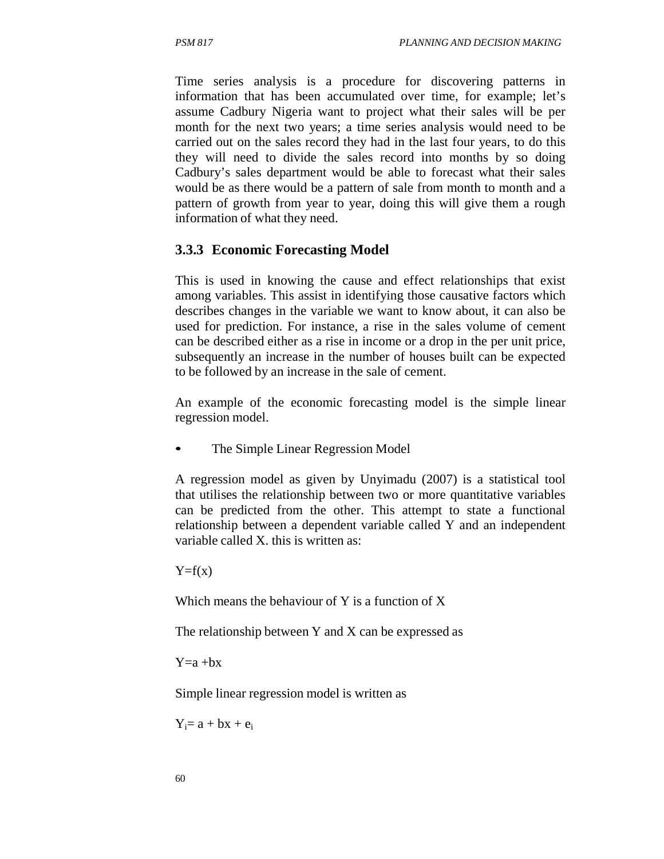Time series analysis is a procedure for discovering patterns in information that has been accumulated over time, for example; let's assume Cadbury Nigeria want to project what their sales will be per month for the next two years; a time series analysis would need to be carried out on the sales record they had in the last four years, to do this they will need to divide the sales record into months by so doing Cadbury's sales department would be able to forecast what their sales would be as there would be a pattern of sale from month to month and a pattern of growth from year to year, doing this will give them a rough information of what they need.

### **3.3.3 Economic Forecasting Model**

This is used in knowing the cause and effect relationships that exist among variables. This assist in identifying those causative factors which describes changes in the variable we want to know about, it can also be used for prediction. For instance, a rise in the sales volume of cement can be described either as a rise in income or a drop in the per unit price, subsequently an increase in the number of houses built can be expected to be followed by an increase in the sale of cement.

An example of the economic forecasting model is the simple linear regression model.

• The Simple Linear Regression Model

A regression model as given by Unyimadu (2007) is a statistical tool that utilises the relationship between two or more quantitative variables can be predicted from the other. This attempt to state a functional relationship between a dependent variable called Y and an independent variable called X. this is written as:

 $Y=f(x)$ 

Which means the behaviour of Y is a function of X

The relationship between Y and X can be expressed as

 $Y=a + bx$ 

Simple linear regression model is written as

 $Y_i = a + bx + e_i$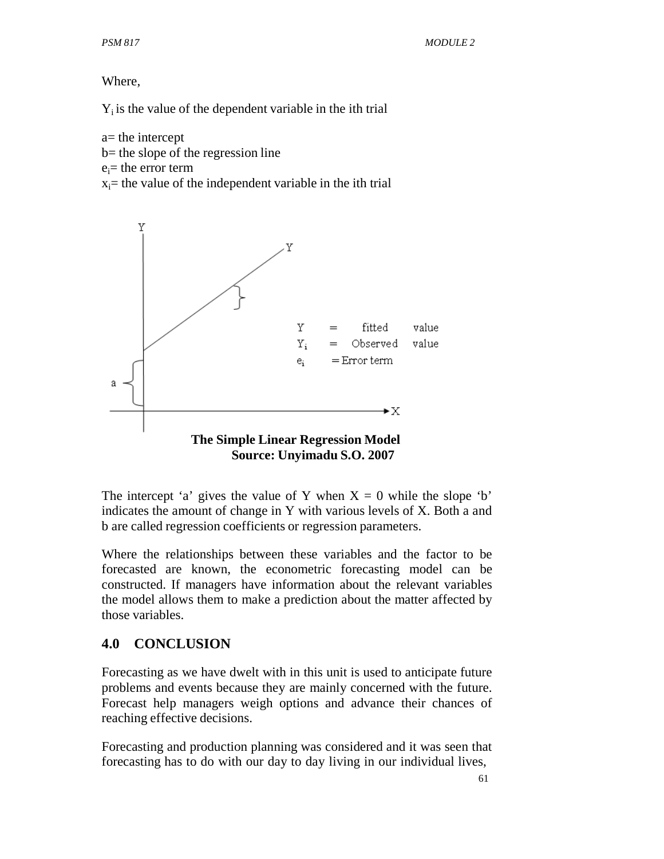Where,

 $Y_i$  is the value of the dependent variable in the ith trial

- a= the intercept b= the slope of the regression line  $e_i$ = the error term
- $x_i$ = the value of the independent variable in the ith trial



The intercept 'a' gives the value of Y when  $X = 0$  while the slope 'b' indicates the amount of change in Y with various levels of X. Both a and b are called regression coefficients or regression parameters.

Where the relationships between these variables and the factor to be forecasted are known, the econometric forecasting model can be constructed. If managers have information about the relevant variables the model allows them to make a prediction about the matter affected by those variables.

## **4.0 CONCLUSION**

Forecasting as we have dwelt with in this unit is used to anticipate future problems and events because they are mainly concerned with the future. Forecast help managers weigh options and advance their chances of reaching effective decisions.

Forecasting and production planning was considered and it was seen that forecasting has to do with our day to day living in our individual lives,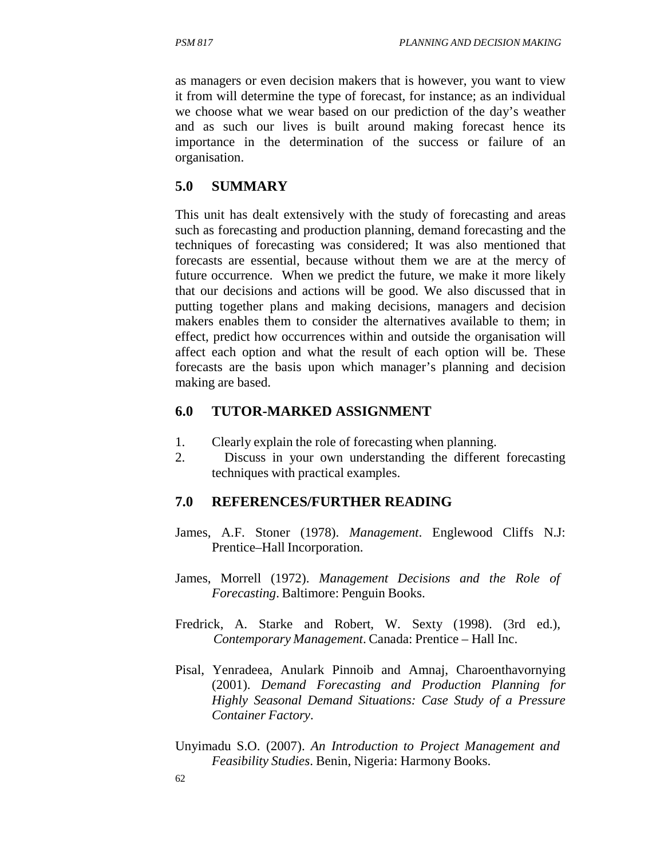as managers or even decision makers that is however, you want to view it from will determine the type of forecast, for instance; as an individual we choose what we wear based on our prediction of the day's weather and as such our lives is built around making forecast hence its importance in the determination of the success or failure of an organisation.

### **5.0 SUMMARY**

This unit has dealt extensively with the study of forecasting and areas such as forecasting and production planning, demand forecasting and the techniques of forecasting was considered; It was also mentioned that forecasts are essential, because without them we are at the mercy of future occurrence. When we predict the future, we make it more likely that our decisions and actions will be good. We also discussed that in putting together plans and making decisions, managers and decision makers enables them to consider the alternatives available to them; in effect, predict how occurrences within and outside the organisation will affect each option and what the result of each option will be. These forecasts are the basis upon which manager's planning and decision making are based.

#### **6.0 TUTOR-MARKED ASSIGNMENT**

- 1. Clearly explain the role of forecasting when planning.
- 2. Discuss in your own understanding the different forecasting techniques with practical examples.

#### **7.0 REFERENCES/FURTHER READING**

- James, A.F. Stoner (1978). *Management*. Englewood Cliffs N.J: Prentice–Hall Incorporation.
- James, Morrell (1972). *Management Decisions and the Role of Forecasting*. Baltimore: Penguin Books.
- Fredrick, A. Starke and Robert, W. Sexty (1998). (3rd ed.), *Contemporary Management*. Canada: Prentice – Hall Inc.
- Pisal, Yenradeea, Anulark Pinnoib and Amnaj, Charoenthavornying (2001). *Demand Forecasting and Production Planning for Highly Seasonal Demand Situations: Case Study of a Pressure Container Factory.*
- Unyimadu S.O. (2007). *An Introduction to Project Management and Feasibility Studies*. Benin, Nigeria: Harmony Books.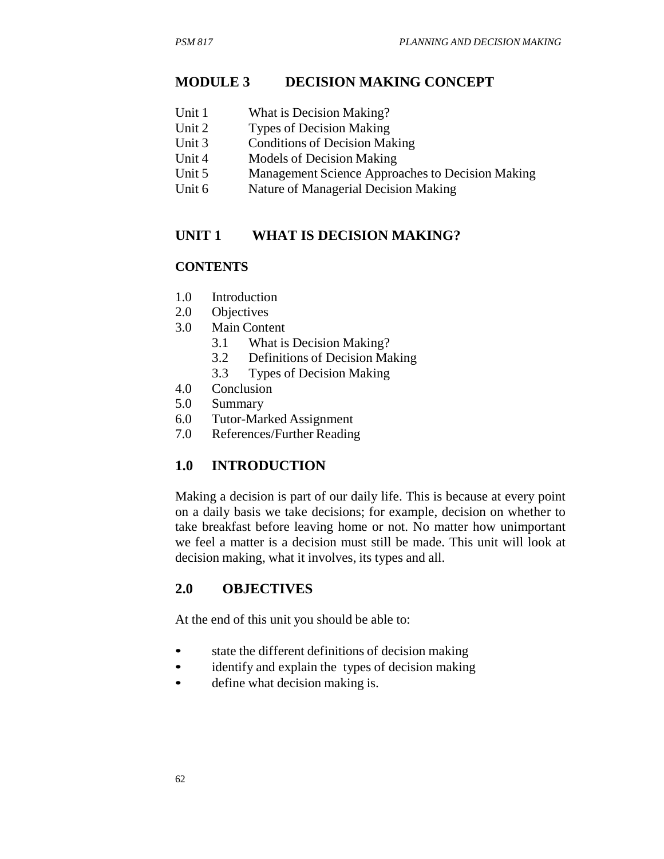## **MODULE 3 DECISION MAKING CONCEPT**

- Unit 1 What is Decision Making?
- Unit 2 Types of Decision Making
- Unit 3 Conditions of Decision Making
- Unit 4 Models of Decision Making
- Unit 5 Management Science Approaches to Decision Making
- Unit 6 Nature of Managerial Decision Making

## **UNIT 1 WHAT IS DECISION MAKING?**

## **CONTENTS**

- 1.0 Introduction
- 2.0 Objectives
- 3.0 Main Content
	- 3.1 What is Decision Making?
	- 3.2 Definitions of Decision Making
	- 3.3 Types of Decision Making
- 4.0 Conclusion
- 5.0 Summary
- 6.0 Tutor-Marked Assignment
- 7.0 References/Further Reading

# **1.0 INTRODUCTION**

Making a decision is part of our daily life. This is because at every point on a daily basis we take decisions; for example, decision on whether to take breakfast before leaving home or not. No matter how unimportant we feel a matter is a decision must still be made. This unit will look at decision making, what it involves, its types and all.

# **2.0 OBJECTIVES**

At the end of this unit you should be able to:

- state the different definitions of decision making
- identify and explain the types of decision making
- define what decision making is.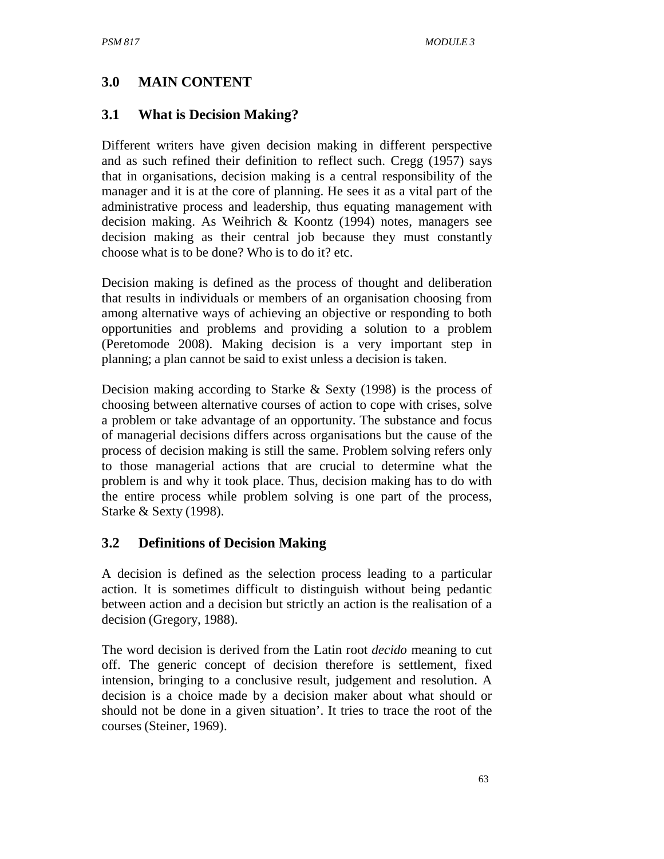# **3.0 MAIN CONTENT**

## **3.1 What is Decision Making?**

Different writers have given decision making in different perspective and as such refined their definition to reflect such. Cregg (1957) says that in organisations, decision making is a central responsibility of the manager and it is at the core of planning. He sees it as a vital part of the administrative process and leadership, thus equating management with decision making. As Weihrich & Koontz (1994) notes, managers see decision making as their central job because they must constantly choose what is to be done? Who is to do it? etc.

Decision making is defined as the process of thought and deliberation that results in individuals or members of an organisation choosing from among alternative ways of achieving an objective or responding to both opportunities and problems and providing a solution to a problem (Peretomode 2008). Making decision is a very important step in planning; a plan cannot be said to exist unless a decision is taken.

Decision making according to Starke & Sexty (1998) is the process of choosing between alternative courses of action to cope with crises, solve a problem or take advantage of an opportunity. The substance and focus of managerial decisions differs across organisations but the cause of the process of decision making is still the same. Problem solving refers only to those managerial actions that are crucial to determine what the problem is and why it took place. Thus, decision making has to do with the entire process while problem solving is one part of the process, Starke & Sexty (1998).

## **3.2 Definitions of Decision Making**

A decision is defined as the selection process leading to a particular action. It is sometimes difficult to distinguish without being pedantic between action and a decision but strictly an action is the realisation of a decision (Gregory, 1988).

The word decision is derived from the Latin root *decido* meaning to cut off. The generic concept of decision therefore is settlement, fixed intension, bringing to a conclusive result, judgement and resolution. A decision is a choice made by a decision maker about what should or should not be done in a given situation'. It tries to trace the root of the courses (Steiner, 1969).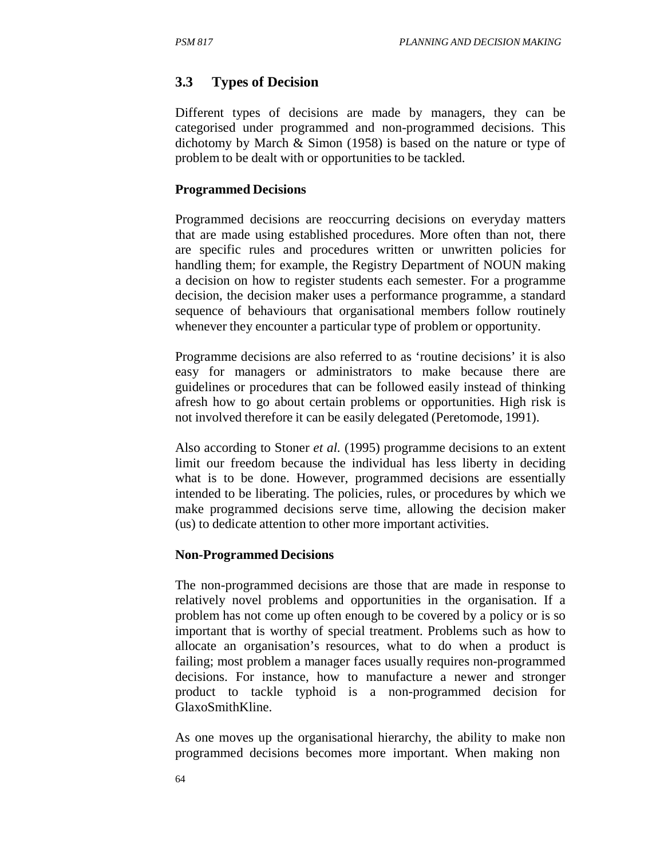### **3.3 Types of Decision**

Different types of decisions are made by managers, they can be categorised under programmed and non-programmed decisions. This dichotomy by March & Simon (1958) is based on the nature or type of problem to be dealt with or opportunities to be tackled.

#### **Programmed Decisions**

Programmed decisions are reoccurring decisions on everyday matters that are made using established procedures. More often than not, there are specific rules and procedures written or unwritten policies for handling them; for example, the Registry Department of NOUN making a decision on how to register students each semester. For a programme decision, the decision maker uses a performance programme, a standard sequence of behaviours that organisational members follow routinely whenever they encounter a particular type of problem or opportunity.

Programme decisions are also referred to as 'routine decisions' it is also easy for managers or administrators to make because there are guidelines or procedures that can be followed easily instead of thinking afresh how to go about certain problems or opportunities. High risk is not involved therefore it can be easily delegated (Peretomode, 1991).

Also according to Stoner *et al.* (1995) programme decisions to an extent limit our freedom because the individual has less liberty in deciding what is to be done. However, programmed decisions are essentially intended to be liberating. The policies, rules, or procedures by which we make programmed decisions serve time, allowing the decision maker (us) to dedicate attention to other more important activities.

#### **Non-Programmed Decisions**

The non-programmed decisions are those that are made in response to relatively novel problems and opportunities in the organisation. If a problem has not come up often enough to be covered by a policy or is so important that is worthy of special treatment. Problems such as how to allocate an organisation's resources, what to do when a product is failing; most problem a manager faces usually requires non-programmed decisions. For instance, how to manufacture a newer and stronger product to tackle typhoid is a non-programmed decision for GlaxoSmithKline.

As one moves up the organisational hierarchy, the ability to make non programmed decisions becomes more important. When making non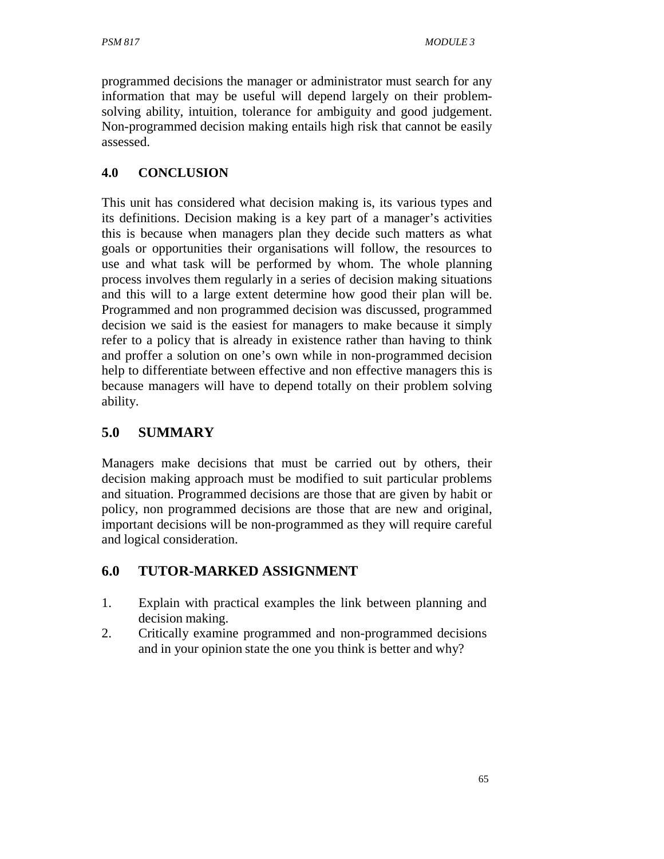programmed decisions the manager or administrator must search for any information that may be useful will depend largely on their problemsolving ability, intuition, tolerance for ambiguity and good judgement. Non-programmed decision making entails high risk that cannot be easily assessed.

## **4.0 CONCLUSION**

This unit has considered what decision making is, its various types and its definitions. Decision making is a key part of a manager's activities this is because when managers plan they decide such matters as what goals or opportunities their organisations will follow, the resources to use and what task will be performed by whom. The whole planning process involves them regularly in a series of decision making situations and this will to a large extent determine how good their plan will be. Programmed and non programmed decision was discussed, programmed decision we said is the easiest for managers to make because it simply refer to a policy that is already in existence rather than having to think and proffer a solution on one's own while in non-programmed decision help to differentiate between effective and non effective managers this is because managers will have to depend totally on their problem solving ability.

# **5.0 SUMMARY**

Managers make decisions that must be carried out by others, their decision making approach must be modified to suit particular problems and situation. Programmed decisions are those that are given by habit or policy, non programmed decisions are those that are new and original, important decisions will be non-programmed as they will require careful and logical consideration.

# **6.0 TUTOR-MARKED ASSIGNMENT**

- 1. Explain with practical examples the link between planning and decision making.
- 2. Critically examine programmed and non-programmed decisions and in your opinion state the one you think is better and why?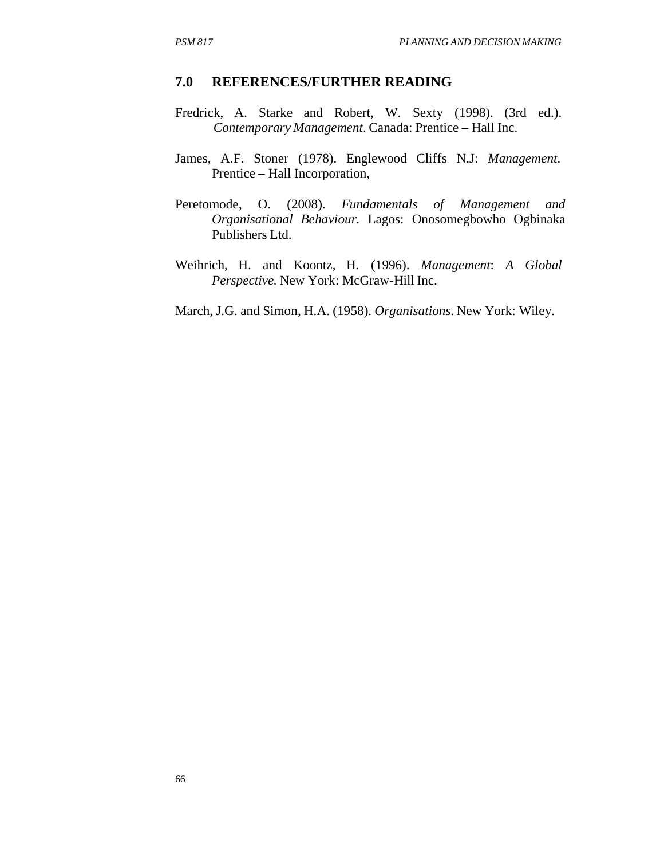#### **7.0 REFERENCES/FURTHER READING**

- Fredrick, A. Starke and Robert, W. Sexty (1998). (3rd ed.). *Contemporary Management*. Canada: Prentice – Hall Inc.
- James, A.F. Stoner (1978). Englewood Cliffs N.J: *Management*. Prentice – Hall Incorporation,
- Peretomode, O. (2008). *Fundamentals of Management and Organisational Behaviour.* Lagos: Onosomegbowho Ogbinaka Publishers Ltd.
- Weihrich, H. and Koontz, H. (1996). *Management*: *A Global Perspective.* New York: McGraw-Hill Inc.
- March, J.G. and Simon, H.A. (1958). *Organisations*. New York: Wiley.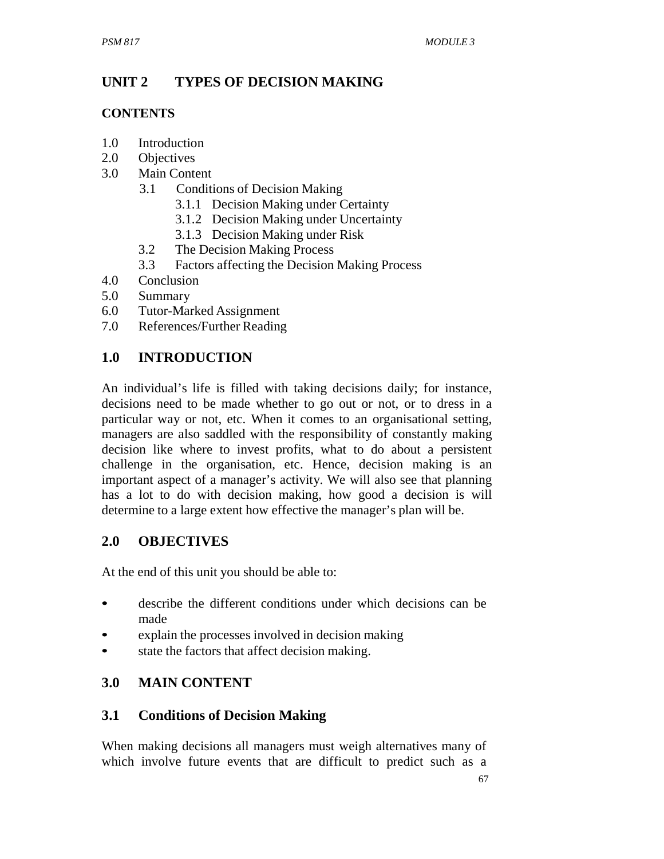# **UNIT 2 TYPES OF DECISION MAKING**

### **CONTENTS**

- 1.0 Introduction
- 2.0 Objectives
- 3.0 Main Content
	- 3.1 Conditions of Decision Making
		- 3.1.1 Decision Making under Certainty
		- 3.1.2 Decision Making under Uncertainty
		- 3.1.3 Decision Making under Risk
	- 3.2 The Decision Making Process
	- 3.3 Factors affecting the Decision Making Process
- 4.0 Conclusion
- 5.0 Summary
- 6.0 Tutor-Marked Assignment
- 7.0 References/Further Reading

# **1.0 INTRODUCTION**

An individual's life is filled with taking decisions daily; for instance, decisions need to be made whether to go out or not, or to dress in a particular way or not, etc. When it comes to an organisational setting, managers are also saddled with the responsibility of constantly making decision like where to invest profits, what to do about a persistent challenge in the organisation, etc. Hence, decision making is an important aspect of a manager's activity. We will also see that planning has a lot to do with decision making, how good a decision is will determine to a large extent how effective the manager's plan will be.

## **2.0 OBJECTIVES**

At the end of this unit you should be able to:

- describe the different conditions under which decisions can be made
- explain the processes involved in decision making
- state the factors that affect decision making.

## **3.0 MAIN CONTENT**

## **3.1 Conditions of Decision Making**

When making decisions all managers must weigh alternatives many of which involve future events that are difficult to predict such as a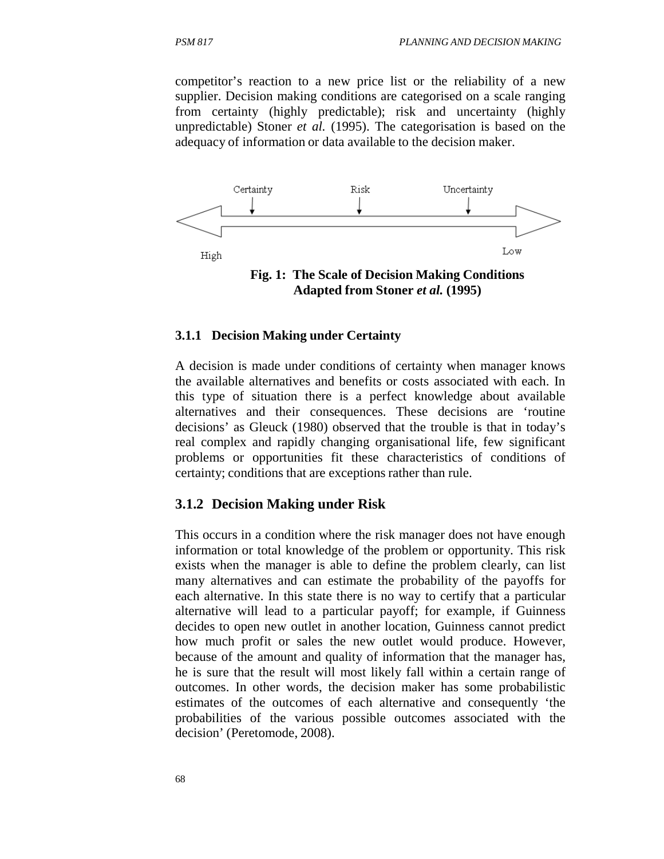competitor's reaction to a new price list or the reliability of a new supplier. Decision making conditions are categorised on a scale ranging from certainty (highly predictable); risk and uncertainty (highly unpredictable) Stoner *et al.* (1995). The categorisation is based on the adequacy of information or data available to the decision maker.



**Adapted from Stoner** *et al.* **(1995)**

#### **3.1.1 Decision Making under Certainty**

A decision is made under conditions of certainty when manager knows the available alternatives and benefits or costs associated with each. In this type of situation there is a perfect knowledge about available alternatives and their consequences. These decisions are 'routine decisions' as Gleuck (1980) observed that the trouble is that in today's real complex and rapidly changing organisational life, few significant problems or opportunities fit these characteristics of conditions of certainty; conditions that are exceptions rather than rule.

#### **3.1.2 Decision Making under Risk**

This occurs in a condition where the risk manager does not have enough information or total knowledge of the problem or opportunity. This risk exists when the manager is able to define the problem clearly, can list many alternatives and can estimate the probability of the payoffs for each alternative. In this state there is no way to certify that a particular alternative will lead to a particular payoff; for example, if Guinness decides to open new outlet in another location, Guinness cannot predict how much profit or sales the new outlet would produce. However, because of the amount and quality of information that the manager has, he is sure that the result will most likely fall within a certain range of outcomes. In other words, the decision maker has some probabilistic estimates of the outcomes of each alternative and consequently 'the probabilities of the various possible outcomes associated with the decision' (Peretomode, 2008).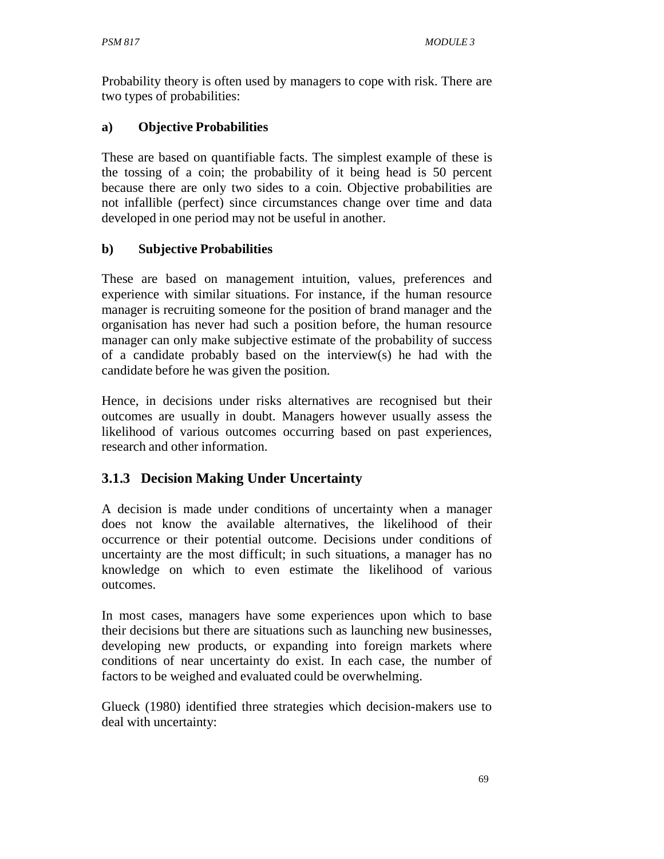Probability theory is often used by managers to cope with risk. There are two types of probabilities:

## **a) Objective Probabilities**

These are based on quantifiable facts. The simplest example of these is the tossing of a coin; the probability of it being head is 50 percent because there are only two sides to a coin. Objective probabilities are not infallible (perfect) since circumstances change over time and data developed in one period may not be useful in another.

## **b) Subjective Probabilities**

These are based on management intuition, values, preferences and experience with similar situations. For instance, if the human resource manager is recruiting someone for the position of brand manager and the organisation has never had such a position before, the human resource manager can only make subjective estimate of the probability of success of a candidate probably based on the interview(s) he had with the candidate before he was given the position.

Hence, in decisions under risks alternatives are recognised but their outcomes are usually in doubt. Managers however usually assess the likelihood of various outcomes occurring based on past experiences, research and other information.

# **3.1.3 Decision Making Under Uncertainty**

A decision is made under conditions of uncertainty when a manager does not know the available alternatives, the likelihood of their occurrence or their potential outcome. Decisions under conditions of uncertainty are the most difficult; in such situations, a manager has no knowledge on which to even estimate the likelihood of various outcomes.

In most cases, managers have some experiences upon which to base their decisions but there are situations such as launching new businesses, developing new products, or expanding into foreign markets where conditions of near uncertainty do exist. In each case, the number of factors to be weighed and evaluated could be overwhelming.

Glueck (1980) identified three strategies which decision-makers use to deal with uncertainty: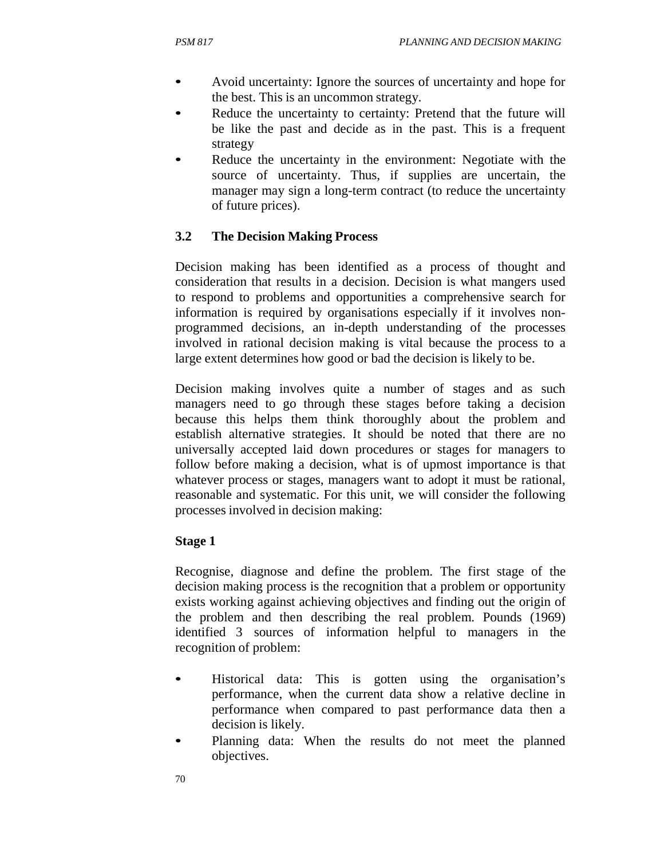- Avoid uncertainty: Ignore the sources of uncertainty and hope for the best. This is an uncommon strategy.
- Reduce the uncertainty to certainty: Pretend that the future will be like the past and decide as in the past. This is a frequent strategy
- Reduce the uncertainty in the environment: Negotiate with the source of uncertainty. Thus, if supplies are uncertain, the manager may sign a long-term contract (to reduce the uncertainty of future prices).

### **3.2 The Decision Making Process**

Decision making has been identified as a process of thought and consideration that results in a decision. Decision is what mangers used to respond to problems and opportunities a comprehensive search for information is required by organisations especially if it involves nonprogrammed decisions, an in-depth understanding of the processes involved in rational decision making is vital because the process to a large extent determines how good or bad the decision is likely to be.

Decision making involves quite a number of stages and as such managers need to go through these stages before taking a decision because this helps them think thoroughly about the problem and establish alternative strategies. It should be noted that there are no universally accepted laid down procedures or stages for managers to follow before making a decision, what is of upmost importance is that whatever process or stages, managers want to adopt it must be rational, reasonable and systematic. For this unit, we will consider the following processes involved in decision making:

### **Stage 1**

Recognise, diagnose and define the problem. The first stage of the decision making process is the recognition that a problem or opportunity exists working against achieving objectives and finding out the origin of the problem and then describing the real problem. Pounds (1969) identified 3 sources of information helpful to managers in the recognition of problem:

- Historical data: This is gotten using the organisation's performance, when the current data show a relative decline in performance when compared to past performance data then a decision is likely.
- Planning data: When the results do not meet the planned objectives.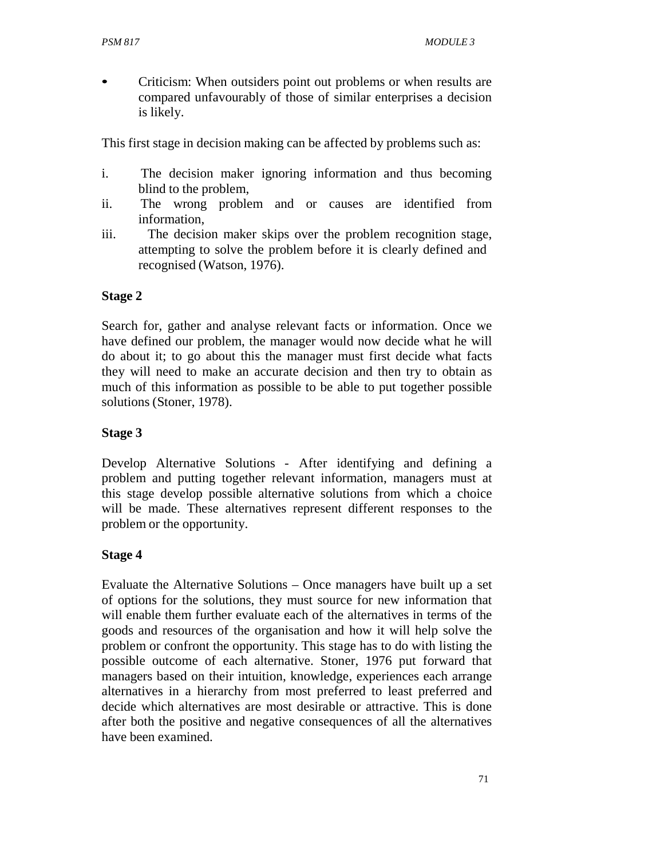• Criticism: When outsiders point out problems or when results are compared unfavourably of those of similar enterprises a decision is likely.

This first stage in decision making can be affected by problems such as:

- i. The decision maker ignoring information and thus becoming blind to the problem,
- ii. The wrong problem and or causes are identified from information,
- iii. The decision maker skips over the problem recognition stage, attempting to solve the problem before it is clearly defined and recognised (Watson, 1976).

### **Stage 2**

Search for, gather and analyse relevant facts or information. Once we have defined our problem, the manager would now decide what he will do about it; to go about this the manager must first decide what facts they will need to make an accurate decision and then try to obtain as much of this information as possible to be able to put together possible solutions (Stoner, 1978).

### **Stage 3**

Develop Alternative Solutions - After identifying and defining a problem and putting together relevant information, managers must at this stage develop possible alternative solutions from which a choice will be made. These alternatives represent different responses to the problem or the opportunity.

### **Stage 4**

Evaluate the Alternative Solutions – Once managers have built up a set of options for the solutions, they must source for new information that will enable them further evaluate each of the alternatives in terms of the goods and resources of the organisation and how it will help solve the problem or confront the opportunity. This stage has to do with listing the possible outcome of each alternative. Stoner, 1976 put forward that managers based on their intuition, knowledge, experiences each arrange alternatives in a hierarchy from most preferred to least preferred and decide which alternatives are most desirable or attractive. This is done after both the positive and negative consequences of all the alternatives have been examined.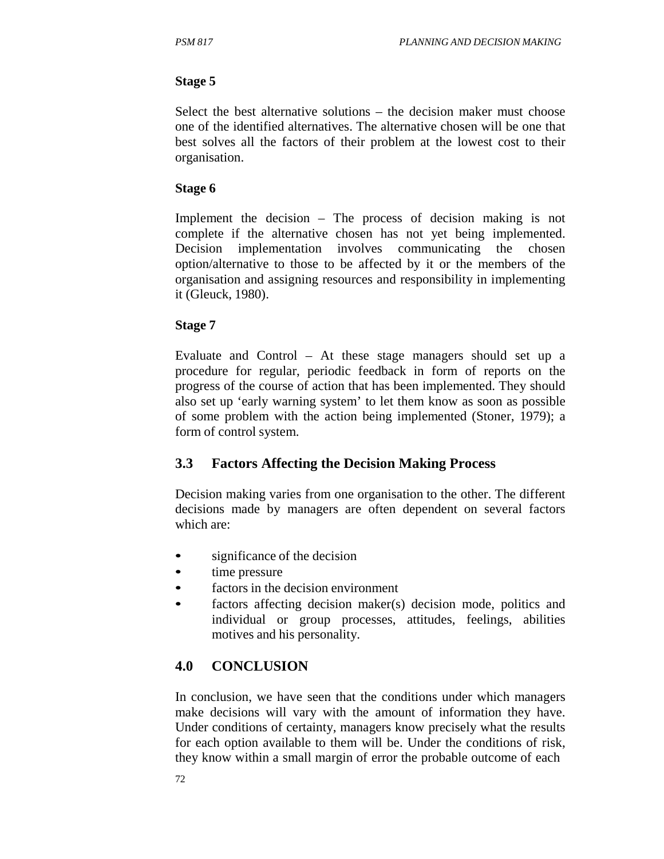### **Stage 5**

Select the best alternative solutions – the decision maker must choose one of the identified alternatives. The alternative chosen will be one that best solves all the factors of their problem at the lowest cost to their organisation.

### **Stage 6**

Implement the decision – The process of decision making is not complete if the alternative chosen has not yet being implemented. Decision implementation involves communicating the chosen option/alternative to those to be affected by it or the members of the organisation and assigning resources and responsibility in implementing it (Gleuck, 1980).

### **Stage 7**

Evaluate and Control – At these stage managers should set up a procedure for regular, periodic feedback in form of reports on the progress of the course of action that has been implemented. They should also set up 'early warning system' to let them know as soon as possible of some problem with the action being implemented (Stoner, 1979); a form of control system.

### **3.3 Factors Affecting the Decision Making Process**

Decision making varies from one organisation to the other. The different decisions made by managers are often dependent on several factors which are:

- significance of the decision
- time pressure
- factors in the decision environment
- factors affecting decision maker(s) decision mode, politics and individual or group processes, attitudes, feelings, abilities motives and his personality.

## **4.0 CONCLUSION**

In conclusion, we have seen that the conditions under which managers make decisions will vary with the amount of information they have. Under conditions of certainty, managers know precisely what the results for each option available to them will be. Under the conditions of risk, they know within a small margin of error the probable outcome of each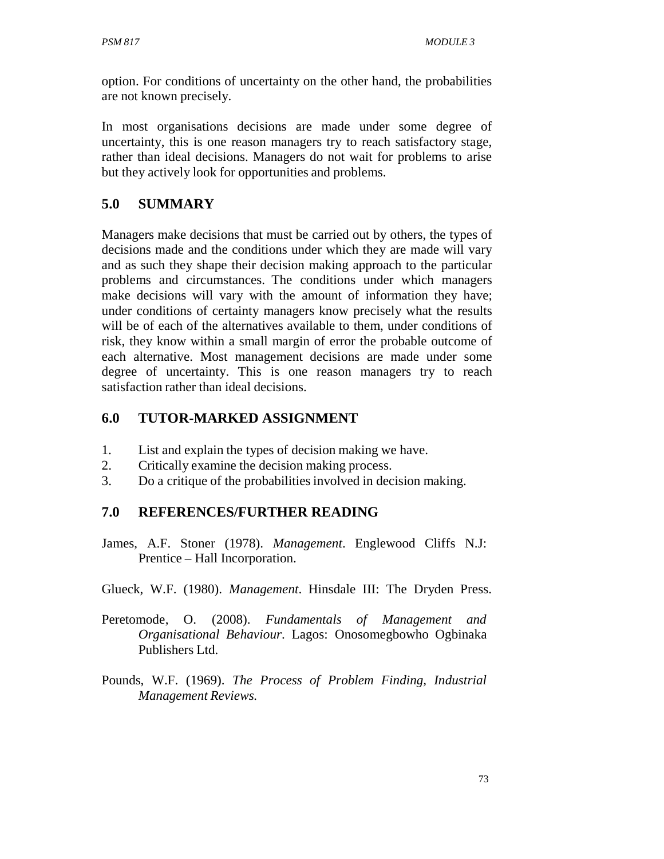option. For conditions of uncertainty on the other hand, the probabilities are not known precisely.

In most organisations decisions are made under some degree of uncertainty, this is one reason managers try to reach satisfactory stage, rather than ideal decisions. Managers do not wait for problems to arise but they actively look for opportunities and problems.

# **5.0 SUMMARY**

Managers make decisions that must be carried out by others, the types of decisions made and the conditions under which they are made will vary and as such they shape their decision making approach to the particular problems and circumstances. The conditions under which managers make decisions will vary with the amount of information they have; under conditions of certainty managers know precisely what the results will be of each of the alternatives available to them, under conditions of risk, they know within a small margin of error the probable outcome of each alternative. Most management decisions are made under some degree of uncertainty. This is one reason managers try to reach satisfaction rather than ideal decisions.

## **6.0 TUTOR-MARKED ASSIGNMENT**

- 1. List and explain the types of decision making we have.
- 2. Critically examine the decision making process.
- 3. Do a critique of the probabilities involved in decision making.

# **7.0 REFERENCES/FURTHER READING**

- James, A.F. Stoner (1978). *Management*. Englewood Cliffs N.J: Prentice – Hall Incorporation.
- Glueck, W.F. (1980). *Management*. Hinsdale III: The Dryden Press.
- Peretomode, O. (2008). *Fundamentals of Management and Organisational Behaviour*. Lagos: Onosomegbowho Ogbinaka Publishers Ltd.
- Pounds, W.F. (1969). *The Process of Problem Finding, Industrial Management Reviews.*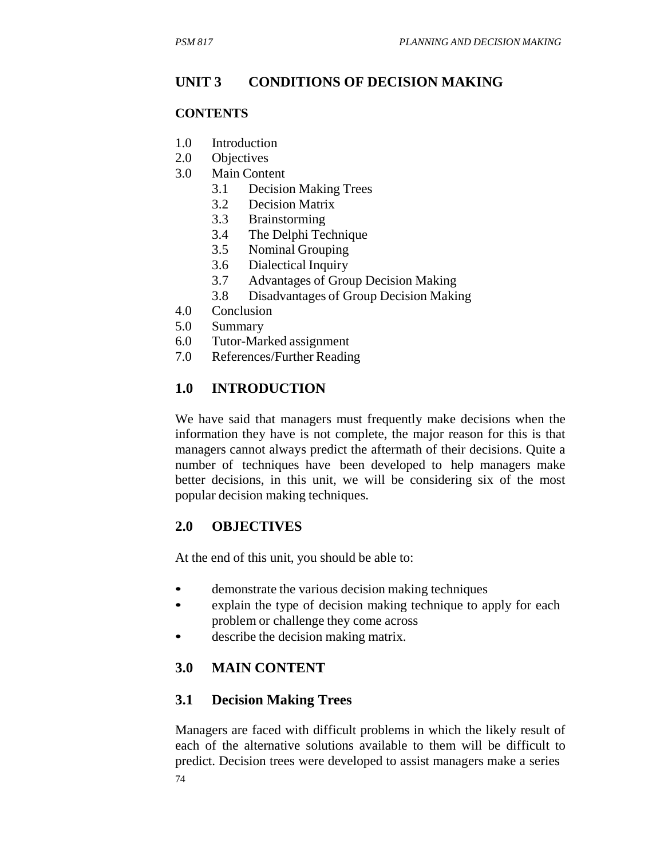# **UNIT 3 CONDITIONS OF DECISION MAKING**

### **CONTENTS**

- 1.0 Introduction
- 2.0 Objectives
- 3.0 Main Content
	- 3.1 Decision Making Trees
	- 3.2 Decision Matrix
	- 3.3 Brainstorming
	- 3.4 The Delphi Technique
	- 3.5 Nominal Grouping
	- 3.6 Dialectical Inquiry
	- 3.7 Advantages of Group Decision Making
	- 3.8 Disadvantages of Group Decision Making
- 4.0 Conclusion
- 5.0 Summary
- 6.0 Tutor-Marked assignment
- 7.0 References/Further Reading

## **1.0 INTRODUCTION**

We have said that managers must frequently make decisions when the information they have is not complete, the major reason for this is that managers cannot always predict the aftermath of their decisions. Quite a number of techniques have been developed to help managers make better decisions, in this unit, we will be considering six of the most popular decision making techniques.

### **2.0 OBJECTIVES**

At the end of this unit, you should be able to:

- demonstrate the various decision making techniques
- explain the type of decision making technique to apply for each problem or challenge they come across
- describe the decision making matrix.

## **3.0 MAIN CONTENT**

### **3.1 Decision Making Trees**

74 Managers are faced with difficult problems in which the likely result of each of the alternative solutions available to them will be difficult to predict. Decision trees were developed to assist managers make a series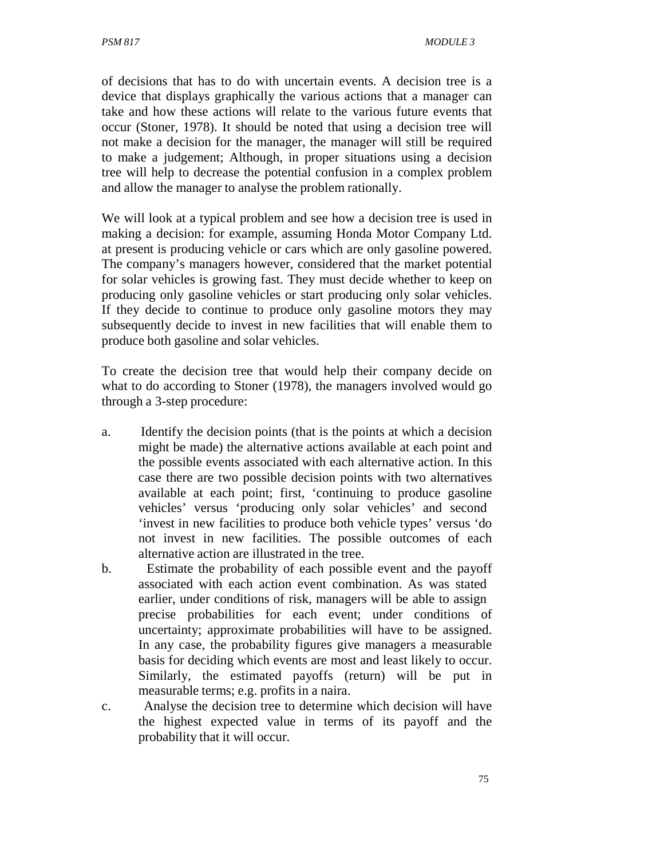of decisions that has to do with uncertain events. A decision tree is a device that displays graphically the various actions that a manager can take and how these actions will relate to the various future events that occur (Stoner, 1978). It should be noted that using a decision tree will not make a decision for the manager, the manager will still be required to make a judgement; Although, in proper situations using a decision tree will help to decrease the potential confusion in a complex problem and allow the manager to analyse the problem rationally.

We will look at a typical problem and see how a decision tree is used in making a decision: for example, assuming Honda Motor Company Ltd. at present is producing vehicle or cars which are only gasoline powered. The company's managers however, considered that the market potential for solar vehicles is growing fast. They must decide whether to keep on producing only gasoline vehicles or start producing only solar vehicles. If they decide to continue to produce only gasoline motors they may subsequently decide to invest in new facilities that will enable them to produce both gasoline and solar vehicles.

To create the decision tree that would help their company decide on what to do according to Stoner (1978), the managers involved would go through a 3-step procedure:

- a. Identify the decision points (that is the points at which a decision might be made) the alternative actions available at each point and the possible events associated with each alternative action. In this case there are two possible decision points with two alternatives available at each point; first, 'continuing to produce gasoline vehicles' versus 'producing only solar vehicles' and second 'invest in new facilities to produce both vehicle types' versus 'do not invest in new facilities. The possible outcomes of each alternative action are illustrated in the tree.
- b. Estimate the probability of each possible event and the payoff associated with each action event combination. As was stated earlier, under conditions of risk, managers will be able to assign precise probabilities for each event; under conditions of uncertainty; approximate probabilities will have to be assigned. In any case, the probability figures give managers a measurable basis for deciding which events are most and least likely to occur. Similarly, the estimated payoffs (return) will be put in measurable terms; e.g. profits in a naira.
- c. Analyse the decision tree to determine which decision will have the highest expected value in terms of its payoff and the probability that it will occur.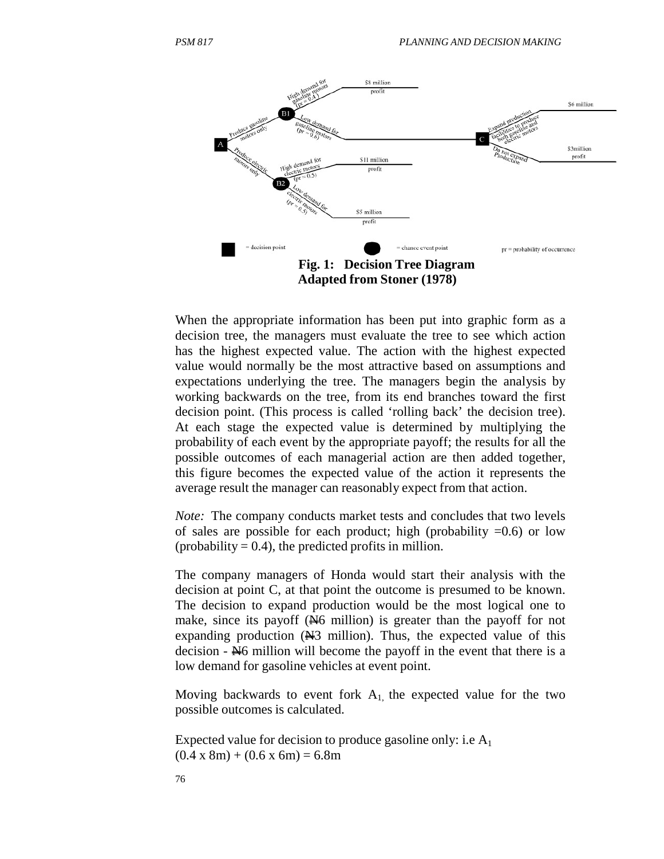

When the appropriate information has been put into graphic form as a decision tree, the managers must evaluate the tree to see which action has the highest expected value. The action with the highest expected value would normally be the most attractive based on assumptions and expectations underlying the tree. The managers begin the analysis by working backwards on the tree, from its end branches toward the first decision point. (This process is called 'rolling back' the decision tree). At each stage the expected value is determined by multiplying the probability of each event by the appropriate payoff; the results for all the possible outcomes of each managerial action are then added together, this figure becomes the expected value of the action it represents the average result the manager can reasonably expect from that action.

*Note:* The company conducts market tests and concludes that two levels of sales are possible for each product; high (probability  $=0.6$ ) or low  $(probability = 0.4)$ , the predicted profits in million.

The company managers of Honda would start their analysis with the decision at point C, at that point the outcome is presumed to be known. The decision to expand production would be the most logical one to make, since its payoff  $(M6 \text{ million})$  is greater than the payoff for not expanding production  $(A3 \text{ million})$ . Thus, the expected value of this decision - N6 million will become the payoff in the event that there is a low demand for gasoline vehicles at event point.

Moving backwards to event fork  $A_1$ , the expected value for the two possible outcomes is calculated.

Expected value for decision to produce gasoline only: i.e  $A_1$  $(0.4 \times 8m) + (0.6 \times 6m) = 6.8m$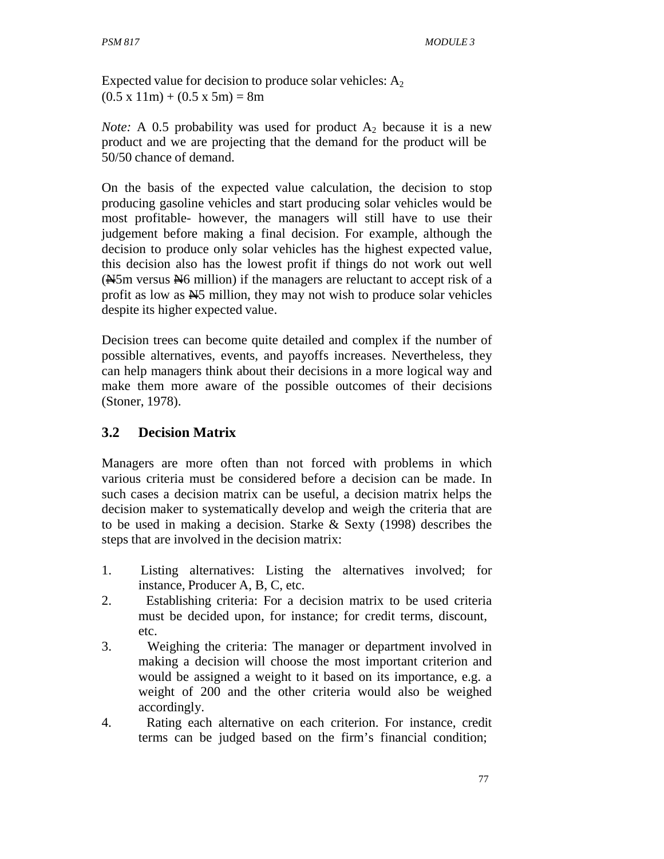Expected value for decision to produce solar vehicles:  $A_2$  $(0.5 \times 11m) + (0.5 \times 5m) = 8m$ 

*Note:* A 0.5 probability was used for product  $A_2$  because it is a new product and we are projecting that the demand for the product will be 50/50 chance of demand.

On the basis of the expected value calculation, the decision to stop producing gasoline vehicles and start producing solar vehicles would be most profitable- however, the managers will still have to use their judgement before making a final decision. For example, although the decision to produce only solar vehicles has the highest expected value, this decision also has the lowest profit if things do not work out well  $(X5m$  versus  $N6$  million) if the managers are reluctant to accept risk of a profit as low as N5 million, they may not wish to produce solar vehicles despite its higher expected value.

Decision trees can become quite detailed and complex if the number of possible alternatives, events, and payoffs increases. Nevertheless, they can help managers think about their decisions in a more logical way and make them more aware of the possible outcomes of their decisions (Stoner, 1978).

## **3.2 Decision Matrix**

Managers are more often than not forced with problems in which various criteria must be considered before a decision can be made. In such cases a decision matrix can be useful, a decision matrix helps the decision maker to systematically develop and weigh the criteria that are to be used in making a decision. Starke & Sexty (1998) describes the steps that are involved in the decision matrix:

- 1. Listing alternatives: Listing the alternatives involved; for instance, Producer A, B, C, etc.
- 2. Establishing criteria: For a decision matrix to be used criteria must be decided upon, for instance; for credit terms, discount, etc.
- 3. Weighing the criteria: The manager or department involved in making a decision will choose the most important criterion and would be assigned a weight to it based on its importance, e.g. a weight of 200 and the other criteria would also be weighed accordingly.
- 4. Rating each alternative on each criterion. For instance, credit terms can be judged based on the firm's financial condition;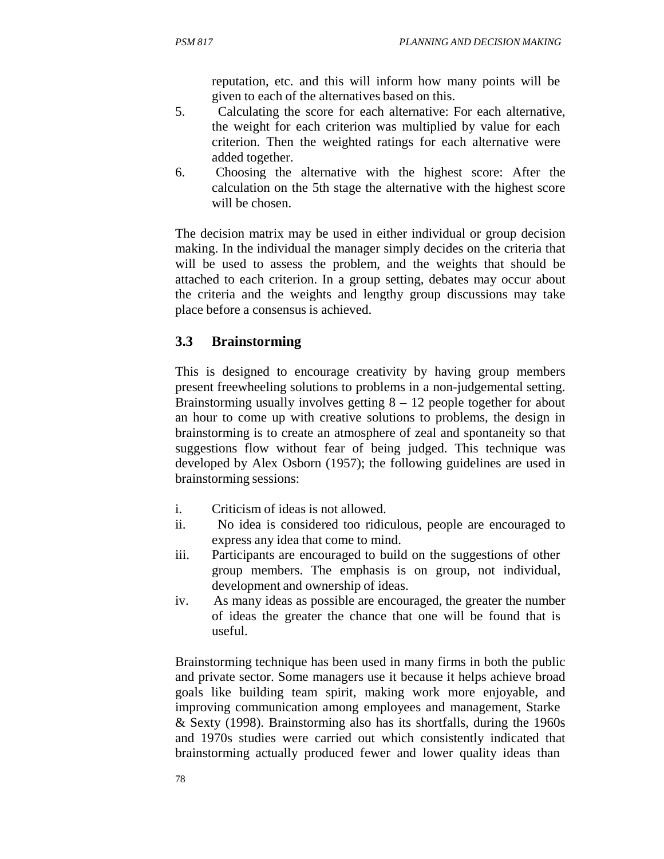reputation, etc. and this will inform how many points will be given to each of the alternatives based on this.

- 5. Calculating the score for each alternative: For each alternative, the weight for each criterion was multiplied by value for each criterion. Then the weighted ratings for each alternative were added together.
- 6. Choosing the alternative with the highest score: After the calculation on the 5th stage the alternative with the highest score will be chosen.

The decision matrix may be used in either individual or group decision making. In the individual the manager simply decides on the criteria that will be used to assess the problem, and the weights that should be attached to each criterion. In a group setting, debates may occur about the criteria and the weights and lengthy group discussions may take place before a consensus is achieved.

## **3.3 Brainstorming**

This is designed to encourage creativity by having group members present freewheeling solutions to problems in a non-judgemental setting. Brainstorming usually involves getting  $8 - 12$  people together for about an hour to come up with creative solutions to problems, the design in brainstorming is to create an atmosphere of zeal and spontaneity so that suggestions flow without fear of being judged. This technique was developed by Alex Osborn (1957); the following guidelines are used in brainstorming sessions:

- i. Criticism of ideas is not allowed.
- ii. No idea is considered too ridiculous, people are encouraged to express any idea that come to mind.
- iii. Participants are encouraged to build on the suggestions of other group members. The emphasis is on group, not individual, development and ownership of ideas.
- iv. As many ideas as possible are encouraged, the greater the number of ideas the greater the chance that one will be found that is useful.

Brainstorming technique has been used in many firms in both the public and private sector. Some managers use it because it helps achieve broad goals like building team spirit, making work more enjoyable, and improving communication among employees and management, Starke & Sexty (1998). Brainstorming also has its shortfalls, during the 1960s and 1970s studies were carried out which consistently indicated that brainstorming actually produced fewer and lower quality ideas than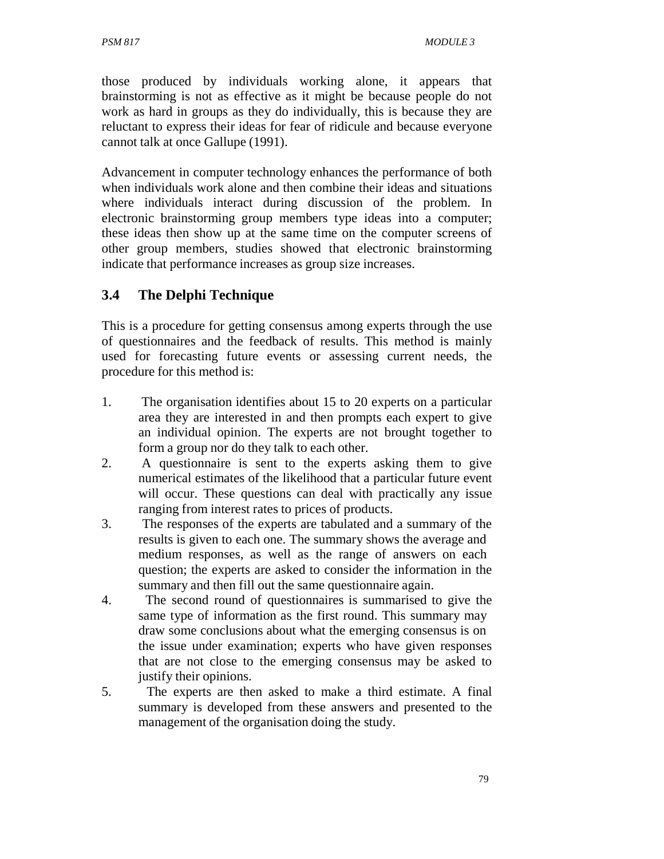those produced by individuals working alone, it appears that brainstorming is not as effective as it might be because people do not work as hard in groups as they do individually, this is because they are reluctant to express their ideas for fear of ridicule and because everyone cannot talk at once Gallupe (1991).

Advancement in computer technology enhances the performance of both when individuals work alone and then combine their ideas and situations where individuals interact during discussion of the problem. In electronic brainstorming group members type ideas into a computer; these ideas then show up at the same time on the computer screens of other group members, studies showed that electronic brainstorming indicate that performance increases as group size increases.

# **3.4 The Delphi Technique**

This is a procedure for getting consensus among experts through the use of questionnaires and the feedback of results. This method is mainly used for forecasting future events or assessing current needs, the procedure for this method is:

- 1. The organisation identifies about 15 to 20 experts on a particular area they are interested in and then prompts each expert to give an individual opinion. The experts are not brought together to form a group nor do they talk to each other.
- 2. A questionnaire is sent to the experts asking them to give numerical estimates of the likelihood that a particular future event will occur. These questions can deal with practically any issue ranging from interest rates to prices of products.
- 3. The responses of the experts are tabulated and a summary of the results is given to each one. The summary shows the average and medium responses, as well as the range of answers on each question; the experts are asked to consider the information in the summary and then fill out the same questionnaire again.
- 4. The second round of questionnaires is summarised to give the same type of information as the first round. This summary may draw some conclusions about what the emerging consensus is on the issue under examination; experts who have given responses that are not close to the emerging consensus may be asked to justify their opinions.
- 5. The experts are then asked to make a third estimate. A final summary is developed from these answers and presented to the management of the organisation doing the study.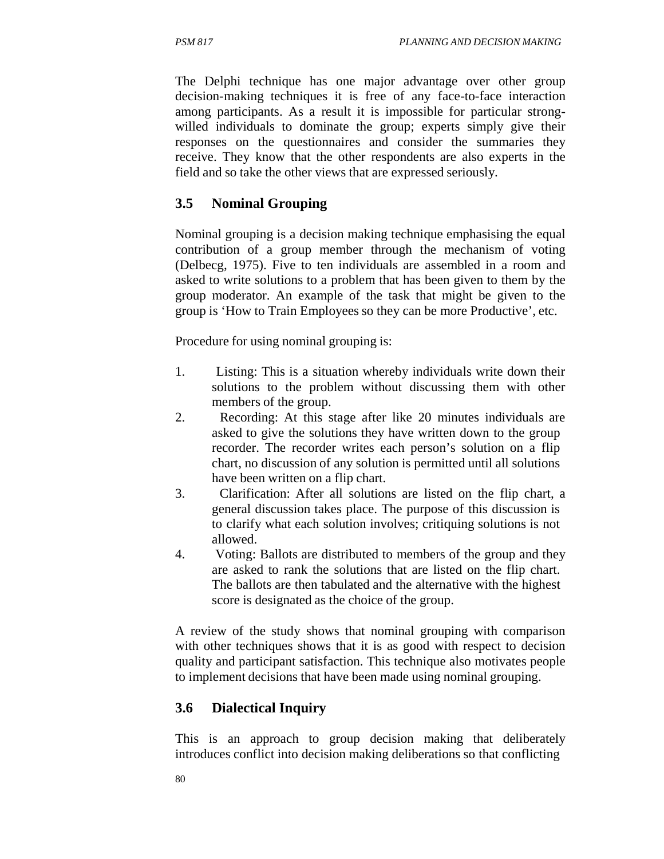The Delphi technique has one major advantage over other group decision-making techniques it is free of any face-to-face interaction among participants. As a result it is impossible for particular strongwilled individuals to dominate the group; experts simply give their responses on the questionnaires and consider the summaries they receive. They know that the other respondents are also experts in the field and so take the other views that are expressed seriously.

## **3.5 Nominal Grouping**

Nominal grouping is a decision making technique emphasising the equal contribution of a group member through the mechanism of voting (Delbecg, 1975). Five to ten individuals are assembled in a room and asked to write solutions to a problem that has been given to them by the group moderator. An example of the task that might be given to the group is 'How to Train Employees so they can be more Productive', etc.

Procedure for using nominal grouping is:

- 1. Listing: This is a situation whereby individuals write down their solutions to the problem without discussing them with other members of the group.
- 2. Recording: At this stage after like 20 minutes individuals are asked to give the solutions they have written down to the group recorder. The recorder writes each person's solution on a flip chart, no discussion of any solution is permitted until all solutions have been written on a flip chart.
- 3. Clarification: After all solutions are listed on the flip chart, a general discussion takes place. The purpose of this discussion is to clarify what each solution involves; critiquing solutions is not allowed.
- 4. Voting: Ballots are distributed to members of the group and they are asked to rank the solutions that are listed on the flip chart. The ballots are then tabulated and the alternative with the highest score is designated as the choice of the group.

A review of the study shows that nominal grouping with comparison with other techniques shows that it is as good with respect to decision quality and participant satisfaction. This technique also motivates people to implement decisions that have been made using nominal grouping.

## **3.6 Dialectical Inquiry**

This is an approach to group decision making that deliberately introduces conflict into decision making deliberations so that conflicting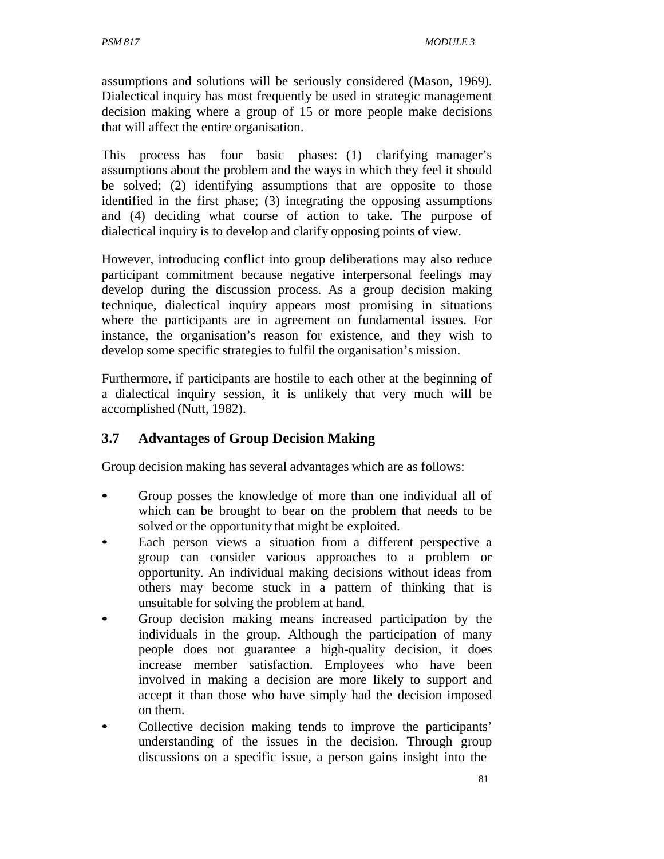assumptions and solutions will be seriously considered (Mason, 1969). Dialectical inquiry has most frequently be used in strategic management decision making where a group of 15 or more people make decisions that will affect the entire organisation.

This process has four basic phases: (1) clarifying manager's assumptions about the problem and the ways in which they feel it should be solved; (2) identifying assumptions that are opposite to those identified in the first phase; (3) integrating the opposing assumptions and (4) deciding what course of action to take. The purpose of dialectical inquiry is to develop and clarify opposing points of view.

However, introducing conflict into group deliberations may also reduce participant commitment because negative interpersonal feelings may develop during the discussion process. As a group decision making technique, dialectical inquiry appears most promising in situations where the participants are in agreement on fundamental issues. For instance, the organisation's reason for existence, and they wish to develop some specific strategies to fulfil the organisation's mission.

Furthermore, if participants are hostile to each other at the beginning of a dialectical inquiry session, it is unlikely that very much will be accomplished (Nutt, 1982).

# **3.7 Advantages of Group Decision Making**

Group decision making has several advantages which are as follows:

- Group posses the knowledge of more than one individual all of which can be brought to bear on the problem that needs to be solved or the opportunity that might be exploited.
- Each person views a situation from a different perspective a group can consider various approaches to a problem or opportunity. An individual making decisions without ideas from others may become stuck in a pattern of thinking that is unsuitable for solving the problem at hand.
- Group decision making means increased participation by the individuals in the group. Although the participation of many people does not guarantee a high-quality decision, it does increase member satisfaction. Employees who have been involved in making a decision are more likely to support and accept it than those who have simply had the decision imposed on them.
- Collective decision making tends to improve the participants' understanding of the issues in the decision. Through group discussions on a specific issue, a person gains insight into the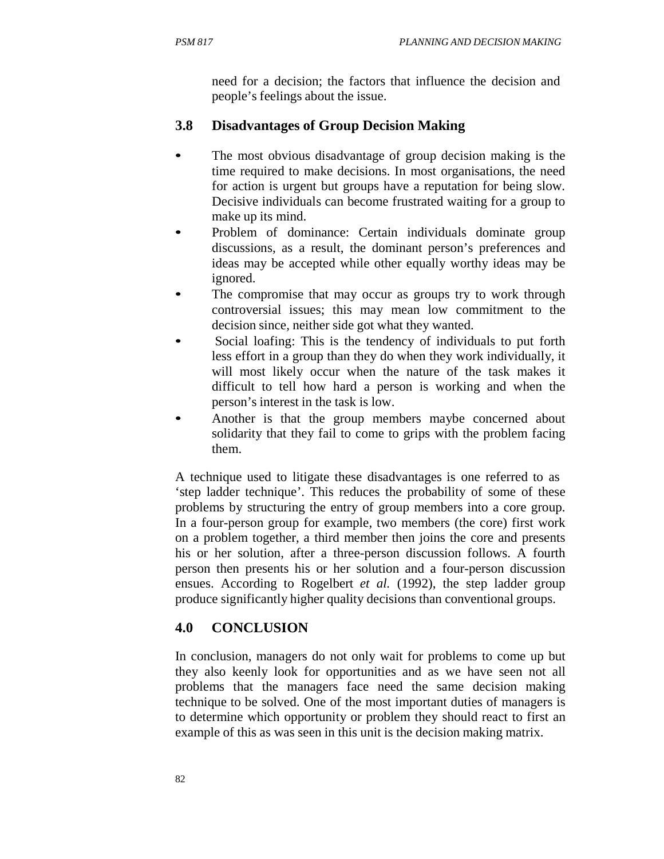need for a decision; the factors that influence the decision and people's feelings about the issue.

## **3.8 Disadvantages of Group Decision Making**

- The most obvious disadvantage of group decision making is the time required to make decisions. In most organisations, the need for action is urgent but groups have a reputation for being slow. Decisive individuals can become frustrated waiting for a group to make up its mind.
- Problem of dominance: Certain individuals dominate group discussions, as a result, the dominant person's preferences and ideas may be accepted while other equally worthy ideas may be ignored.
- The compromise that may occur as groups try to work through controversial issues; this may mean low commitment to the decision since, neither side got what they wanted.
- Social loafing: This is the tendency of individuals to put forth less effort in a group than they do when they work individually, it will most likely occur when the nature of the task makes it difficult to tell how hard a person is working and when the person's interest in the task is low.
- Another is that the group members maybe concerned about solidarity that they fail to come to grips with the problem facing them.

A technique used to litigate these disadvantages is one referred to as 'step ladder technique'. This reduces the probability of some of these problems by structuring the entry of group members into a core group. In a four-person group for example, two members (the core) first work on a problem together, a third member then joins the core and presents his or her solution, after a three-person discussion follows. A fourth person then presents his or her solution and a four-person discussion ensues. According to Rogelbert *et al.* (1992), the step ladder group produce significantly higher quality decisions than conventional groups.

# **4.0 CONCLUSION**

In conclusion, managers do not only wait for problems to come up but they also keenly look for opportunities and as we have seen not all problems that the managers face need the same decision making technique to be solved. One of the most important duties of managers is to determine which opportunity or problem they should react to first an example of this as was seen in this unit is the decision making matrix.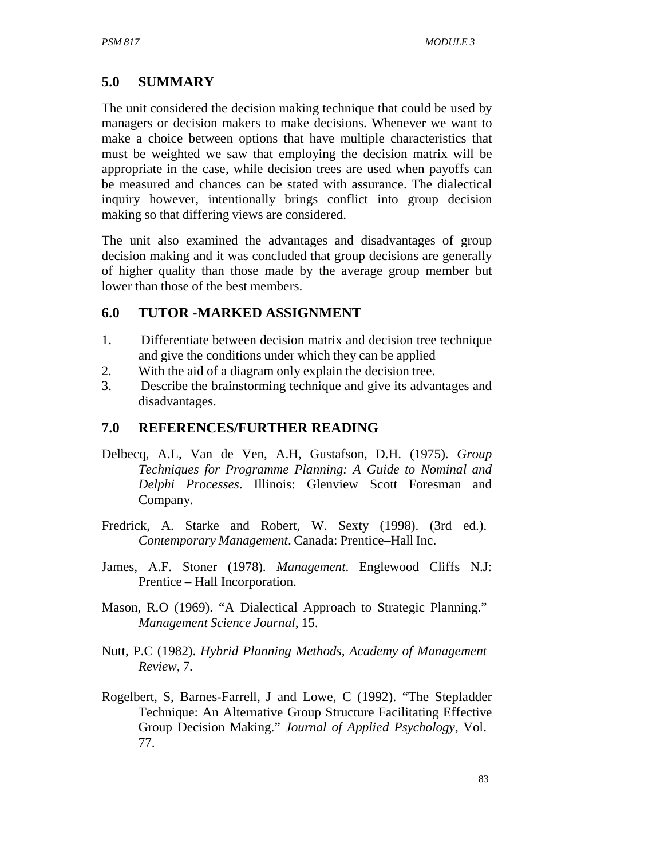## **5.0 SUMMARY**

The unit considered the decision making technique that could be used by managers or decision makers to make decisions. Whenever we want to make a choice between options that have multiple characteristics that must be weighted we saw that employing the decision matrix will be appropriate in the case, while decision trees are used when payoffs can be measured and chances can be stated with assurance. The dialectical inquiry however, intentionally brings conflict into group decision making so that differing views are considered.

The unit also examined the advantages and disadvantages of group decision making and it was concluded that group decisions are generally of higher quality than those made by the average group member but lower than those of the best members.

### **6.0 TUTOR -MARKED ASSIGNMENT**

- 1. Differentiate between decision matrix and decision tree technique and give the conditions under which they can be applied
- 2. With the aid of a diagram only explain the decision tree.
- 3. Describe the brainstorming technique and give its advantages and disadvantages.

### **7.0 REFERENCES/FURTHER READING**

- Delbecq, A.L, Van de Ven, A.H, Gustafson, D.H. (1975). *Group Techniques for Programme Planning: A Guide to Nominal and Delphi Processes*. Illinois: Glenview Scott Foresman and Company.
- Fredrick, A. Starke and Robert, W. Sexty (1998). (3rd ed.). *Contemporary Management*. Canada: Prentice–Hall Inc.
- James, A.F. Stoner (1978). *Management*. Englewood Cliffs N.J: Prentice – Hall Incorporation.
- Mason, R.O (1969). "A Dialectical Approach to Strategic Planning." *Management Science Journal*, 15.
- Nutt, P.C (1982). *Hybrid Planning Methods, Academy of Management Review*, 7.
- Rogelbert, S, Barnes-Farrell, J and Lowe, C (1992). "The Stepladder Technique: An Alternative Group Structure Facilitating Effective Group Decision Making." *Journal of Applied Psychology*, Vol. 77.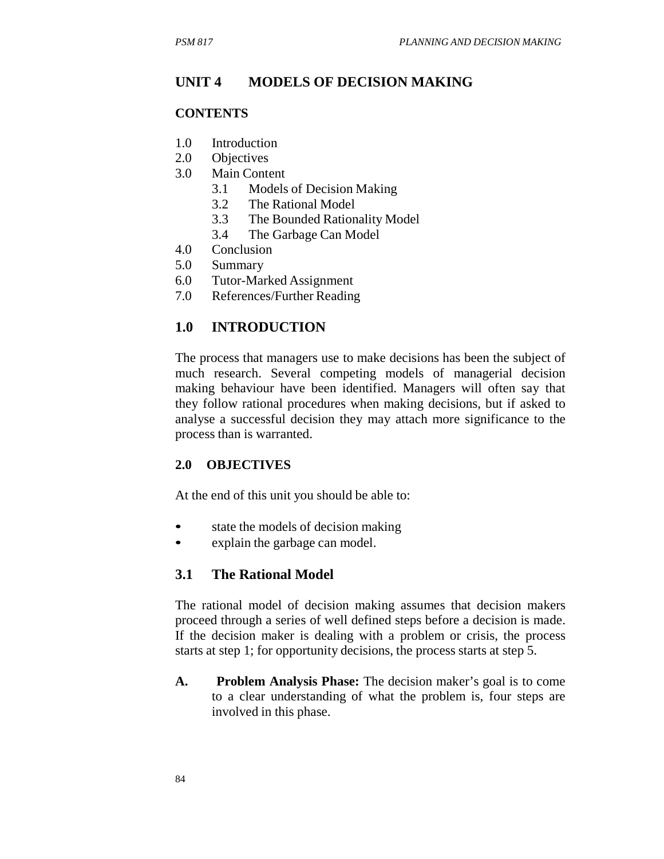### **UNIT 4 MODELS OF DECISION MAKING**

### **CONTENTS**

- 1.0 Introduction
- 2.0 Objectives
- 3.0 Main Content
	- 3.1 Models of Decision Making
	- 3.2 The Rational Model
	- 3.3 The Bounded Rationality Model
	- 3.4 The Garbage Can Model
- 4.0 Conclusion
- 5.0 Summary
- 6.0 Tutor-Marked Assignment
- 7.0 References/Further Reading

### **1.0 INTRODUCTION**

The process that managers use to make decisions has been the subject of much research. Several competing models of managerial decision making behaviour have been identified. Managers will often say that they follow rational procedures when making decisions, but if asked to analyse a successful decision they may attach more significance to the process than is warranted.

### **2.0 OBJECTIVES**

At the end of this unit you should be able to:

- state the models of decision making
- explain the garbage can model.

#### **3.1 The Rational Model**

The rational model of decision making assumes that decision makers proceed through a series of well defined steps before a decision is made. If the decision maker is dealing with a problem or crisis, the process starts at step 1; for opportunity decisions, the process starts at step 5.

**A. Problem Analysis Phase:** The decision maker's goal is to come to a clear understanding of what the problem is, four steps are involved in this phase.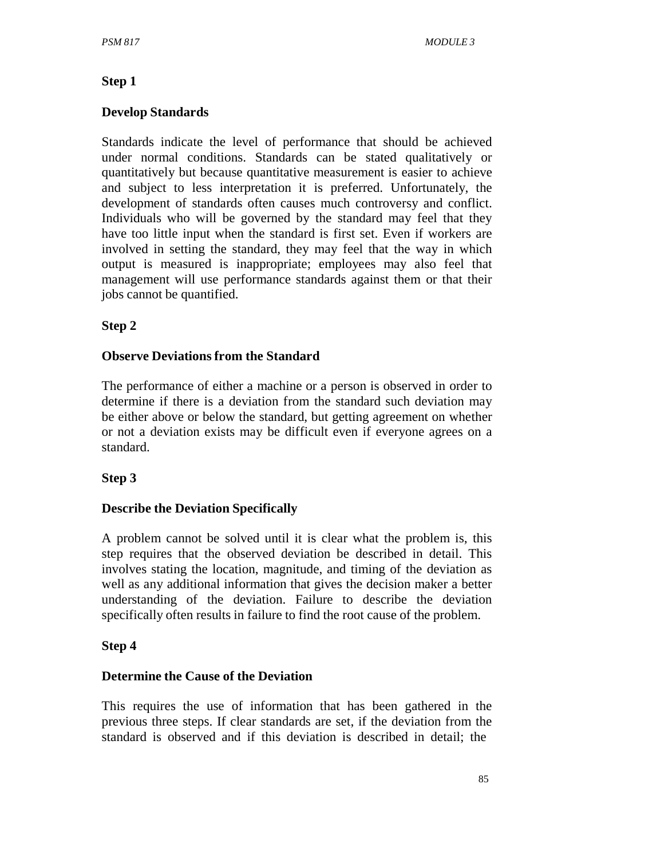### **Step 1**

### **Develop Standards**

Standards indicate the level of performance that should be achieved under normal conditions. Standards can be stated qualitatively or quantitatively but because quantitative measurement is easier to achieve and subject to less interpretation it is preferred. Unfortunately, the development of standards often causes much controversy and conflict. Individuals who will be governed by the standard may feel that they have too little input when the standard is first set. Even if workers are involved in setting the standard, they may feel that the way in which output is measured is inappropriate; employees may also feel that management will use performance standards against them or that their jobs cannot be quantified.

### **Step 2**

### **Observe Deviations from the Standard**

The performance of either a machine or a person is observed in order to determine if there is a deviation from the standard such deviation may be either above or below the standard, but getting agreement on whether or not a deviation exists may be difficult even if everyone agrees on a standard.

## **Step 3**

### **Describe the Deviation Specifically**

A problem cannot be solved until it is clear what the problem is, this step requires that the observed deviation be described in detail. This involves stating the location, magnitude, and timing of the deviation as well as any additional information that gives the decision maker a better understanding of the deviation. Failure to describe the deviation specifically often results in failure to find the root cause of the problem.

### **Step 4**

### **Determine the Cause of the Deviation**

This requires the use of information that has been gathered in the previous three steps. If clear standards are set, if the deviation from the standard is observed and if this deviation is described in detail; the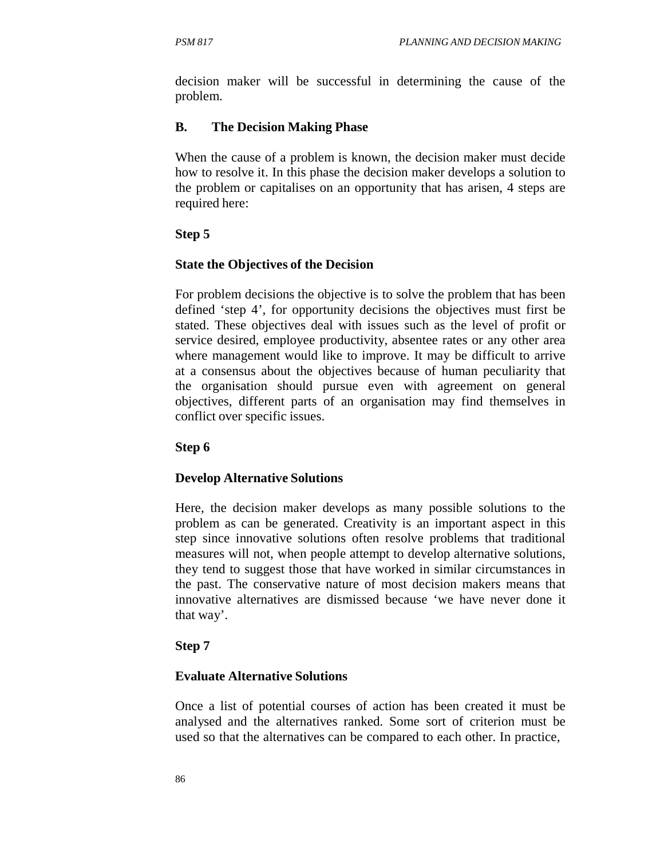decision maker will be successful in determining the cause of the problem.

### **B. The Decision Making Phase**

When the cause of a problem is known, the decision maker must decide how to resolve it. In this phase the decision maker develops a solution to the problem or capitalises on an opportunity that has arisen, 4 steps are required here:

### **Step 5**

### **State the Objectives of the Decision**

For problem decisions the objective is to solve the problem that has been defined 'step 4', for opportunity decisions the objectives must first be stated. These objectives deal with issues such as the level of profit or service desired, employee productivity, absentee rates or any other area where management would like to improve. It may be difficult to arrive at a consensus about the objectives because of human peculiarity that the organisation should pursue even with agreement on general objectives, different parts of an organisation may find themselves in conflict over specific issues.

### **Step 6**

### **Develop Alternative Solutions**

Here, the decision maker develops as many possible solutions to the problem as can be generated. Creativity is an important aspect in this step since innovative solutions often resolve problems that traditional measures will not, when people attempt to develop alternative solutions, they tend to suggest those that have worked in similar circumstances in the past. The conservative nature of most decision makers means that innovative alternatives are dismissed because 'we have never done it that way'.

### **Step 7**

### **Evaluate Alternative Solutions**

Once a list of potential courses of action has been created it must be analysed and the alternatives ranked. Some sort of criterion must be used so that the alternatives can be compared to each other. In practice,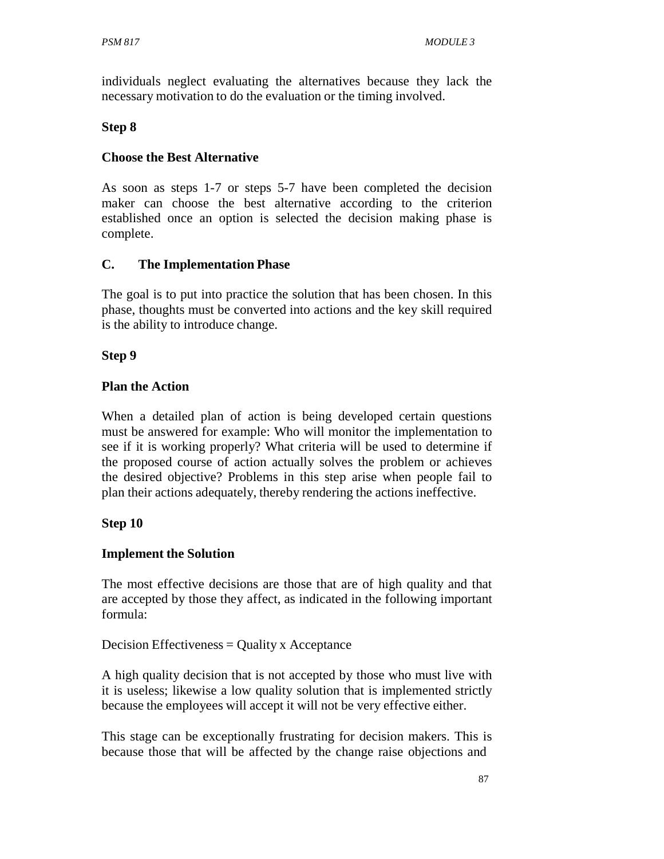individuals neglect evaluating the alternatives because they lack the necessary motivation to do the evaluation or the timing involved.

### **Step 8**

### **Choose the Best Alternative**

As soon as steps 1-7 or steps 5-7 have been completed the decision maker can choose the best alternative according to the criterion established once an option is selected the decision making phase is complete.

### **C. The Implementation Phase**

The goal is to put into practice the solution that has been chosen. In this phase, thoughts must be converted into actions and the key skill required is the ability to introduce change.

### **Step 9**

### **Plan the Action**

When a detailed plan of action is being developed certain questions must be answered for example: Who will monitor the implementation to see if it is working properly? What criteria will be used to determine if the proposed course of action actually solves the problem or achieves the desired objective? Problems in this step arise when people fail to plan their actions adequately, thereby rendering the actions ineffective.

## **Step 10**

## **Implement the Solution**

The most effective decisions are those that are of high quality and that are accepted by those they affect, as indicated in the following important formula:

Decision Effectiveness = Quality x Acceptance

A high quality decision that is not accepted by those who must live with it is useless; likewise a low quality solution that is implemented strictly because the employees will accept it will not be very effective either.

This stage can be exceptionally frustrating for decision makers. This is because those that will be affected by the change raise objections and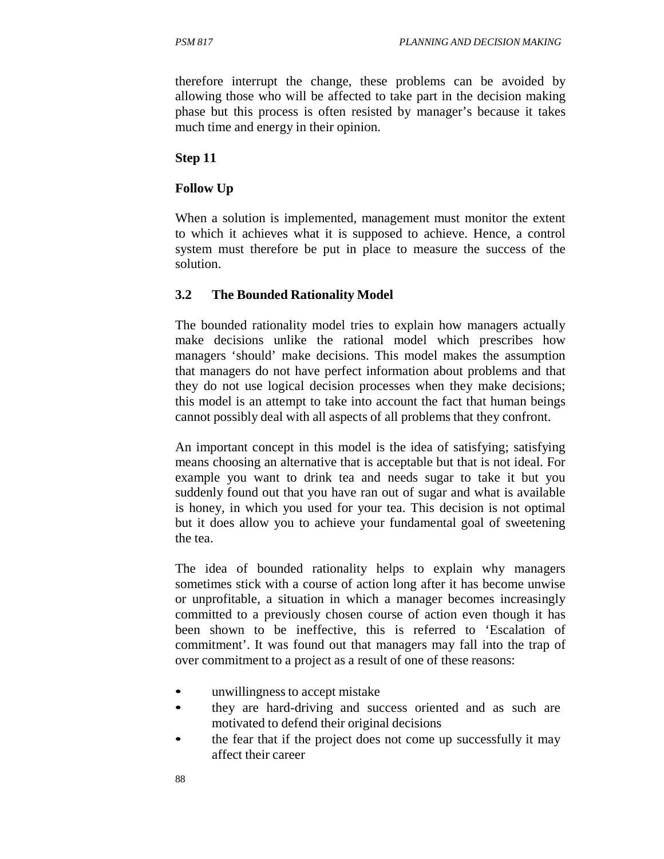therefore interrupt the change, these problems can be avoided by allowing those who will be affected to take part in the decision making phase but this process is often resisted by manager's because it takes much time and energy in their opinion.

### **Step 11**

### **Follow Up**

When a solution is implemented, management must monitor the extent to which it achieves what it is supposed to achieve. Hence, a control system must therefore be put in place to measure the success of the solution.

### **3.2 The Bounded Rationality Model**

The bounded rationality model tries to explain how managers actually make decisions unlike the rational model which prescribes how managers 'should' make decisions. This model makes the assumption that managers do not have perfect information about problems and that they do not use logical decision processes when they make decisions; this model is an attempt to take into account the fact that human beings cannot possibly deal with all aspects of all problems that they confront.

An important concept in this model is the idea of satisfying; satisfying means choosing an alternative that is acceptable but that is not ideal. For example you want to drink tea and needs sugar to take it but you suddenly found out that you have ran out of sugar and what is available is honey, in which you used for your tea. This decision is not optimal but it does allow you to achieve your fundamental goal of sweetening the tea.

The idea of bounded rationality helps to explain why managers sometimes stick with a course of action long after it has become unwise or unprofitable, a situation in which a manager becomes increasingly committed to a previously chosen course of action even though it has been shown to be ineffective, this is referred to 'Escalation of commitment'. It was found out that managers may fall into the trap of over commitment to a project as a result of one of these reasons:

- unwillingness to accept mistake
- they are hard-driving and success oriented and as such are motivated to defend their original decisions
- the fear that if the project does not come up successfully it may affect their career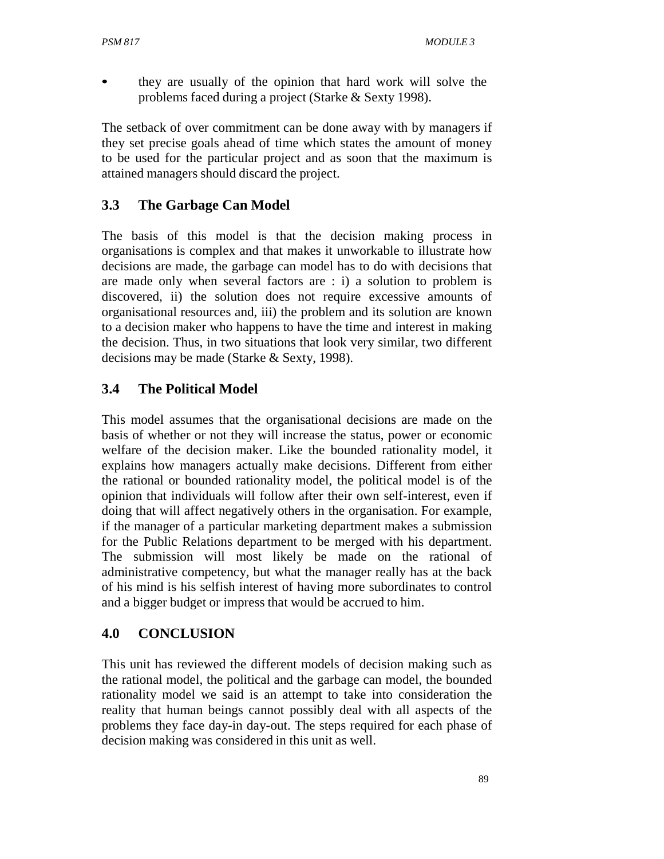• they are usually of the opinion that hard work will solve the problems faced during a project (Starke & Sexty 1998).

The setback of over commitment can be done away with by managers if they set precise goals ahead of time which states the amount of money to be used for the particular project and as soon that the maximum is attained managers should discard the project.

## **3.3 The Garbage Can Model**

The basis of this model is that the decision making process in organisations is complex and that makes it unworkable to illustrate how decisions are made, the garbage can model has to do with decisions that are made only when several factors are : i) a solution to problem is discovered, ii) the solution does not require excessive amounts of organisational resources and, iii) the problem and its solution are known to a decision maker who happens to have the time and interest in making the decision. Thus, in two situations that look very similar, two different decisions may be made (Starke & Sexty, 1998).

# **3.4 The Political Model**

This model assumes that the organisational decisions are made on the basis of whether or not they will increase the status, power or economic welfare of the decision maker. Like the bounded rationality model, it explains how managers actually make decisions. Different from either the rational or bounded rationality model, the political model is of the opinion that individuals will follow after their own self-interest, even if doing that will affect negatively others in the organisation. For example, if the manager of a particular marketing department makes a submission for the Public Relations department to be merged with his department. The submission will most likely be made on the rational of administrative competency, but what the manager really has at the back of his mind is his selfish interest of having more subordinates to control and a bigger budget or impress that would be accrued to him.

## **4.0 CONCLUSION**

This unit has reviewed the different models of decision making such as the rational model, the political and the garbage can model, the bounded rationality model we said is an attempt to take into consideration the reality that human beings cannot possibly deal with all aspects of the problems they face day-in day-out. The steps required for each phase of decision making was considered in this unit as well.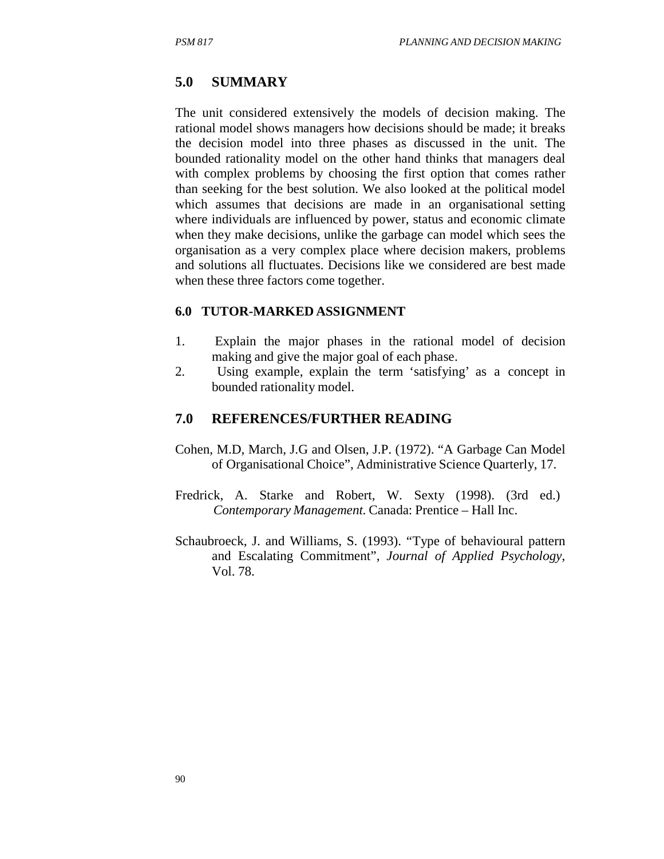### **5.0 SUMMARY**

The unit considered extensively the models of decision making. The rational model shows managers how decisions should be made; it breaks the decision model into three phases as discussed in the unit. The bounded rationality model on the other hand thinks that managers deal with complex problems by choosing the first option that comes rather than seeking for the best solution. We also looked at the political model which assumes that decisions are made in an organisational setting where individuals are influenced by power, status and economic climate when they make decisions, unlike the garbage can model which sees the organisation as a very complex place where decision makers, problems and solutions all fluctuates. Decisions like we considered are best made when these three factors come together.

#### **6.0 TUTOR-MARKED ASSIGNMENT**

- 1. Explain the major phases in the rational model of decision making and give the major goal of each phase.
- 2. Using example, explain the term 'satisfying' as a concept in bounded rationality model.

### **7.0 REFERENCES/FURTHER READING**

- Cohen, M.D, March, J.G and Olsen, J.P. (1972). "A Garbage Can Model of Organisational Choice", Administrative Science Quarterly, 17.
- Fredrick, A. Starke and Robert, W. Sexty (1998). (3rd ed.) *Contemporary Management.* Canada: Prentice – Hall Inc.
- Schaubroeck, J. and Williams, S. (1993). "Type of behavioural pattern and Escalating Commitment", *Journal of Applied Psychology*, Vol. 78.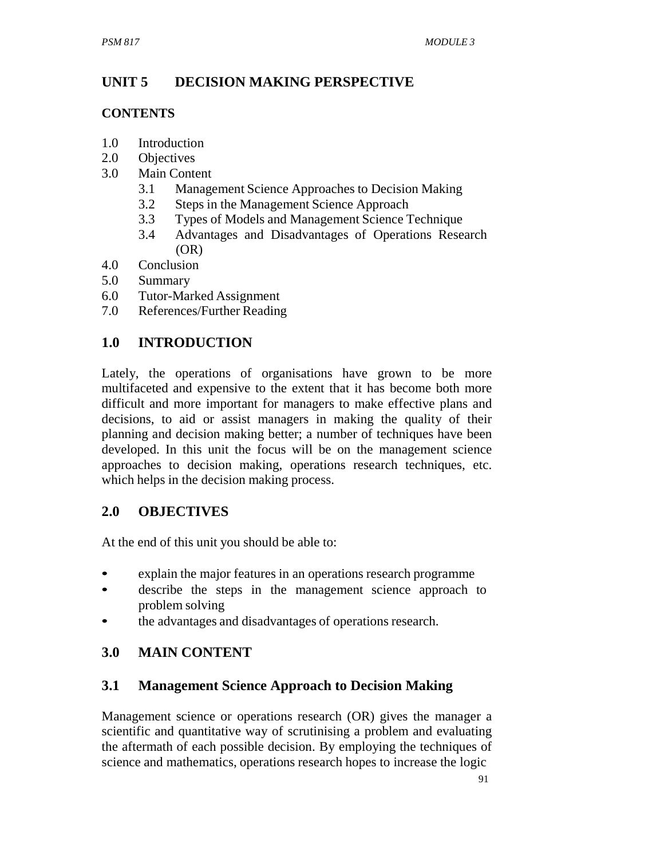## **UNIT 5 DECISION MAKING PERSPECTIVE**

### **CONTENTS**

- 1.0 Introduction
- 2.0 Objectives
- 3.0 Main Content
	- 3.1 Management Science Approaches to Decision Making
	- 3.2 Steps in the Management Science Approach
	- 3.3 Types of Models and Management Science Technique
	- 3.4 Advantages and Disadvantages of Operations Research (OR)
- 4.0 Conclusion
- 5.0 Summary
- 6.0 Tutor-Marked Assignment
- 7.0 References/Further Reading

## **1.0 INTRODUCTION**

Lately, the operations of organisations have grown to be more multifaceted and expensive to the extent that it has become both more difficult and more important for managers to make effective plans and decisions, to aid or assist managers in making the quality of their planning and decision making better; a number of techniques have been developed. In this unit the focus will be on the management science approaches to decision making, operations research techniques, etc. which helps in the decision making process.

## **2.0 OBJECTIVES**

At the end of this unit you should be able to:

- explain the major features in an operations research programme
- describe the steps in the management science approach to problem solving
- the advantages and disadvantages of operations research.

# **3.0 MAIN CONTENT**

## **3.1 Management Science Approach to Decision Making**

Management science or operations research (OR) gives the manager a scientific and quantitative way of scrutinising a problem and evaluating the aftermath of each possible decision. By employing the techniques of science and mathematics, operations research hopes to increase the logic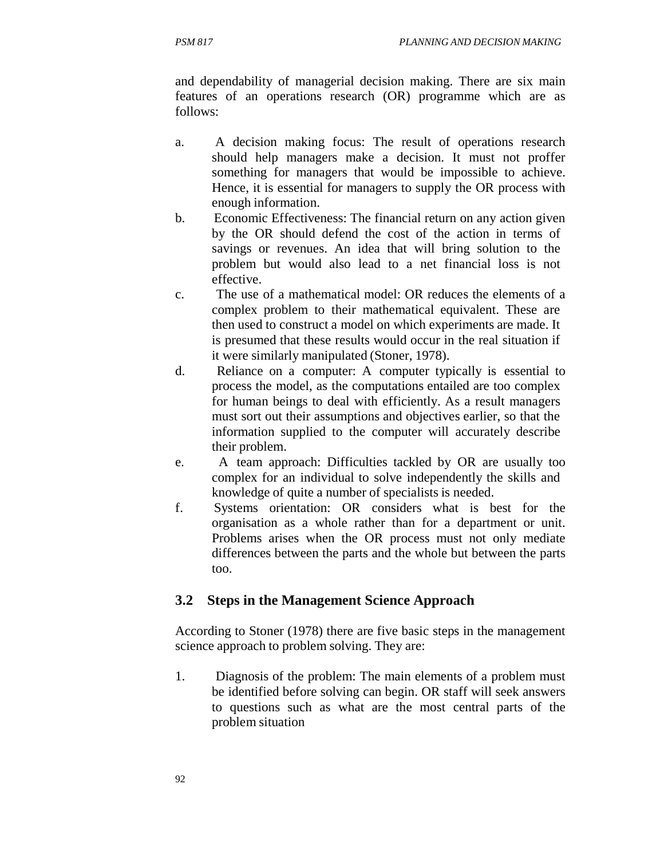and dependability of managerial decision making. There are six main features of an operations research (OR) programme which are as follows:

- a. A decision making focus: The result of operations research should help managers make a decision. It must not proffer something for managers that would be impossible to achieve. Hence, it is essential for managers to supply the OR process with enough information.
- b. Economic Effectiveness: The financial return on any action given by the OR should defend the cost of the action in terms of savings or revenues. An idea that will bring solution to the problem but would also lead to a net financial loss is not effective.
- c. The use of a mathematical model: OR reduces the elements of a complex problem to their mathematical equivalent. These are then used to construct a model on which experiments are made. It is presumed that these results would occur in the real situation if it were similarly manipulated (Stoner, 1978).
- d. Reliance on a computer: A computer typically is essential to process the model, as the computations entailed are too complex for human beings to deal with efficiently. As a result managers must sort out their assumptions and objectives earlier, so that the information supplied to the computer will accurately describe their problem.
- e. A team approach: Difficulties tackled by OR are usually too complex for an individual to solve independently the skills and knowledge of quite a number of specialists is needed.
- f. Systems orientation: OR considers what is best for the organisation as a whole rather than for a department or unit. Problems arises when the OR process must not only mediate differences between the parts and the whole but between the parts too.

## **3.2 Steps in the Management Science Approach**

According to Stoner (1978) there are five basic steps in the management science approach to problem solving. They are:

1. Diagnosis of the problem: The main elements of a problem must be identified before solving can begin. OR staff will seek answers to questions such as what are the most central parts of the problem situation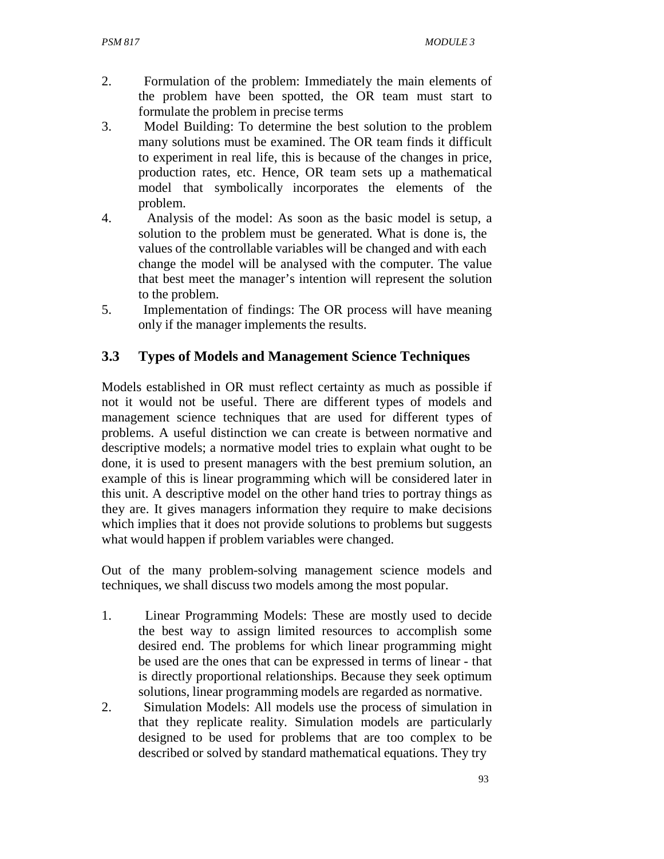- 2. Formulation of the problem: Immediately the main elements of the problem have been spotted, the OR team must start to formulate the problem in precise terms
- 3. Model Building: To determine the best solution to the problem many solutions must be examined. The OR team finds it difficult to experiment in real life, this is because of the changes in price, production rates, etc. Hence, OR team sets up a mathematical model that symbolically incorporates the elements of the problem.
- 4. Analysis of the model: As soon as the basic model is setup, a solution to the problem must be generated. What is done is, the values of the controllable variables will be changed and with each change the model will be analysed with the computer. The value that best meet the manager's intention will represent the solution to the problem.
- 5. Implementation of findings: The OR process will have meaning only if the manager implements the results.

## **3.3 Types of Models and Management Science Techniques**

Models established in OR must reflect certainty as much as possible if not it would not be useful. There are different types of models and management science techniques that are used for different types of problems. A useful distinction we can create is between normative and descriptive models; a normative model tries to explain what ought to be done, it is used to present managers with the best premium solution, an example of this is linear programming which will be considered later in this unit. A descriptive model on the other hand tries to portray things as they are. It gives managers information they require to make decisions which implies that it does not provide solutions to problems but suggests what would happen if problem variables were changed.

Out of the many problem-solving management science models and techniques, we shall discuss two models among the most popular.

- 1. Linear Programming Models: These are mostly used to decide the best way to assign limited resources to accomplish some desired end. The problems for which linear programming might be used are the ones that can be expressed in terms of linear - that is directly proportional relationships. Because they seek optimum solutions, linear programming models are regarded as normative.
- 2. Simulation Models: All models use the process of simulation in that they replicate reality. Simulation models are particularly designed to be used for problems that are too complex to be described or solved by standard mathematical equations. They try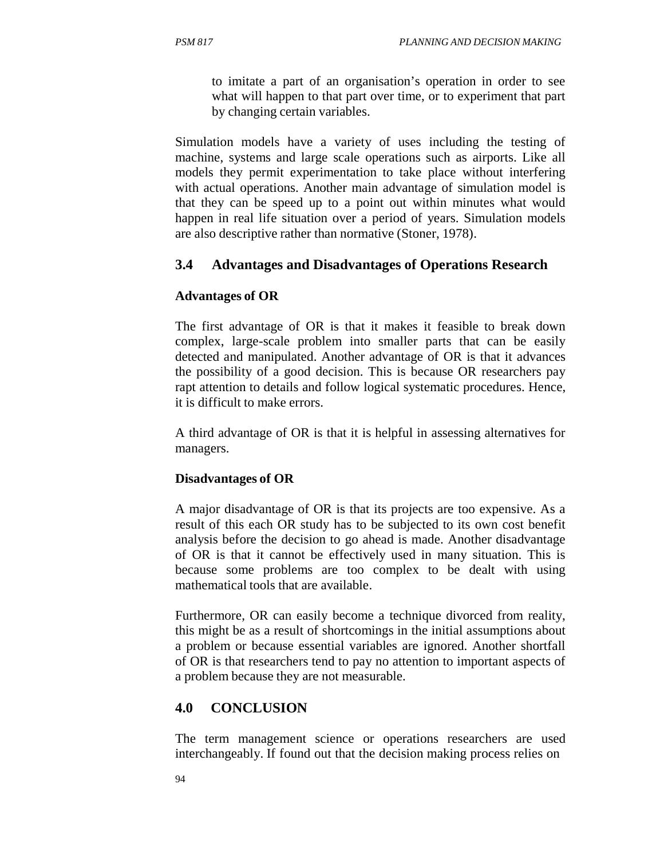to imitate a part of an organisation's operation in order to see what will happen to that part over time, or to experiment that part by changing certain variables.

Simulation models have a variety of uses including the testing of machine, systems and large scale operations such as airports. Like all models they permit experimentation to take place without interfering with actual operations. Another main advantage of simulation model is that they can be speed up to a point out within minutes what would happen in real life situation over a period of years. Simulation models are also descriptive rather than normative (Stoner, 1978).

### **3.4 Advantages and Disadvantages of Operations Research**

### **Advantages of OR**

The first advantage of OR is that it makes it feasible to break down complex, large-scale problem into smaller parts that can be easily detected and manipulated. Another advantage of OR is that it advances the possibility of a good decision. This is because OR researchers pay rapt attention to details and follow logical systematic procedures. Hence, it is difficult to make errors.

A third advantage of OR is that it is helpful in assessing alternatives for managers.

### **Disadvantages of OR**

A major disadvantage of OR is that its projects are too expensive. As a result of this each OR study has to be subjected to its own cost benefit analysis before the decision to go ahead is made. Another disadvantage of OR is that it cannot be effectively used in many situation. This is because some problems are too complex to be dealt with using mathematical tools that are available.

Furthermore, OR can easily become a technique divorced from reality, this might be as a result of shortcomings in the initial assumptions about a problem or because essential variables are ignored. Another shortfall of OR is that researchers tend to pay no attention to important aspects of a problem because they are not measurable.

### **4.0 CONCLUSION**

The term management science or operations researchers are used interchangeably. If found out that the decision making process relies on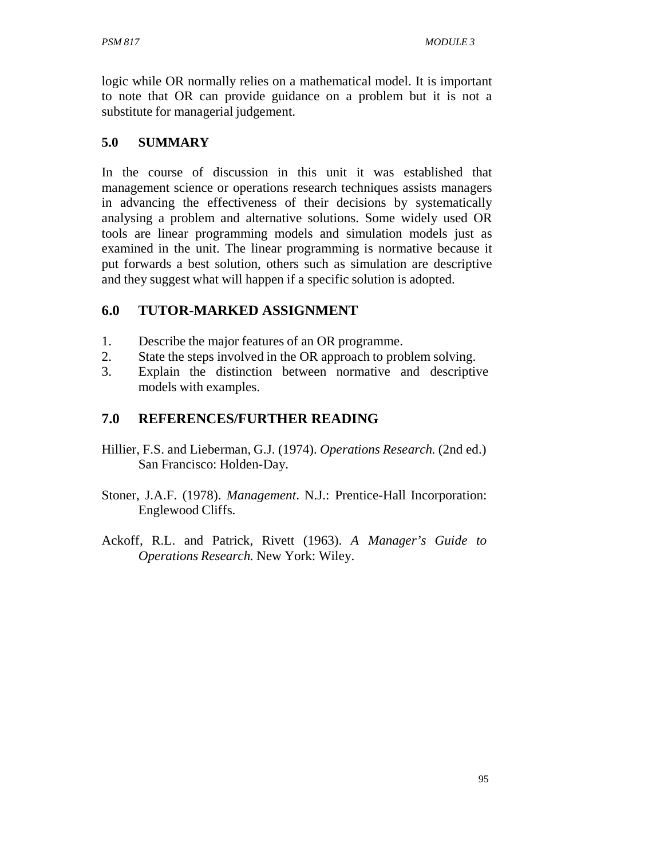logic while OR normally relies on a mathematical model. It is important to note that OR can provide guidance on a problem but it is not a substitute for managerial judgement.

### **5.0 SUMMARY**

In the course of discussion in this unit it was established that management science or operations research techniques assists managers in advancing the effectiveness of their decisions by systematically analysing a problem and alternative solutions. Some widely used OR tools are linear programming models and simulation models just as examined in the unit. The linear programming is normative because it put forwards a best solution, others such as simulation are descriptive and they suggest what will happen if a specific solution is adopted.

## **6.0 TUTOR-MARKED ASSIGNMENT**

- 1. Describe the major features of an OR programme.
- 2. State the steps involved in the OR approach to problem solving.
- 3. Explain the distinction between normative and descriptive models with examples.

## **7.0 REFERENCES/FURTHER READING**

- Hillier, F.S. and Lieberman, G.J. (1974). *Operations Research.* (2nd ed.) San Francisco: Holden-Day.
- Stoner, J.A.F. (1978). *Management*. N.J.: Prentice-Hall Incorporation: Englewood Cliffs.
- Ackoff, R.L. and Patrick, Rivett (1963). *A Manager's Guide to Operations Research.* New York: Wiley.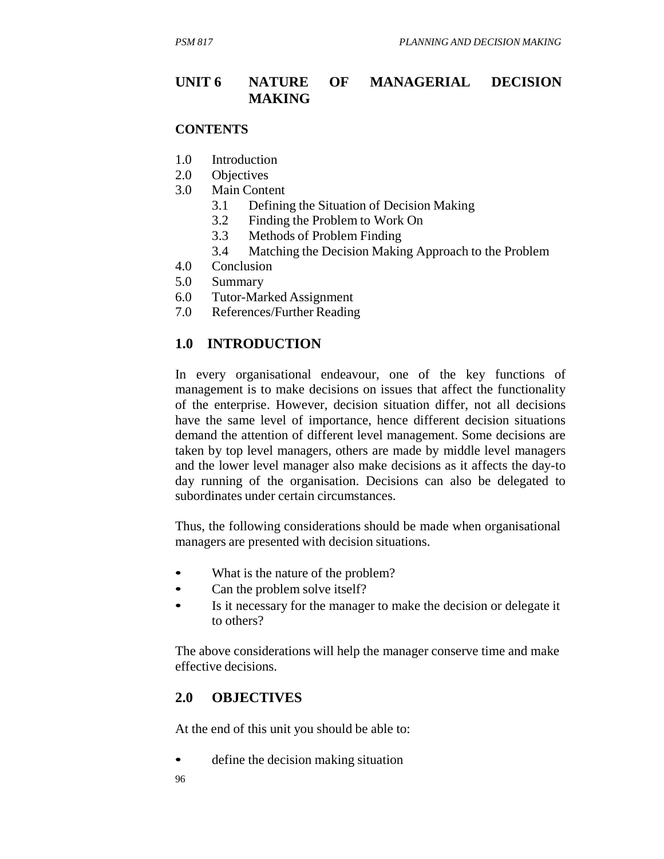## **UNIT 6 NATURE OF MANAGERIAL DECISION MAKING**

### **CONTENTS**

- 1.0 Introduction
- 2.0 Objectives
- 3.0 Main Content
	- 3.1 Defining the Situation of Decision Making
	- 3.2 Finding the Problem to Work On
	- 3.3 Methods of Problem Finding
	- 3.4 Matching the Decision Making Approach to the Problem
- 4.0 Conclusion
- 5.0 Summary
- 6.0 Tutor-Marked Assignment
- 7.0 References/Further Reading

### **1.0 INTRODUCTION**

In every organisational endeavour, one of the key functions of management is to make decisions on issues that affect the functionality of the enterprise. However, decision situation differ, not all decisions have the same level of importance, hence different decision situations demand the attention of different level management. Some decisions are taken by top level managers, others are made by middle level managers and the lower level manager also make decisions as it affects the day-to day running of the organisation. Decisions can also be delegated to subordinates under certain circumstances.

Thus, the following considerations should be made when organisational managers are presented with decision situations.

- What is the nature of the problem?
- Can the problem solve itself?
- Is it necessary for the manager to make the decision or delegate it to others?

The above considerations will help the manager conserve time and make effective decisions.

## **2.0 OBJECTIVES**

At the end of this unit you should be able to:

- define the decision making situation
- 96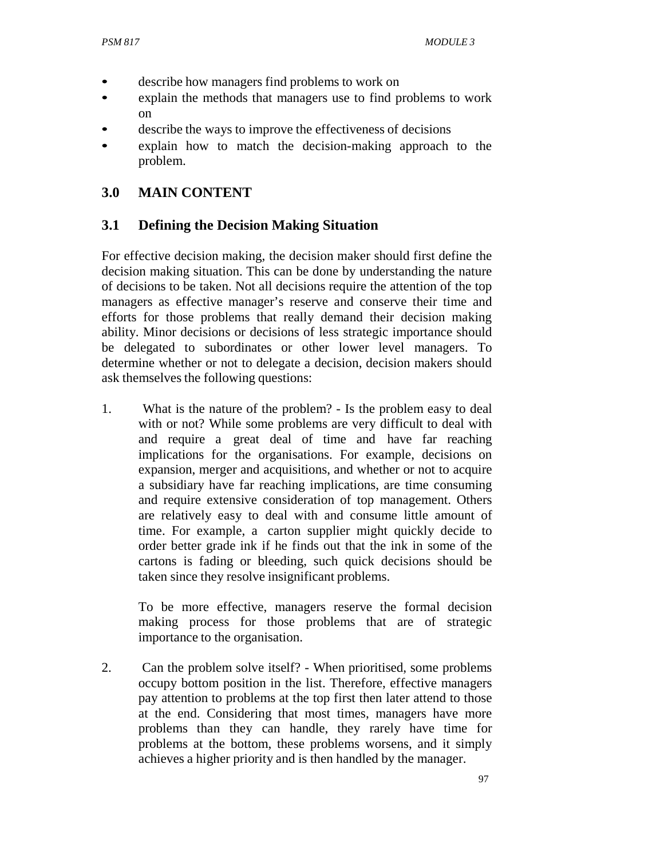- describe how managers find problems to work on
- explain the methods that managers use to find problems to work on
- describe the ways to improve the effectiveness of decisions
- explain how to match the decision-making approach to the problem.

# **3.0 MAIN CONTENT**

## **3.1 Defining the Decision Making Situation**

For effective decision making, the decision maker should first define the decision making situation. This can be done by understanding the nature of decisions to be taken. Not all decisions require the attention of the top managers as effective manager's reserve and conserve their time and efforts for those problems that really demand their decision making ability. Minor decisions or decisions of less strategic importance should be delegated to subordinates or other lower level managers. To determine whether or not to delegate a decision, decision makers should ask themselves the following questions:

1. What is the nature of the problem? - Is the problem easy to deal with or not? While some problems are very difficult to deal with and require a great deal of time and have far reaching implications for the organisations. For example, decisions on expansion, merger and acquisitions, and whether or not to acquire a subsidiary have far reaching implications, are time consuming and require extensive consideration of top management. Others are relatively easy to deal with and consume little amount of time. For example, a carton supplier might quickly decide to order better grade ink if he finds out that the ink in some of the cartons is fading or bleeding, such quick decisions should be taken since they resolve insignificant problems.

To be more effective, managers reserve the formal decision making process for those problems that are of strategic importance to the organisation.

2. Can the problem solve itself? - When prioritised, some problems occupy bottom position in the list. Therefore, effective managers pay attention to problems at the top first then later attend to those at the end. Considering that most times, managers have more problems than they can handle, they rarely have time for problems at the bottom, these problems worsens, and it simply achieves a higher priority and is then handled by the manager.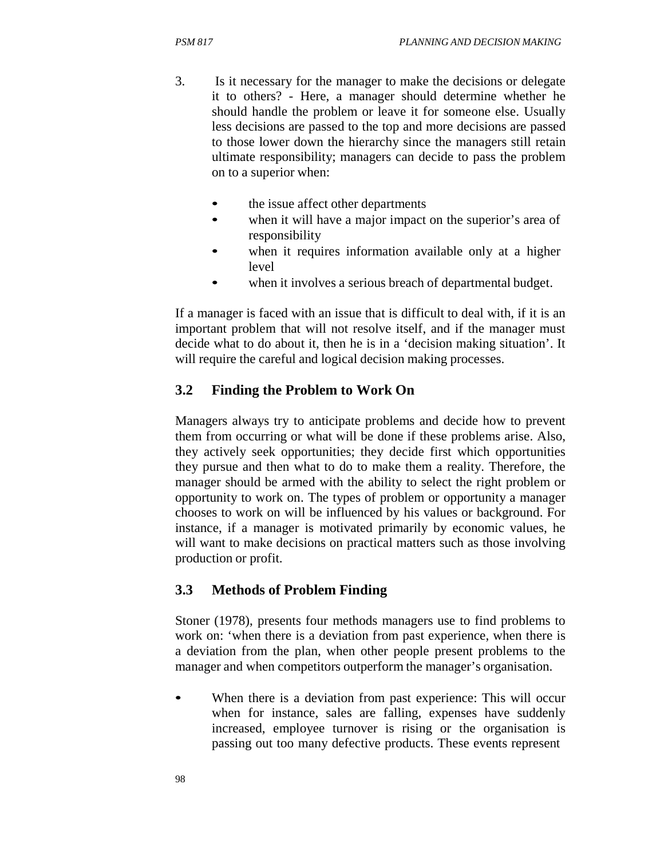- 3. Is it necessary for the manager to make the decisions or delegate it to others? - Here, a manager should determine whether he should handle the problem or leave it for someone else. Usually less decisions are passed to the top and more decisions are passed to those lower down the hierarchy since the managers still retain ultimate responsibility; managers can decide to pass the problem on to a superior when:
	- the issue affect other departments
	- when it will have a major impact on the superior's area of responsibility
	- when it requires information available only at a higher level
	- when it involves a serious breach of departmental budget.

If a manager is faced with an issue that is difficult to deal with, if it is an important problem that will not resolve itself, and if the manager must decide what to do about it, then he is in a 'decision making situation'. It will require the careful and logical decision making processes.

# **3.2 Finding the Problem to Work On**

Managers always try to anticipate problems and decide how to prevent them from occurring or what will be done if these problems arise. Also, they actively seek opportunities; they decide first which opportunities they pursue and then what to do to make them a reality. Therefore, the manager should be armed with the ability to select the right problem or opportunity to work on. The types of problem or opportunity a manager chooses to work on will be influenced by his values or background. For instance, if a manager is motivated primarily by economic values, he will want to make decisions on practical matters such as those involving production or profit.

## **3.3 Methods of Problem Finding**

Stoner (1978), presents four methods managers use to find problems to work on: 'when there is a deviation from past experience, when there is a deviation from the plan, when other people present problems to the manager and when competitors outperform the manager's organisation.

When there is a deviation from past experience: This will occur when for instance, sales are falling, expenses have suddenly increased, employee turnover is rising or the organisation is passing out too many defective products. These events represent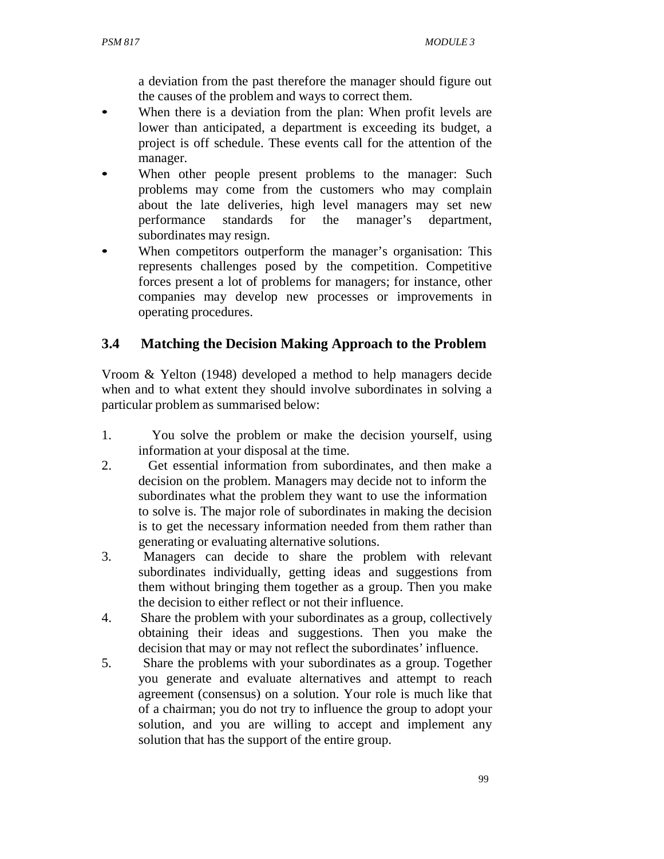a deviation from the past therefore the manager should figure out the causes of the problem and ways to correct them.

- When there is a deviation from the plan: When profit levels are lower than anticipated, a department is exceeding its budget, a project is off schedule. These events call for the attention of the manager.
- When other people present problems to the manager: Such problems may come from the customers who may complain about the late deliveries, high level managers may set new performance standards for the manager's department, subordinates may resign.
- When competitors outperform the manager's organisation: This represents challenges posed by the competition. Competitive forces present a lot of problems for managers; for instance, other companies may develop new processes or improvements in operating procedures.

## **3.4 Matching the Decision Making Approach to the Problem**

Vroom & Yelton (1948) developed a method to help managers decide when and to what extent they should involve subordinates in solving a particular problem as summarised below:

- 1. You solve the problem or make the decision yourself, using information at your disposal at the time.
- 2. Get essential information from subordinates, and then make a decision on the problem. Managers may decide not to inform the subordinates what the problem they want to use the information to solve is. The major role of subordinates in making the decision is to get the necessary information needed from them rather than generating or evaluating alternative solutions.
- 3. Managers can decide to share the problem with relevant subordinates individually, getting ideas and suggestions from them without bringing them together as a group. Then you make the decision to either reflect or not their influence.
- 4. Share the problem with your subordinates as a group, collectively obtaining their ideas and suggestions. Then you make the decision that may or may not reflect the subordinates' influence.
- 5. Share the problems with your subordinates as a group. Together you generate and evaluate alternatives and attempt to reach agreement (consensus) on a solution. Your role is much like that of a chairman; you do not try to influence the group to adopt your solution, and you are willing to accept and implement any solution that has the support of the entire group.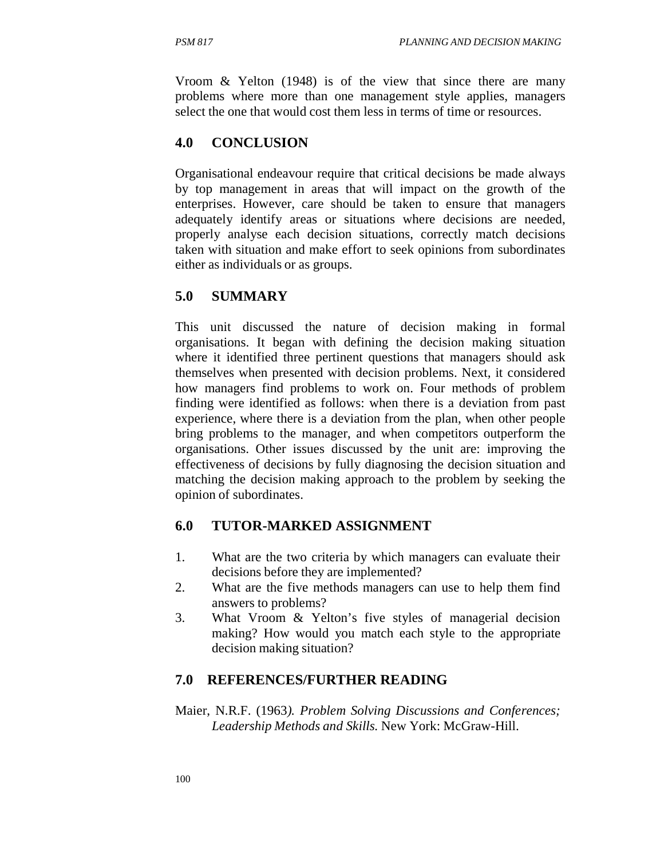Vroom & Yelton (1948) is of the view that since there are many problems where more than one management style applies, managers select the one that would cost them less in terms of time or resources.

#### **4.0 CONCLUSION**

Organisational endeavour require that critical decisions be made always by top management in areas that will impact on the growth of the enterprises. However, care should be taken to ensure that managers adequately identify areas or situations where decisions are needed, properly analyse each decision situations, correctly match decisions taken with situation and make effort to seek opinions from subordinates either as individuals or as groups.

## **5.0 SUMMARY**

This unit discussed the nature of decision making in formal organisations. It began with defining the decision making situation where it identified three pertinent questions that managers should ask themselves when presented with decision problems. Next, it considered how managers find problems to work on. Four methods of problem finding were identified as follows: when there is a deviation from past experience, where there is a deviation from the plan, when other people bring problems to the manager, and when competitors outperform the organisations. Other issues discussed by the unit are: improving the effectiveness of decisions by fully diagnosing the decision situation and matching the decision making approach to the problem by seeking the opinion of subordinates.

#### **6.0 TUTOR-MARKED ASSIGNMENT**

- 1. What are the two criteria by which managers can evaluate their decisions before they are implemented?
- 2. What are the five methods managers can use to help them find answers to problems?
- 3. What Vroom & Yelton's five styles of managerial decision making? How would you match each style to the appropriate decision making situation?

#### **7.0 REFERENCES/FURTHER READING**

Maier, N.R.F. (1963*). Problem Solving Discussions and Conferences; Leadership Methods and Skills.* New York: McGraw-Hill.